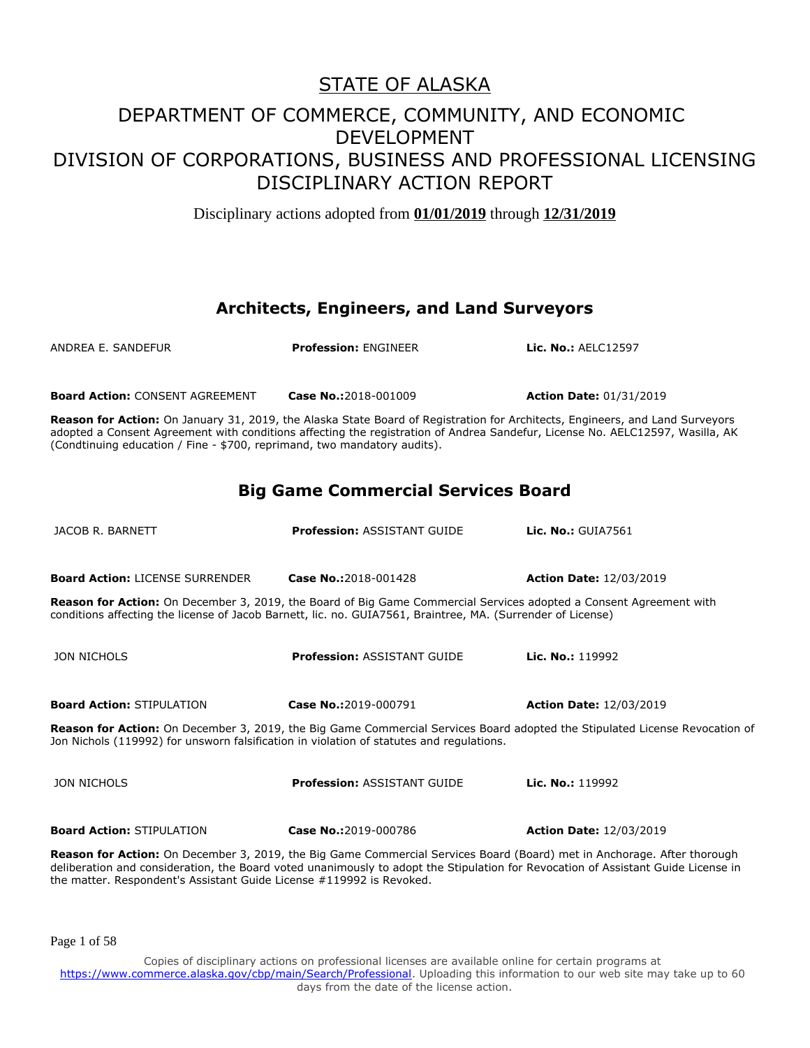Disciplinary actions adopted from **01/01/2019** through **12/31/2019**

#### **Architects, Engineers, and Land Surveyors**

| ANDREA E. SANDEFUR                                                                                                                                                                                                                       | <b>Profession: ENGINEER</b>                                                                                                                                                                                                                                   | Lic. No.: AELC12597            |  |
|------------------------------------------------------------------------------------------------------------------------------------------------------------------------------------------------------------------------------------------|---------------------------------------------------------------------------------------------------------------------------------------------------------------------------------------------------------------------------------------------------------------|--------------------------------|--|
| <b>Board Action: CONSENT AGREEMENT</b>                                                                                                                                                                                                   | Case No.:2018-001009                                                                                                                                                                                                                                          | <b>Action Date: 01/31/2019</b> |  |
| (Condtinuing education / Fine - \$700, reprimand, two mandatory audits).                                                                                                                                                                 | Reason for Action: On January 31, 2019, the Alaska State Board of Registration for Architects, Engineers, and Land Surveyors<br>adopted a Consent Agreement with conditions affecting the registration of Andrea Sandefur, License No. AELC12597, Wasilla, AK |                                |  |
|                                                                                                                                                                                                                                          | <b>Big Game Commercial Services Board</b>                                                                                                                                                                                                                     |                                |  |
| JACOB R. BARNETT                                                                                                                                                                                                                         | <b>Profession: ASSISTANT GUIDE</b>                                                                                                                                                                                                                            | Lic. No.: GUIA7561             |  |
| <b>Board Action: LICENSE SURRENDER</b>                                                                                                                                                                                                   | Case No.:2018-001428                                                                                                                                                                                                                                          | <b>Action Date: 12/03/2019</b> |  |
| <b>Reason for Action:</b> On December 3, 2019, the Board of Big Game Commercial Services adopted a Consent Agreement with<br>conditions affecting the license of Jacob Barnett, lic. no. GUIA7561, Braintree, MA. (Surrender of License) |                                                                                                                                                                                                                                                               |                                |  |
| <b>JON NICHOLS</b>                                                                                                                                                                                                                       | <b>Profession: ASSISTANT GUIDE</b>                                                                                                                                                                                                                            | Lic. No.: 119992               |  |
| <b>Board Action: STIPULATION</b>                                                                                                                                                                                                         | Case No.:2019-000791                                                                                                                                                                                                                                          | <b>Action Date: 12/03/2019</b> |  |
| Reason for Action: On December 3, 2019, the Big Game Commercial Services Board adopted the Stipulated License Revocation of<br>Jon Nichols (119992) for unsworn falsification in violation of statutes and regulations.                  |                                                                                                                                                                                                                                                               |                                |  |
| <b>JON NICHOLS</b>                                                                                                                                                                                                                       | <b>Profession: ASSISTANT GUIDE</b>                                                                                                                                                                                                                            | Lic. No.: 119992               |  |
| <b>Board Action: STIPULATION</b>                                                                                                                                                                                                         | Case No.:2019-000786                                                                                                                                                                                                                                          | <b>Action Date: 12/03/2019</b> |  |
|                                                                                                                                                                                                                                          | Reason for Action: On December 3, 2019, the Big Game Commercial Services Board (Board) met in Anchorage. After thorough<br>deliberation and consideration, the Board voted unanimously to adopt the Stipulation for Revocation of Assistant Guide License in  |                                |  |

Page 1 of 58

the matter. Respondent's Assistant Guide License #119992 is Revoked.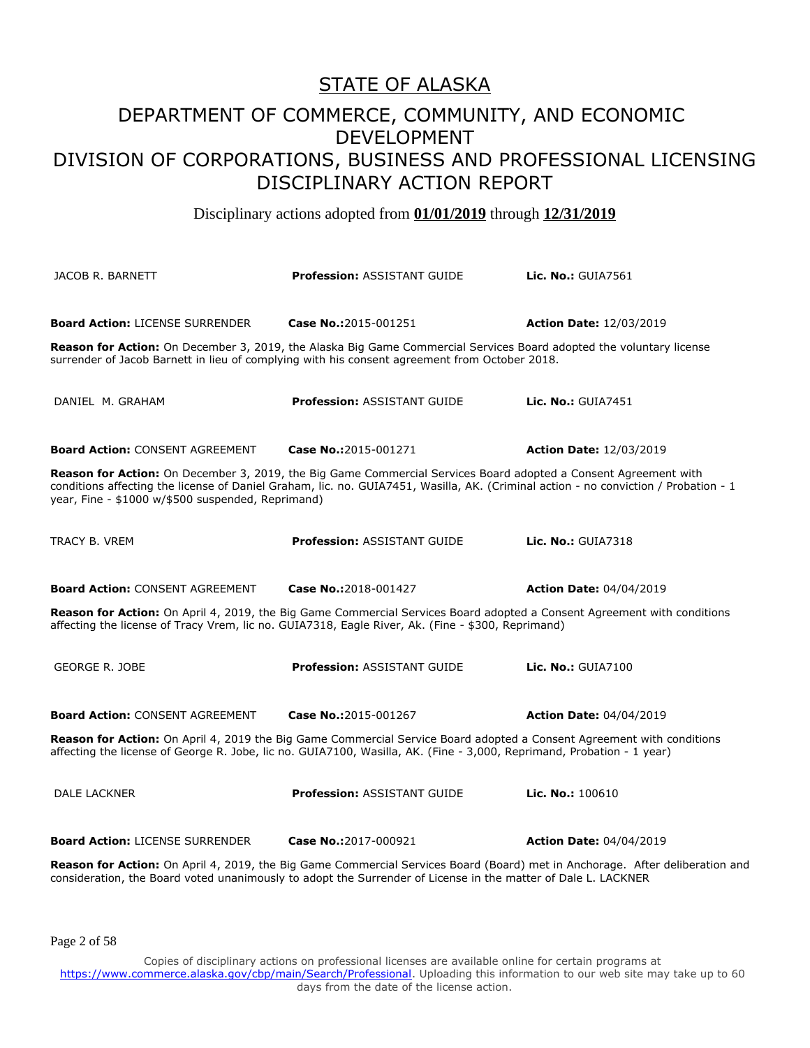Disciplinary actions adopted from **01/01/2019** through **12/31/2019**

JACOB R. BARNETT **Profession:** ASSISTANT GUIDE **Lic. No.:** GUIA7561 **Board Action:** LICENSE SURRENDER **Case No.:**2015-001251 **Action Date:** 12/03/2019 **Reason for Action:** On December 3, 2019, the Alaska Big Game Commercial Services Board adopted the voluntary license surrender of Jacob Barnett in lieu of complying with his consent agreement from October 2018. DANIEL M. GRAHAM **Profession:** ASSISTANT GUIDE **Lic. No.:** GUIA7451 **Board Action:** CONSENT AGREEMENT **Case No.:**2015-001271 **Action Date:** 12/03/2019 **Reason for Action:** On December 3, 2019, the Big Game Commercial Services Board adopted a Consent Agreement with conditions affecting the license of Daniel Graham, lic. no. GUIA7451, Wasilla, AK. (Criminal action - no conviction / Probation - 1 year, Fine - \$1000 w/\$500 suspended, Reprimand) TRACY B. VREM **Profession:** ASSISTANT GUIDE **Lic. No.:** GUIA7318 **Board Action:** CONSENT AGREEMENT **Case No.:**2018-001427 **Action Date:** 04/04/2019 **Reason for Action:** On April 4, 2019, the Big Game Commercial Services Board adopted a Consent Agreement with conditions affecting the license of Tracy Vrem, lic no. GUIA7318, Eagle River, Ak. (Fine - \$300, Reprimand) GEORGE R. JOBE **Profession:** ASSISTANT GUIDE **Lic. No.:** GUIA7100 **Board Action:** CONSENT AGREEMENT **Case No.:**2015-001267 **Action Date:** 04/04/2019 **Reason for Action:** On April 4, 2019 the Big Game Commercial Service Board adopted a Consent Agreement with conditions affecting the license of George R. Jobe, lic no. GUIA7100, Wasilla, AK. (Fine - 3,000, Reprimand, Probation - 1 year) DALE LACKNER **Profession:** ASSISTANT GUIDE **Lic. No.:** 100610 **Board Action:** LICENSE SURRENDER **Case No.:**2017-000921 **Action Date:** 04/04/2019 **Reason for Action:** On April 4, 2019, the Big Game Commercial Services Board (Board) met in Anchorage. After deliberation and consideration, the Board voted unanimously to adopt the Surrender of License in the matter of Dale L. LACKNER

Page 2 of 58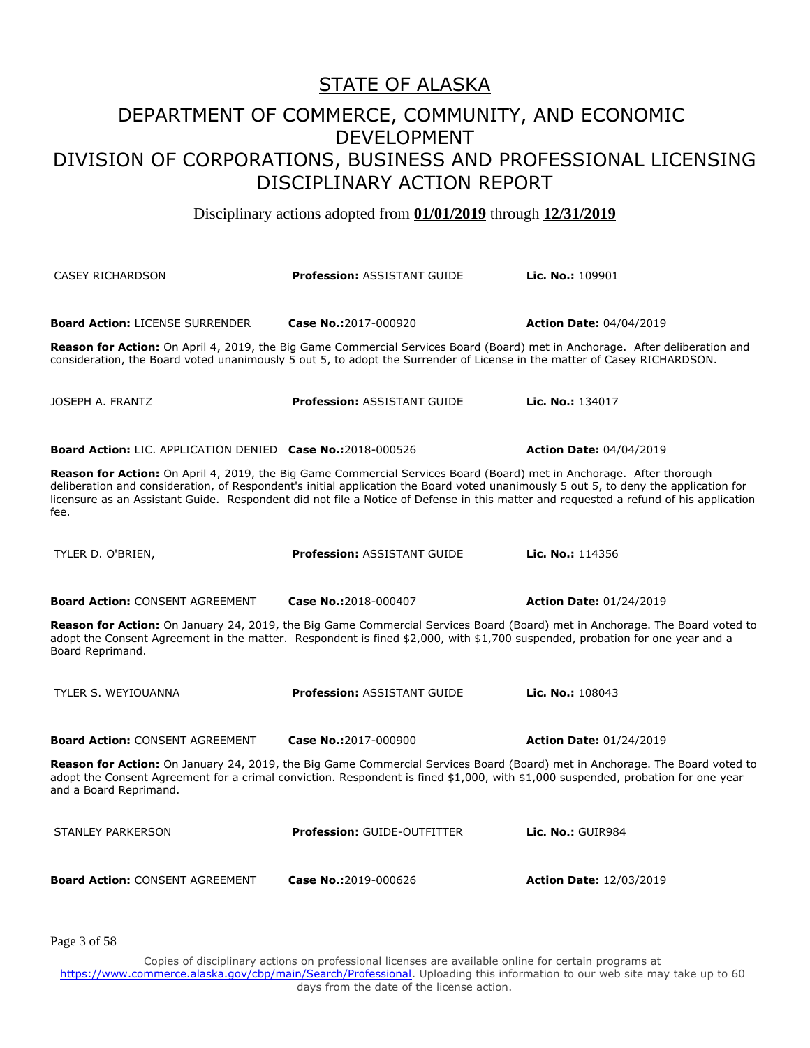Disciplinary actions adopted from **01/01/2019** through **12/31/2019**

| <b>CASEY RICHARDSON</b>                                           | <b>Profession: ASSISTANT GUIDE</b>                                                                                                                                                                                                                                                                                                                                                                    | Lic. No.: $109901$                                                                                                          |
|-------------------------------------------------------------------|-------------------------------------------------------------------------------------------------------------------------------------------------------------------------------------------------------------------------------------------------------------------------------------------------------------------------------------------------------------------------------------------------------|-----------------------------------------------------------------------------------------------------------------------------|
| <b>Board Action: LICENSE SURRENDER</b>                            | Case No.:2017-000920                                                                                                                                                                                                                                                                                                                                                                                  | <b>Action Date: 04/04/2019</b>                                                                                              |
|                                                                   | Reason for Action: On April 4, 2019, the Big Game Commercial Services Board (Board) met in Anchorage. After deliberation and<br>consideration, the Board voted unanimously 5 out 5, to adopt the Surrender of License in the matter of Casey RICHARDSON.                                                                                                                                              |                                                                                                                             |
| JOSEPH A. FRANTZ                                                  | <b>Profession: ASSISTANT GUIDE</b>                                                                                                                                                                                                                                                                                                                                                                    | Lic. No.: 134017                                                                                                            |
| <b>Board Action: LIC. APPLICATION DENIED Case No.:2018-000526</b> |                                                                                                                                                                                                                                                                                                                                                                                                       | <b>Action Date: 04/04/2019</b>                                                                                              |
| fee.                                                              | Reason for Action: On April 4, 2019, the Big Game Commercial Services Board (Board) met in Anchorage. After thorough<br>deliberation and consideration, of Respondent's initial application the Board voted unanimously 5 out 5, to deny the application for<br>licensure as an Assistant Guide. Respondent did not file a Notice of Defense in this matter and requested a refund of his application |                                                                                                                             |
| TYLER D. O'BRIEN,                                                 | <b>Profession: ASSISTANT GUIDE</b>                                                                                                                                                                                                                                                                                                                                                                    | Lic. No.: 114356                                                                                                            |
| <b>Board Action: CONSENT AGREEMENT</b>                            | Case No.:2018-000407                                                                                                                                                                                                                                                                                                                                                                                  | <b>Action Date: 01/24/2019</b>                                                                                              |
| Board Reprimand.                                                  | adopt the Consent Agreement in the matter. Respondent is fined \$2,000, with \$1,700 suspended, probation for one year and a                                                                                                                                                                                                                                                                          | Reason for Action: On January 24, 2019, the Big Game Commercial Services Board (Board) met in Anchorage. The Board voted to |
| TYLER S. WEYIOUANNA                                               | <b>Profession: ASSISTANT GUIDE</b>                                                                                                                                                                                                                                                                                                                                                                    | Lic. No.: 108043                                                                                                            |
| <b>Board Action: CONSENT AGREEMENT</b>                            | Case No.:2017-000900                                                                                                                                                                                                                                                                                                                                                                                  | <b>Action Date: 01/24/2019</b>                                                                                              |
| and a Board Reprimand.                                            | adopt the Consent Agreement for a crimal conviction. Respondent is fined \$1,000, with \$1,000 suspended, probation for one year                                                                                                                                                                                                                                                                      | Reason for Action: On January 24, 2019, the Big Game Commercial Services Board (Board) met in Anchorage. The Board voted to |
| <b>STANLEY PARKERSON</b>                                          | <b>Profession: GUIDE-OUTFITTER</b>                                                                                                                                                                                                                                                                                                                                                                    | Lic. No.: GUIR984                                                                                                           |
| <b>Board Action: CONSENT AGREEMENT</b>                            | Case No.:2019-000626                                                                                                                                                                                                                                                                                                                                                                                  | <b>Action Date: 12/03/2019</b>                                                                                              |

Page 3 of 58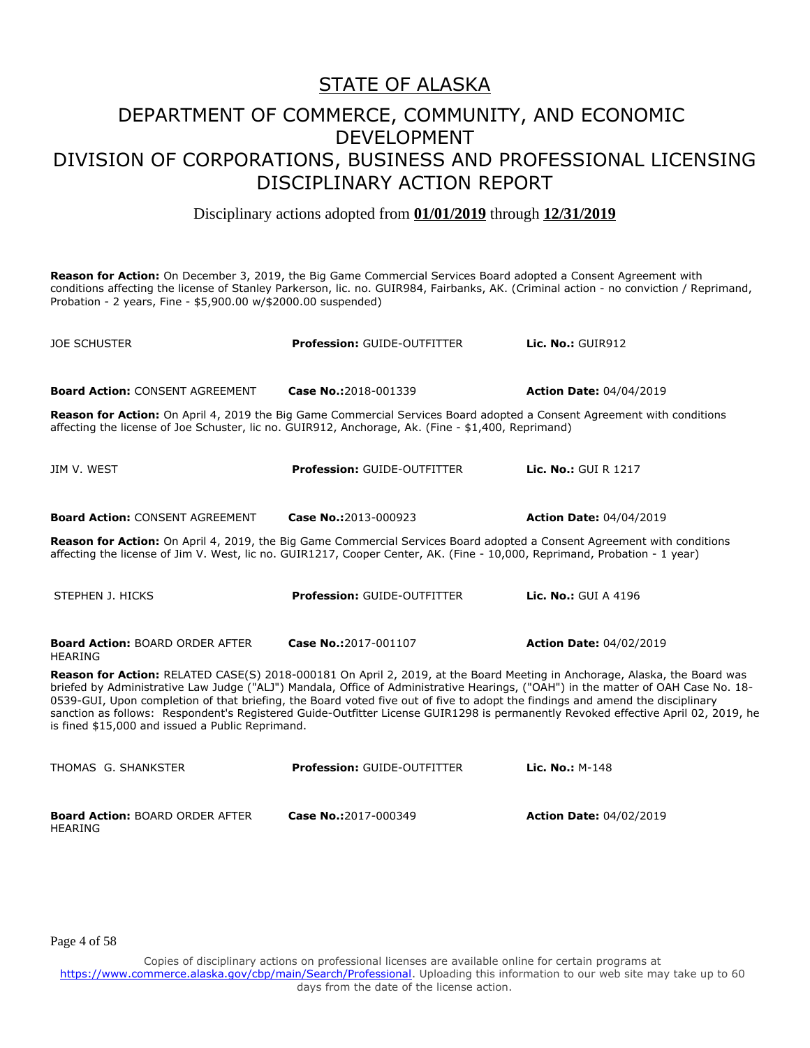Disciplinary actions adopted from **01/01/2019** through **12/31/2019**

**Reason for Action:** On December 3, 2019, the Big Game Commercial Services Board adopted a Consent Agreement with conditions affecting the license of Stanley Parkerson, lic. no. GUIR984, Fairbanks, AK. (Criminal action - no conviction / Reprimand, Probation - 2 years, Fine - \$5,900.00 w/\$2000.00 suspended)

| <b>JOE SCHUSTER</b>                                                                                                                                                                                                                                                                                                                                                                                                                                                                                                                                                                      | <b>Profession: GUIDE-OUTFITTER</b> | Lic. No.: GUIR912              |  |
|------------------------------------------------------------------------------------------------------------------------------------------------------------------------------------------------------------------------------------------------------------------------------------------------------------------------------------------------------------------------------------------------------------------------------------------------------------------------------------------------------------------------------------------------------------------------------------------|------------------------------------|--------------------------------|--|
| <b>Board Action: CONSENT AGREEMENT</b>                                                                                                                                                                                                                                                                                                                                                                                                                                                                                                                                                   | Case No.:2018-001339               | <b>Action Date: 04/04/2019</b> |  |
| Reason for Action: On April 4, 2019 the Big Game Commercial Services Board adopted a Consent Agreement with conditions<br>affecting the license of Joe Schuster, lic no. GUIR912, Anchorage, Ak. (Fine - \$1,400, Reprimand)                                                                                                                                                                                                                                                                                                                                                             |                                    |                                |  |
| JIM V. WEST                                                                                                                                                                                                                                                                                                                                                                                                                                                                                                                                                                              | <b>Profession: GUIDE-OUTFITTER</b> | Lic. No.: GUI R 1217           |  |
| <b>Board Action: CONSENT AGREEMENT</b>                                                                                                                                                                                                                                                                                                                                                                                                                                                                                                                                                   | Case No.:2013-000923               | <b>Action Date: 04/04/2019</b> |  |
| Reason for Action: On April 4, 2019, the Big Game Commercial Services Board adopted a Consent Agreement with conditions<br>affecting the license of Jim V. West, lic no. GUIR1217, Cooper Center, AK. (Fine - 10,000, Reprimand, Probation - 1 year)                                                                                                                                                                                                                                                                                                                                     |                                    |                                |  |
| STEPHEN J. HICKS                                                                                                                                                                                                                                                                                                                                                                                                                                                                                                                                                                         | <b>Profession: GUIDE-OUTFITTER</b> | Lic. No.: GUI A 4196           |  |
| <b>Board Action: BOARD ORDER AFTER</b><br><b>HEARING</b>                                                                                                                                                                                                                                                                                                                                                                                                                                                                                                                                 | Case No.:2017-001107               | <b>Action Date: 04/02/2019</b> |  |
| Reason for Action: RELATED CASE(S) 2018-000181 On April 2, 2019, at the Board Meeting in Anchorage, Alaska, the Board was<br>briefed by Administrative Law Judge ("ALJ") Mandala, Office of Administrative Hearings, ("OAH") in the matter of OAH Case No. 18-<br>0539-GUI, Upon completion of that briefing, the Board voted five out of five to adopt the findings and amend the disciplinary<br>sanction as follows: Respondent's Registered Guide-Outfitter License GUIR1298 is permanently Revoked effective April 02, 2019, he<br>is fined \$15,000 and issued a Public Reprimand. |                                    |                                |  |
| THOMAS G. SHANKSTER                                                                                                                                                                                                                                                                                                                                                                                                                                                                                                                                                                      | <b>Profession: GUIDE-OUTFITTER</b> | Lic. No.: M-148                |  |
| <b>Board Action: BOARD ORDER AFTER</b>                                                                                                                                                                                                                                                                                                                                                                                                                                                                                                                                                   | Case No.:2017-000349               | <b>Action Date: 04/02/2019</b> |  |

Page 4 of 58

HEARING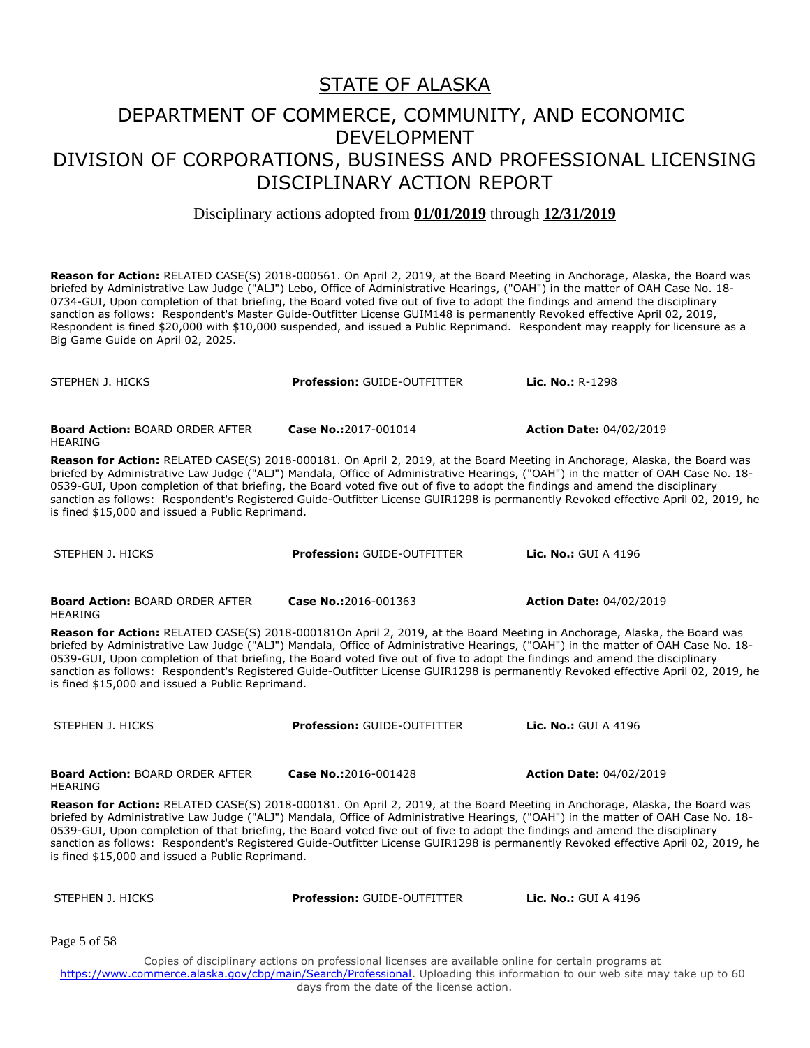Disciplinary actions adopted from **01/01/2019** through **12/31/2019**

**Reason for Action:** RELATED CASE(S) 2018-000561. On April 2, 2019, at the Board Meeting in Anchorage, Alaska, the Board was briefed by Administrative Law Judge ("ALJ") Lebo, Office of Administrative Hearings, ("OAH") in the matter of OAH Case No. 18- 0734-GUI, Upon completion of that briefing, the Board voted five out of five to adopt the findings and amend the disciplinary sanction as follows: Respondent's Master Guide-Outfitter License GUIM148 is permanently Revoked effective April 02, 2019, Respondent is fined \$20,000 with \$10,000 suspended, and issued a Public Reprimand. Respondent may reapply for licensure as a Big Game Guide on April 02, 2025.

STEPHEN J. HICKS **Profession:** GUIDE-OUTFITTER **Lic. No.:** R-1298 **Board Action:** BOARD ORDER AFTER HEARING **Case No.:**2017-001014 **Action Date:** 04/02/2019 **Reason for Action:** RELATED CASE(S) 2018-000181. On April 2, 2019, at the Board Meeting in Anchorage, Alaska, the Board was briefed by Administrative Law Judge ("ALJ") Mandala, Office of Administrative Hearings, ("OAH") in the matter of OAH Case No. 18- 0539-GUI, Upon completion of that briefing, the Board voted five out of five to adopt the findings and amend the disciplinary sanction as follows: Respondent's Registered Guide-Outfitter License GUIR1298 is permanently Revoked effective April 02, 2019, he is fined \$15,000 and issued a Public Reprimand. STEPHEN J. HICKS **Profession:** GUIDE-OUTFITTER **Lic. No.:** GUI A 4196 **Board Action:** BOARD ORDER AFTER HEARING **Case No.:**2016-001363 **Action Date:** 04/02/2019 **Reason for Action:** RELATED CASE(S) 2018-000181On April 2, 2019, at the Board Meeting in Anchorage, Alaska, the Board was briefed by Administrative Law Judge ("ALJ") Mandala, Office of Administrative Hearings, ("OAH") in the matter of OAH Case No. 18- 0539-GUI, Upon completion of that briefing, the Board voted five out of five to adopt the findings and amend the disciplinary sanction as follows: Respondent's Registered Guide-Outfitter License GUIR1298 is permanently Revoked effective April 02, 2019, he is fined \$15,000 and issued a Public Reprimand. STEPHEN J. HICKS **Profession:** GUIDE-OUTFITTER **Lic. No.:** GUI A 4196 **Board Action:** BOARD ORDER AFTER HEARING **Case No.:**2016-001428 **Action Date:** 04/02/2019 **Reason for Action:** RELATED CASE(S) 2018-000181. On April 2, 2019, at the Board Meeting in Anchorage, Alaska, the Board was briefed by Administrative Law Judge ("ALJ") Mandala, Office of Administrative Hearings, ("OAH") in the matter of OAH Case No. 18- 0539-GUI, Upon completion of that briefing, the Board voted five out of five to adopt the findings and amend the disciplinary sanction as follows: Respondent's Registered Guide-Outfitter License GUIR1298 is permanently Revoked effective April 02, 2019, he is fined \$15,000 and issued a Public Reprimand.

| STEPHEN J. HICKS | <b>Profession: GUIDE-OUTFITTER</b> | <b>Lic. No.: GUI A 4196</b> |
|------------------|------------------------------------|-----------------------------|

Page 5 of 58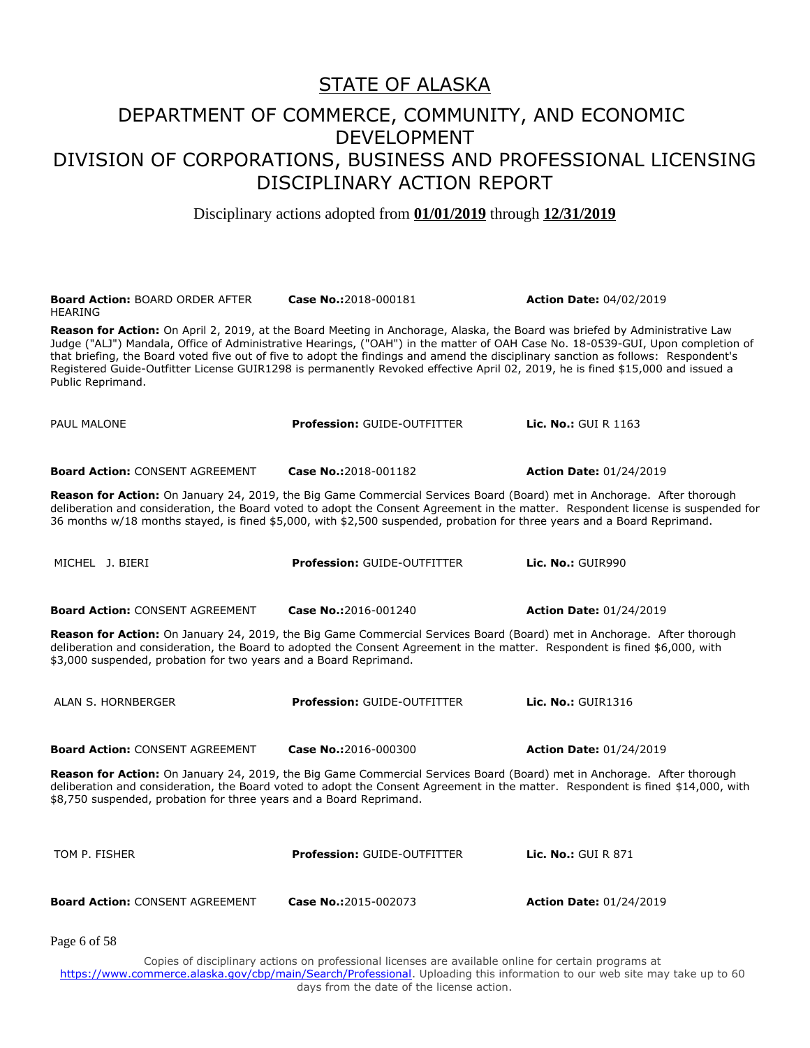Disciplinary actions adopted from **01/01/2019** through **12/31/2019**

| <b>Board Action: BOARD ORDER AFTER</b><br><b>HEARING</b>                                                                                                                                                                                                                                                                           | Case No.:2018-000181                                                                                                                                                                                                                                                                                                                                                                                                                                                                                                                   | <b>Action Date: 04/02/2019</b>                                                                                                    |  |
|------------------------------------------------------------------------------------------------------------------------------------------------------------------------------------------------------------------------------------------------------------------------------------------------------------------------------------|----------------------------------------------------------------------------------------------------------------------------------------------------------------------------------------------------------------------------------------------------------------------------------------------------------------------------------------------------------------------------------------------------------------------------------------------------------------------------------------------------------------------------------------|-----------------------------------------------------------------------------------------------------------------------------------|--|
| Public Reprimand.                                                                                                                                                                                                                                                                                                                  | Reason for Action: On April 2, 2019, at the Board Meeting in Anchorage, Alaska, the Board was briefed by Administrative Law<br>Judge ("ALJ") Mandala, Office of Administrative Hearings, ("OAH") in the matter of OAH Case No. 18-0539-GUI, Upon completion of<br>that briefing, the Board voted five out of five to adopt the findings and amend the disciplinary sanction as follows: Respondent's<br>Registered Guide-Outfitter License GUIR1298 is permanently Revoked effective April 02, 2019, he is fined \$15,000 and issued a |                                                                                                                                   |  |
| <b>PAUL MALONE</b>                                                                                                                                                                                                                                                                                                                 | <b>Profession: GUIDE-OUTFITTER</b>                                                                                                                                                                                                                                                                                                                                                                                                                                                                                                     | <b>Lic. No.: GUI R 1163</b>                                                                                                       |  |
| <b>Board Action: CONSENT AGREEMENT</b>                                                                                                                                                                                                                                                                                             | Case No.:2018-001182                                                                                                                                                                                                                                                                                                                                                                                                                                                                                                                   | <b>Action Date: 01/24/2019</b>                                                                                                    |  |
|                                                                                                                                                                                                                                                                                                                                    | <b>Reason for Action:</b> On January 24, 2019, the Big Game Commercial Services Board (Board) met in Anchorage. After thorough<br>36 months w/18 months stayed, is fined \$5,000, with \$2,500 suspended, probation for three years and a Board Reprimand.                                                                                                                                                                                                                                                                             | deliberation and consideration, the Board voted to adopt the Consent Agreement in the matter. Respondent license is suspended for |  |
| MICHEL J. BIERI                                                                                                                                                                                                                                                                                                                    | <b>Profession: GUIDE-OUTFITTER</b>                                                                                                                                                                                                                                                                                                                                                                                                                                                                                                     | Lic. No.: GUIR990                                                                                                                 |  |
| <b>Board Action: CONSENT AGREEMENT</b>                                                                                                                                                                                                                                                                                             | Case No.:2016-001240                                                                                                                                                                                                                                                                                                                                                                                                                                                                                                                   | <b>Action Date: 01/24/2019</b>                                                                                                    |  |
| \$3,000 suspended, probation for two years and a Board Reprimand.                                                                                                                                                                                                                                                                  | Reason for Action: On January 24, 2019, the Big Game Commercial Services Board (Board) met in Anchorage. After thorough<br>deliberation and consideration, the Board to adopted the Consent Agreement in the matter. Respondent is fined \$6,000, with                                                                                                                                                                                                                                                                                 |                                                                                                                                   |  |
| ALAN S. HORNBERGER                                                                                                                                                                                                                                                                                                                 | <b>Profession: GUIDE-OUTFITTER</b>                                                                                                                                                                                                                                                                                                                                                                                                                                                                                                     | <b>Lic. No.: GUIR1316</b>                                                                                                         |  |
| <b>Board Action: CONSENT AGREEMENT</b>                                                                                                                                                                                                                                                                                             | Case No.:2016-000300                                                                                                                                                                                                                                                                                                                                                                                                                                                                                                                   | <b>Action Date: 01/24/2019</b>                                                                                                    |  |
| Reason for Action: On January 24, 2019, the Big Game Commercial Services Board (Board) met in Anchorage. After thorough<br>deliberation and consideration, the Board voted to adopt the Consent Agreement in the matter. Respondent is fined \$14,000, with<br>\$8,750 suspended, probation for three years and a Board Reprimand. |                                                                                                                                                                                                                                                                                                                                                                                                                                                                                                                                        |                                                                                                                                   |  |
| TOM P. FISHER                                                                                                                                                                                                                                                                                                                      | <b>Profession: GUIDE-OUTFITTER</b>                                                                                                                                                                                                                                                                                                                                                                                                                                                                                                     | <b>Lic. No.: GUI R 871</b>                                                                                                        |  |
| <b>Board Action: CONSENT AGREEMENT</b>                                                                                                                                                                                                                                                                                             | Case No.:2015-002073                                                                                                                                                                                                                                                                                                                                                                                                                                                                                                                   | <b>Action Date: 01/24/2019</b>                                                                                                    |  |
| Page 6 of 58                                                                                                                                                                                                                                                                                                                       |                                                                                                                                                                                                                                                                                                                                                                                                                                                                                                                                        |                                                                                                                                   |  |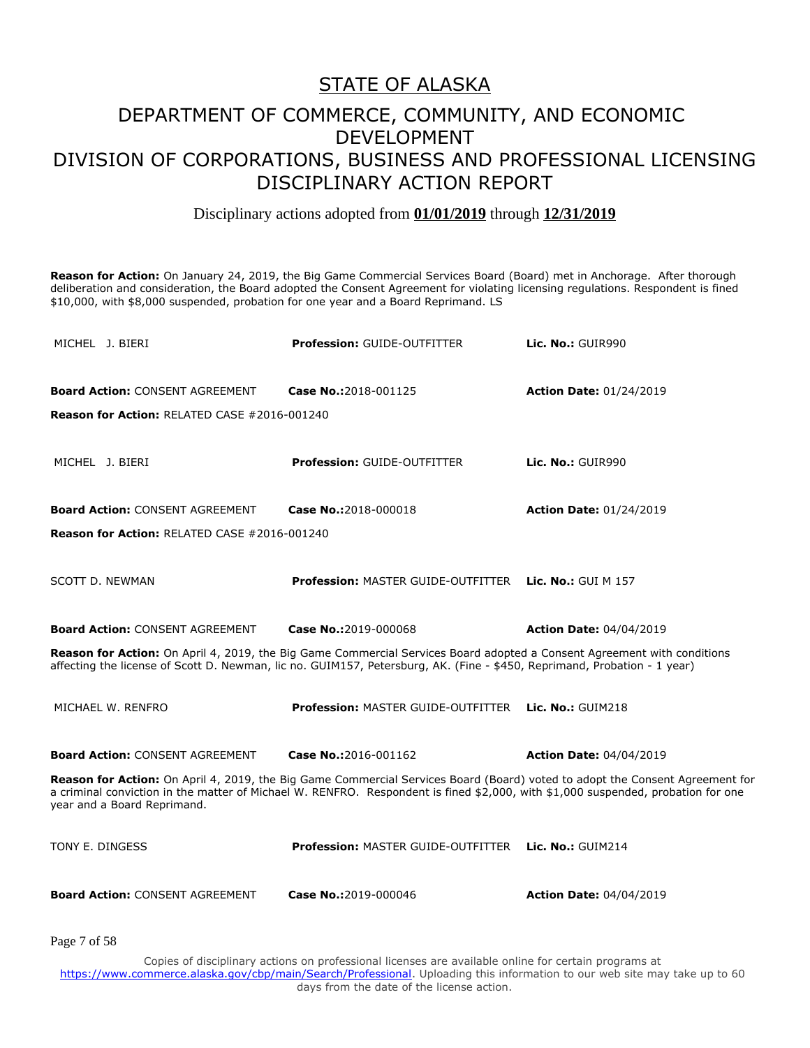#### Disciplinary actions adopted from **01/01/2019** through **12/31/2019**

**Reason for Action:** On January 24, 2019, the Big Game Commercial Services Board (Board) met in Anchorage. After thorough deliberation and consideration, the Board adopted the Consent Agreement for violating licensing regulations. Respondent is fined \$10,000, with \$8,000 suspended, probation for one year and a Board Reprimand. LS

| MICHEL J. BIERI                                                                                                                                                                                                                                                                                 | <b>Profession: GUIDE-OUTFITTER</b>        | Lic. No.: GUIR990              |  |
|-------------------------------------------------------------------------------------------------------------------------------------------------------------------------------------------------------------------------------------------------------------------------------------------------|-------------------------------------------|--------------------------------|--|
| <b>Board Action: CONSENT AGREEMENT</b>                                                                                                                                                                                                                                                          | Case No.:2018-001125                      | <b>Action Date: 01/24/2019</b> |  |
| <b>Reason for Action: RELATED CASE #2016-001240</b>                                                                                                                                                                                                                                             |                                           |                                |  |
| MICHEL J. BIERI                                                                                                                                                                                                                                                                                 | <b>Profession: GUIDE-OUTFITTER</b>        | Lic. No.: GUIR990              |  |
| <b>Board Action: CONSENT AGREEMENT</b>                                                                                                                                                                                                                                                          | Case No.:2018-000018                      | <b>Action Date: 01/24/2019</b> |  |
| <b>Reason for Action: RELATED CASE #2016-001240</b>                                                                                                                                                                                                                                             |                                           |                                |  |
| SCOTT D. NEWMAN                                                                                                                                                                                                                                                                                 | <b>Profession: MASTER GUIDE-OUTFITTER</b> | <b>Lic. No.:</b> GUI M $157$   |  |
| <b>Board Action: CONSENT AGREEMENT</b>                                                                                                                                                                                                                                                          | Case No.:2019-000068                      | <b>Action Date: 04/04/2019</b> |  |
| Reason for Action: On April 4, 2019, the Big Game Commercial Services Board adopted a Consent Agreement with conditions<br>affecting the license of Scott D. Newman, lic no. GUIM157, Petersburg, AK. (Fine - \$450, Reprimand, Probation - 1 year)                                             |                                           |                                |  |
| MICHAEL W. RENFRO                                                                                                                                                                                                                                                                               | <b>Profession: MASTER GUIDE-OUTFITTER</b> | Lic. $No.:$ GUIM218            |  |
| <b>Board Action: CONSENT AGREEMENT</b>                                                                                                                                                                                                                                                          | Case No.:2016-001162                      | <b>Action Date: 04/04/2019</b> |  |
| Reason for Action: On April 4, 2019, the Big Game Commercial Services Board (Board) voted to adopt the Consent Agreement for<br>a criminal conviction in the matter of Michael W. RENFRO. Respondent is fined \$2,000, with \$1,000 suspended, probation for one<br>year and a Board Reprimand. |                                           |                                |  |
| TONY E. DINGESS                                                                                                                                                                                                                                                                                 | <b>Profession: MASTER GUIDE-OUTFITTER</b> | Lic. $No.:$ GUIM214            |  |
| <b>Board Action: CONSENT AGREEMENT</b>                                                                                                                                                                                                                                                          | Case No.:2019-000046                      | <b>Action Date: 04/04/2019</b> |  |

Page 7 of 58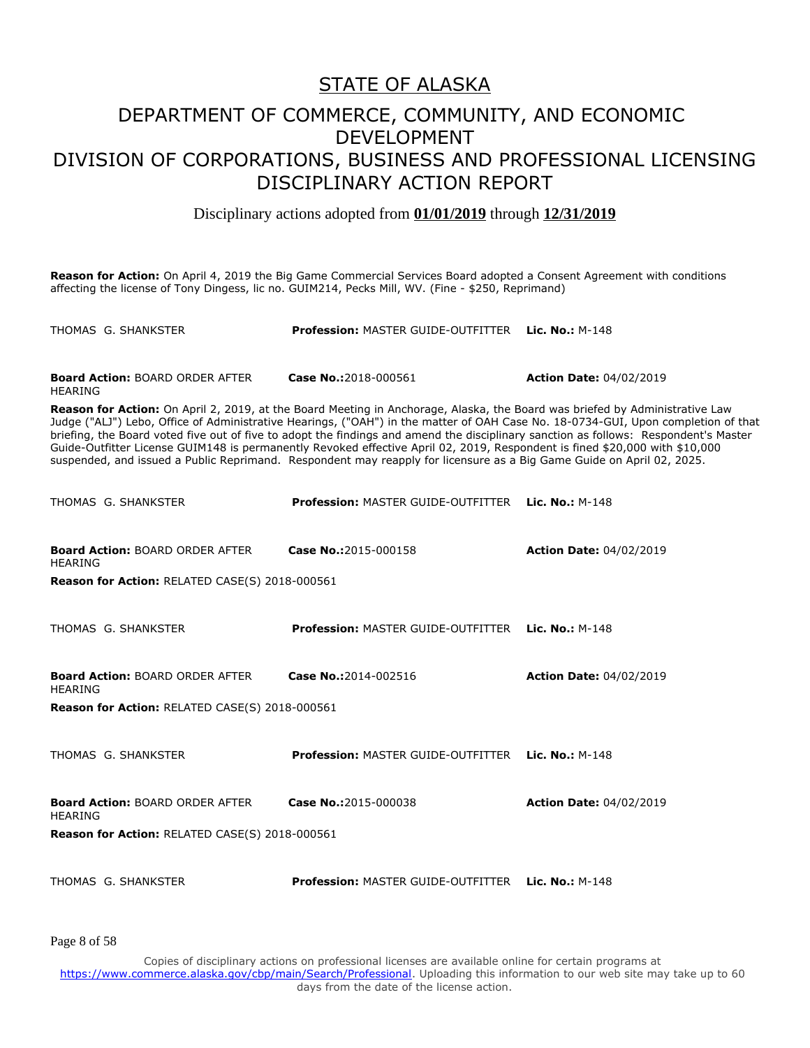#### DEPARTMENT OF COMMERCE, COMMUNITY, AND ECONOMIC DEVELOPMENT DIVISION OF CORPORATIONS, BUSINESS AND PROFESSIONAL LICENSING DISCIPLINARY ACTION REPORT

Disciplinary actions adopted from **01/01/2019** through **12/31/2019**

**Reason for Action:** On April 4, 2019 the Big Game Commercial Services Board adopted a Consent Agreement with conditions affecting the license of Tony Dingess, lic no. GUIM214, Pecks Mill, WV. (Fine - \$250, Reprimand)

| THOMAS G. SHANKSTER                                                                                                                                                                                                                                                                                                                                                                                                                                                                                                                                                                                                                                              | Profession: MASTER GUIDE-OUTFITTER Lic. No.: M-148        |                                |  |
|------------------------------------------------------------------------------------------------------------------------------------------------------------------------------------------------------------------------------------------------------------------------------------------------------------------------------------------------------------------------------------------------------------------------------------------------------------------------------------------------------------------------------------------------------------------------------------------------------------------------------------------------------------------|-----------------------------------------------------------|--------------------------------|--|
| <b>Board Action: BOARD ORDER AFTER</b><br><b>HEARING</b>                                                                                                                                                                                                                                                                                                                                                                                                                                                                                                                                                                                                         | Case No.:2018-000561                                      | <b>Action Date: 04/02/2019</b> |  |
| Reason for Action: On April 2, 2019, at the Board Meeting in Anchorage, Alaska, the Board was briefed by Administrative Law<br>Judge ("ALJ") Lebo, Office of Administrative Hearings, ("OAH") in the matter of OAH Case No. 18-0734-GUI, Upon completion of that<br>briefing, the Board voted five out of five to adopt the findings and amend the disciplinary sanction as follows: Respondent's Master<br>Guide-Outfitter License GUIM148 is permanently Revoked effective April 02, 2019, Respondent is fined \$20,000 with \$10,000<br>suspended, and issued a Public Reprimand. Respondent may reapply for licensure as a Big Game Guide on April 02, 2025. |                                                           |                                |  |
| THOMAS G. SHANKSTER                                                                                                                                                                                                                                                                                                                                                                                                                                                                                                                                                                                                                                              | <b>Profession: MASTER GUIDE-OUTFITTER Lic. No.: M-148</b> |                                |  |
| <b>Board Action: BOARD ORDER AFTER</b><br><b>HEARING</b>                                                                                                                                                                                                                                                                                                                                                                                                                                                                                                                                                                                                         | Case No.:2015-000158                                      | <b>Action Date: 04/02/2019</b> |  |
| <b>Reason for Action: RELATED CASE(S) 2018-000561</b>                                                                                                                                                                                                                                                                                                                                                                                                                                                                                                                                                                                                            |                                                           |                                |  |
| THOMAS G. SHANKSTER                                                                                                                                                                                                                                                                                                                                                                                                                                                                                                                                                                                                                                              | <b>Profession: MASTER GUIDE-OUTFITTER Lic. No.: M-148</b> |                                |  |
| <b>Board Action: BOARD ORDER AFTER</b><br><b>HEARING</b>                                                                                                                                                                                                                                                                                                                                                                                                                                                                                                                                                                                                         | Case No.:2014-002516                                      | <b>Action Date: 04/02/2019</b> |  |
| <b>Reason for Action: RELATED CASE(S) 2018-000561</b>                                                                                                                                                                                                                                                                                                                                                                                                                                                                                                                                                                                                            |                                                           |                                |  |
| THOMAS G. SHANKSTER                                                                                                                                                                                                                                                                                                                                                                                                                                                                                                                                                                                                                                              | <b>Profession: MASTER GUIDE-OUTFITTER Lic. No.: M-148</b> |                                |  |
| <b>Board Action: BOARD ORDER AFTER</b><br><b>HEARING</b>                                                                                                                                                                                                                                                                                                                                                                                                                                                                                                                                                                                                         | Case No.:2015-000038                                      | <b>Action Date: 04/02/2019</b> |  |
| Reason for Action: RELATED CASE(S) 2018-000561                                                                                                                                                                                                                                                                                                                                                                                                                                                                                                                                                                                                                   |                                                           |                                |  |

THOMAS G. SHANKSTER **Profession:** MASTER GUIDE-OUTFITTER **Lic. No.:** M-148

Page 8 of 58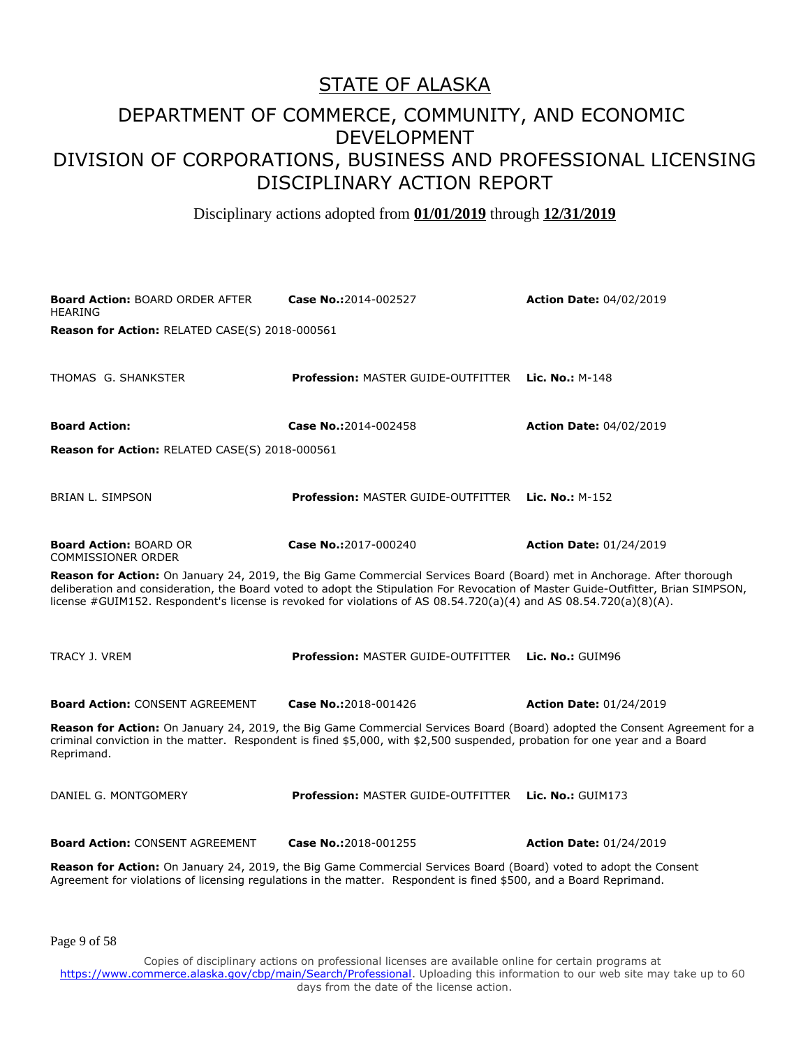#### DEPARTMENT OF COMMERCE, COMMUNITY, AND ECONOMIC DEVELOPMENT DIVISION OF CORPORATIONS, BUSINESS AND PROFESSIONAL LICENSING DISCIPLINARY ACTION REPORT

Disciplinary actions adopted from **01/01/2019** through **12/31/2019**

**Board Action:** BOARD ORDER AFTER HEARING **Case No.:**2014-002527 **Action Date:** 04/02/2019 **Reason for Action:** RELATED CASE(S) 2018-000561 THOMAS G. SHANKSTER **Profession:** MASTER GUIDE-OUTFITTER **Lic. No.:** M-148 **Board Action: Case No.:**2014-002458 **Action Date:** 04/02/2019 **Reason for Action:** RELATED CASE(S) 2018-000561 BRIAN L. SIMPSON **Profession:** MASTER GUIDE-OUTFITTER **Lic. No.:** M-152 **Board Action:** BOARD OR COMMISSIONER ORDER **Case No.:**2017-000240 **Action Date:** 01/24/2019 **Reason for Action:** On January 24, 2019, the Big Game Commercial Services Board (Board) met in Anchorage. After thorough deliberation and consideration, the Board voted to adopt the Stipulation For Revocation of Master Guide-Outfitter, Brian SIMPSON, license #GUIM152. Respondent's license is revoked for violations of AS 08.54.720(a)(4) and AS 08.54.720(a)(8)(A). TRACY J. VREM **Profession:** MASTER GUIDE-OUTFITTER **Lic. No.:** GUIM96 **Board Action:** CONSENT AGREEMENT **Case No.:**2018-001426 **Action Date:** 01/24/2019 **Reason for Action:** On January 24, 2019, the Big Game Commercial Services Board (Board) adopted the Consent Agreement for a criminal conviction in the matter. Respondent is fined \$5,000, with \$2,500 suspended, probation for one year and a Board Reprimand. DANIEL G. MONTGOMERY **Profession:** MASTER GUIDE-OUTFITTER **Lic. No.:** GUIM173 **Board Action:** CONSENT AGREEMENT **Case No.:**2018-001255 **Action Date:** 01/24/2019 **Reason for Action:** On January 24, 2019, the Big Game Commercial Services Board (Board) voted to adopt the Consent Agreement for violations of licensing regulations in the matter. Respondent is fined \$500, and a Board Reprimand.

Page 9 of 58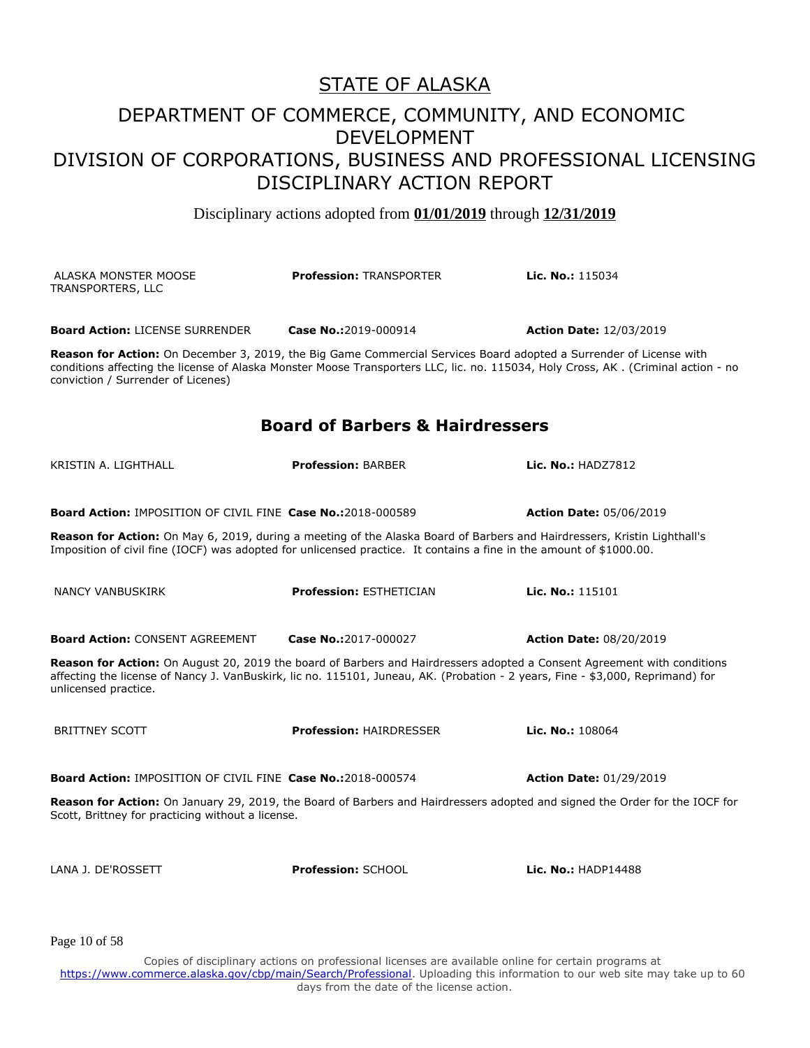Disciplinary actions adopted from **01/01/2019** through **12/31/2019**

| ALASKA MONSTER MOOSE<br>TRANSPORTERS, LLC                                                                                                                                                                                                                                                     | <b>Profession: TRANSPORTER</b>             | Lic. No.: 115034               |  |
|-----------------------------------------------------------------------------------------------------------------------------------------------------------------------------------------------------------------------------------------------------------------------------------------------|--------------------------------------------|--------------------------------|--|
| <b>Board Action: LICENSE SURRENDER</b>                                                                                                                                                                                                                                                        | Case No.:2019-000914                       | <b>Action Date: 12/03/2019</b> |  |
| Reason for Action: On December 3, 2019, the Big Game Commercial Services Board adopted a Surrender of License with<br>conditions affecting the license of Alaska Monster Moose Transporters LLC, lic. no. 115034, Holy Cross, AK. (Criminal action - no<br>conviction / Surrender of Licenes) |                                            |                                |  |
|                                                                                                                                                                                                                                                                                               | <b>Board of Barbers &amp; Hairdressers</b> |                                |  |
| KRISTIN A. LIGHTHALL                                                                                                                                                                                                                                                                          | <b>Profession: BARBER</b>                  | <b>Lic. No.: HADZ7812</b>      |  |
| <b>Board Action: IMPOSITION OF CIVIL FINE Case No.:2018-000589</b>                                                                                                                                                                                                                            |                                            | <b>Action Date: 05/06/2019</b> |  |
| Reason for Action: On May 6, 2019, during a meeting of the Alaska Board of Barbers and Hairdressers, Kristin Lighthall's<br>Imposition of civil fine (IOCF) was adopted for unlicensed practice. It contains a fine in the amount of \$1000.00.                                               |                                            |                                |  |
| NANCY VANBUSKIRK                                                                                                                                                                                                                                                                              | <b>Profession: ESTHETICIAN</b>             | Lic. No.: 115101               |  |
| <b>Board Action: CONSENT AGREEMENT</b>                                                                                                                                                                                                                                                        | Case No.:2017-000027                       | <b>Action Date: 08/20/2019</b> |  |
| Reason for Action: On August 20, 2019 the board of Barbers and Hairdressers adopted a Consent Agreement with conditions<br>affecting the license of Nancy J. VanBuskirk, lic no. 115101, Juneau, AK. (Probation - 2 years, Fine - \$3,000, Reprimand) for<br>unlicensed practice.             |                                            |                                |  |
| <b>BRITTNEY SCOTT</b>                                                                                                                                                                                                                                                                         | <b>Profession: HAIRDRESSER</b>             | Lic. No.: 108064               |  |
| <b>Board Action: IMPOSITION OF CIVIL FINE Case No.:2018-000574</b>                                                                                                                                                                                                                            |                                            | <b>Action Date: 01/29/2019</b> |  |
| Reason for Action: On January 29, 2019, the Board of Barbers and Hairdressers adopted and signed the Order for the IOCF for<br>Scott, Brittney for practicing without a license.                                                                                                              |                                            |                                |  |
| LANA J. DE'ROSSETT                                                                                                                                                                                                                                                                            | Profession: SCHOOL                         | Lic. No.: HADP14488            |  |

Page 10 of 58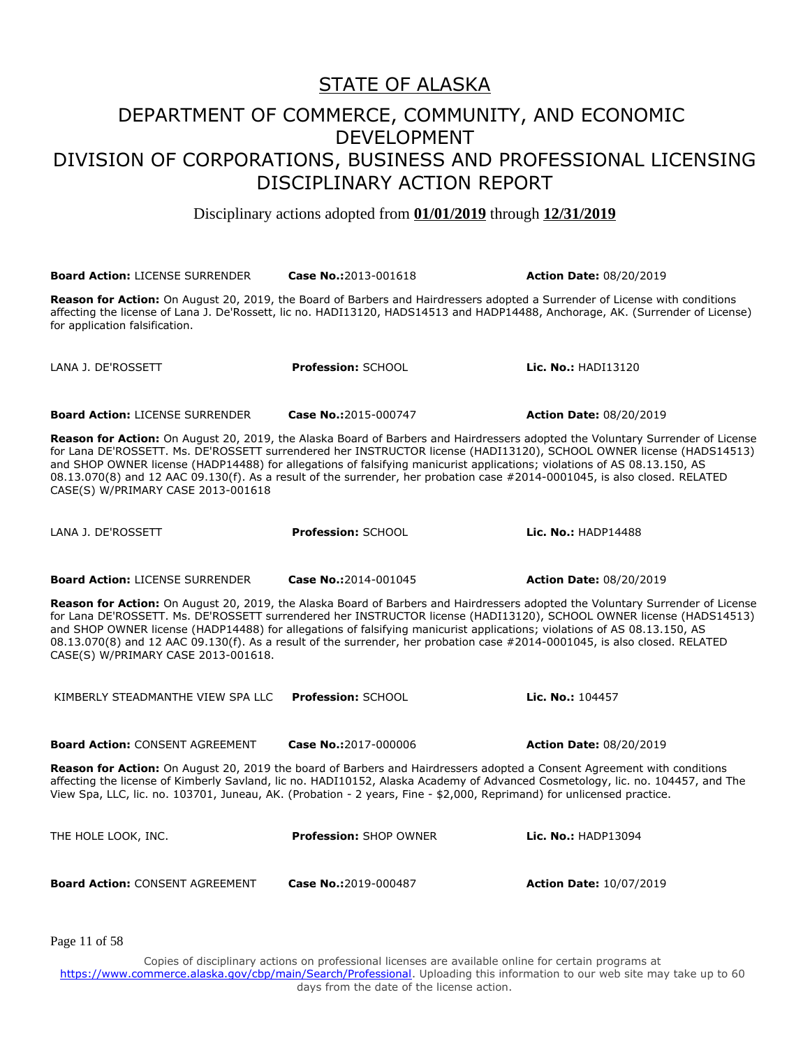Disciplinary actions adopted from **01/01/2019** through **12/31/2019**

**Board Action:** LICENSE SURRENDER **Case No.:**2013-001618 **Action Date:** 08/20/2019 **Reason for Action:** On August 20, 2019, the Board of Barbers and Hairdressers adopted a Surrender of License with conditions affecting the license of Lana J. De'Rossett, lic no. HADI13120, HADS14513 and HADP14488, Anchorage, AK. (Surrender of License) for application falsification. LANA J. DE'ROSSETT **Profession:** SCHOOL **Lic. No.:** HADI13120 **Board Action:** LICENSE SURRENDER **Case No.:**2015-000747 **Action Date:** 08/20/2019 **Reason for Action:** On August 20, 2019, the Alaska Board of Barbers and Hairdressers adopted the Voluntary Surrender of License for Lana DE'ROSSETT. Ms. DE'ROSSETT surrendered her INSTRUCTOR license (HADI13120), SCHOOL OWNER license (HADS14513) and SHOP OWNER license (HADP14488) for allegations of falsifying manicurist applications; violations of AS 08.13.150, AS 08.13.070(8) and 12 AAC 09.130(f). As a result of the surrender, her probation case #2014-0001045, is also closed. RELATED CASE(S) W/PRIMARY CASE 2013-001618 LANA J. DE'ROSSETT **Profession:** SCHOOL **Lic. No.:** HADP14488 **Board Action:** LICENSE SURRENDER **Case No.:**2014-001045 **Action Date:** 08/20/2019 **Reason for Action:** On August 20, 2019, the Alaska Board of Barbers and Hairdressers adopted the Voluntary Surrender of License for Lana DE'ROSSETT. Ms. DE'ROSSETT surrendered her INSTRUCTOR license (HADI13120), SCHOOL OWNER license (HADS14513) and SHOP OWNER license (HADP14488) for allegations of falsifying manicurist applications; violations of AS 08.13.150, AS 08.13.070(8) and 12 AAC 09.130(f). As a result of the surrender, her probation case #2014-0001045, is also closed. RELATED CASE(S) W/PRIMARY CASE 2013-001618. KIMBERLY STEADMANTHE VIEW SPA LLC **Profession:** SCHOOL **Lic. No.:** 104457 **Board Action:** CONSENT AGREEMENT **Case No.:**2017-000006 **Action Date:** 08/20/2019 **Reason for Action:** On August 20, 2019 the board of Barbers and Hairdressers adopted a Consent Agreement with conditions affecting the license of Kimberly Savland, lic no. HADI10152, Alaska Academy of Advanced Cosmetology, lic. no. 104457, and The View Spa, LLC, lic. no. 103701, Juneau, AK. (Probation - 2 years, Fine - \$2,000, Reprimand) for unlicensed practice. THE HOLE LOOK, INC. **Profession:** SHOP OWNER **Lic. No.:** HADP13094 **Board Action:** CONSENT AGREEMENT **Case No.:**2019-000487 **Action Date:** 10/07/2019

Page 11 of 58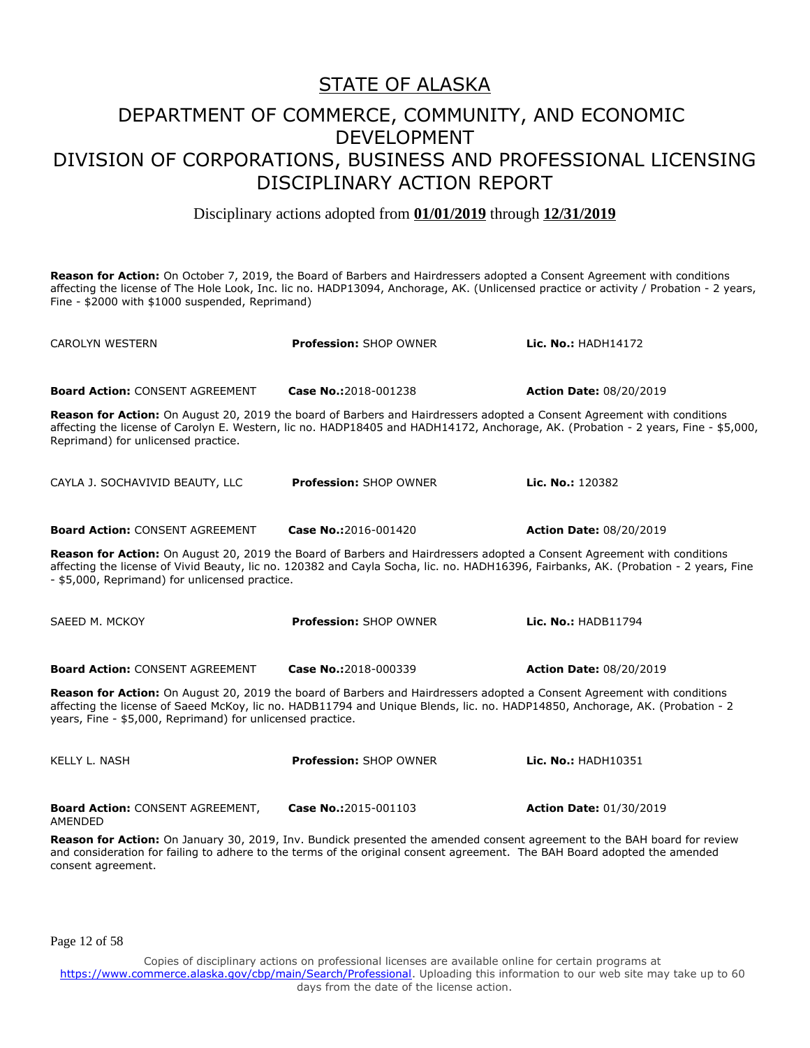Disciplinary actions adopted from **01/01/2019** through **12/31/2019**

**Reason for Action:** On October 7, 2019, the Board of Barbers and Hairdressers adopted a Consent Agreement with conditions affecting the license of The Hole Look, Inc. lic no. HADP13094, Anchorage, AK. (Unlicensed practice or activity / Probation - 2 years, Fine - \$2000 with \$1000 suspended, Reprimand)

| <b>CAROLYN WESTERN</b>                                                                                                                                                                                                                                                                                                | <b>Profession: SHOP OWNER</b> | Lic. No.: HADH14172                                                                                                                |  |
|-----------------------------------------------------------------------------------------------------------------------------------------------------------------------------------------------------------------------------------------------------------------------------------------------------------------------|-------------------------------|------------------------------------------------------------------------------------------------------------------------------------|--|
| <b>Board Action: CONSENT AGREEMENT</b>                                                                                                                                                                                                                                                                                | Case No.:2018-001238          | <b>Action Date: 08/20/2019</b>                                                                                                     |  |
| Reason for Action: On August 20, 2019 the board of Barbers and Hairdressers adopted a Consent Agreement with conditions<br>Reprimand) for unlicensed practice.                                                                                                                                                        |                               | affecting the license of Carolyn E. Western, lic no. HADP18405 and HADH14172, Anchorage, AK. (Probation - 2 years, Fine - \$5,000, |  |
| CAYLA J. SOCHAVIVID BEAUTY, LLC                                                                                                                                                                                                                                                                                       | <b>Profession: SHOP OWNER</b> | Lic. No.: 120382                                                                                                                   |  |
| <b>Board Action: CONSENT AGREEMENT</b>                                                                                                                                                                                                                                                                                | Case No.:2016-001420          | <b>Action Date: 08/20/2019</b>                                                                                                     |  |
| Reason for Action: On August 20, 2019 the Board of Barbers and Hairdressers adopted a Consent Agreement with conditions<br>affecting the license of Vivid Beauty, lic no. 120382 and Cayla Socha, lic. no. HADH16396, Fairbanks, AK. (Probation - 2 years, Fine<br>- \$5,000, Reprimand) for unlicensed practice.     |                               |                                                                                                                                    |  |
| SAEED M. MCKOY                                                                                                                                                                                                                                                                                                        | <b>Profession: SHOP OWNER</b> | Lic. No.: HADB11794                                                                                                                |  |
| <b>Board Action: CONSENT AGREEMENT</b>                                                                                                                                                                                                                                                                                | Case No.:2018-000339          | <b>Action Date: 08/20/2019</b>                                                                                                     |  |
| Reason for Action: On August 20, 2019 the board of Barbers and Hairdressers adopted a Consent Agreement with conditions<br>affecting the license of Saeed McKoy, lic no. HADB11794 and Unique Blends, lic. no. HADP14850, Anchorage, AK. (Probation - 2<br>years, Fine - \$5,000, Reprimand) for unlicensed practice. |                               |                                                                                                                                    |  |
| KELLY L. NASH                                                                                                                                                                                                                                                                                                         | <b>Profession: SHOP OWNER</b> | Lic. No.: HADH10351                                                                                                                |  |
| <b>Board Action: CONSENT AGREEMENT,</b><br>AMENDED                                                                                                                                                                                                                                                                    | Case No.:2015-001103          | <b>Action Date: 01/30/2019</b>                                                                                                     |  |

**Reason for Action:** On January 30, 2019, Inv. Bundick presented the amended consent agreement to the BAH board for review and consideration for failing to adhere to the terms of the original consent agreement. The BAH Board adopted the amended consent agreement.

Page 12 of 58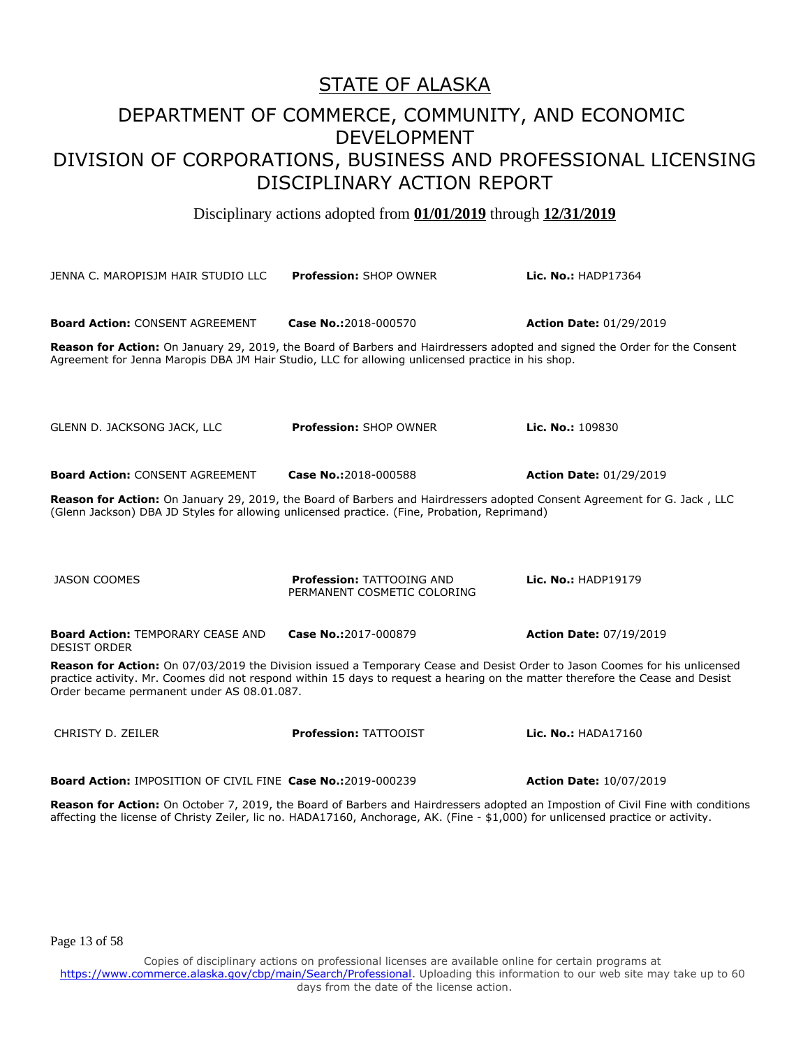Disciplinary actions adopted from **01/01/2019** through **12/31/2019**

JENNA C. MAROPISJM HAIR STUDIO LLC **Profession:** SHOP OWNER **Lic. No.:** HADP17364 **Board Action:** CONSENT AGREEMENT **Case No.:**2018-000570 **Action Date:** 01/29/2019 **Reason for Action:** On January 29, 2019, the Board of Barbers and Hairdressers adopted and signed the Order for the Consent Agreement for Jenna Maropis DBA JM Hair Studio, LLC for allowing unlicensed practice in his shop. GLENN D. JACKSONG JACK, LLC **Profession:** SHOP OWNER **Lic. No.:** 109830 **Board Action:** CONSENT AGREEMENT **Case No.:**2018-000588 **Action Date:** 01/29/2019 **Reason for Action:** On January 29, 2019, the Board of Barbers and Hairdressers adopted Consent Agreement for G. Jack , LLC (Glenn Jackson) DBA JD Styles for allowing unlicensed practice. (Fine, Probation, Reprimand) JASON COOMES **Profession:** TATTOOING AND PERMANENT COSMETIC COLORING **Lic. No.:** HADP19179 **Board Action:** TEMPORARY CEASE AND DESIST ORDER **Case No.:**2017-000879 **Action Date:** 07/19/2019 **Reason for Action:** On 07/03/2019 the Division issued a Temporary Cease and Desist Order to Jason Coomes for his unlicensed practice activity. Mr. Coomes did not respond within 15 days to request a hearing on the matter therefore the Cease and Desist Order became permanent under AS 08.01.087. CHRISTY D. ZEILER **Profession:** TATTOOIST **Lic. No.:** HADA17160 **Board Action:** IMPOSITION OF CIVIL FINE **Case No.:**2019-000239 **Action Date:** 10/07/2019 **Reason for Action:** On October 7, 2019, the Board of Barbers and Hairdressers adopted an Impostion of Civil Fine with conditions

Page 13 of 58

Copies of disciplinary actions on professional licenses are available online for certain programs at https://www.commerce.alaska.gov/cbp/main/Search/Professional</u>. Uploading this information to our web site may take up to 60 days from the date of the license action.

affecting the license of Christy Zeiler, lic no. HADA17160, Anchorage, AK. (Fine - \$1,000) for unlicensed practice or activity.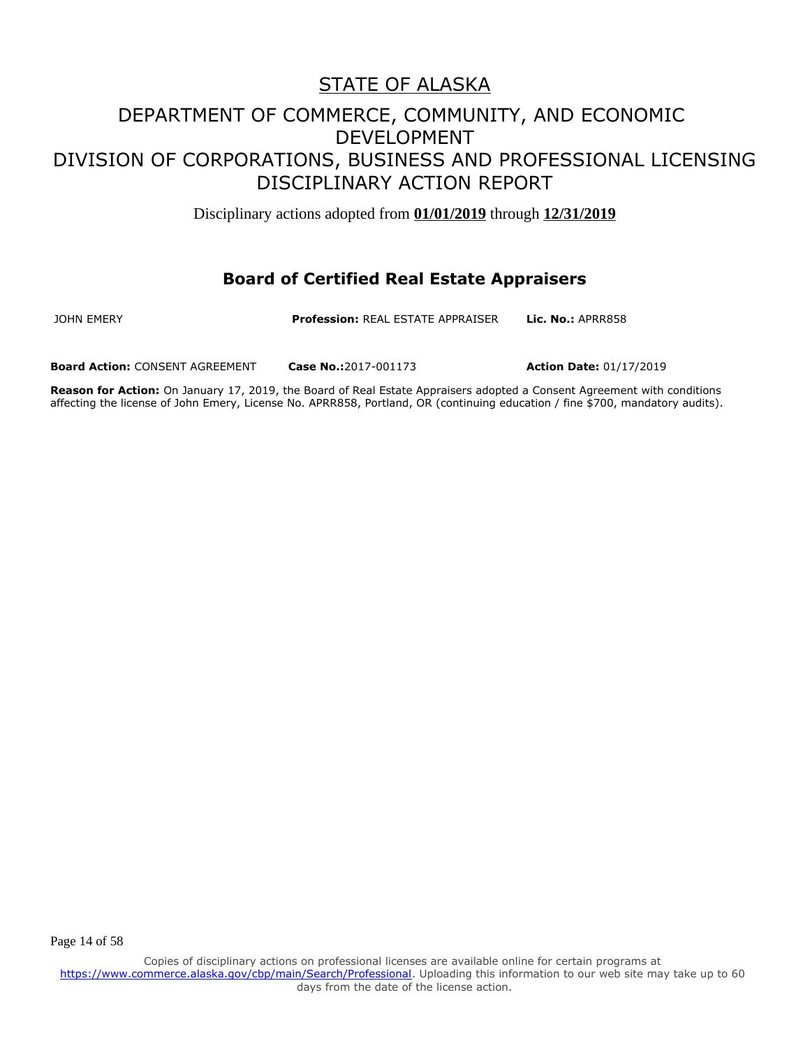Disciplinary actions adopted from **01/01/2019** through **12/31/2019**

#### **Board of Certified Real Estate Appraisers**

Page 14 of 58

JOHN EMERY **Profession:** REAL ESTATE APPRAISER **Lic. No.:** APRR858

**Board Action:** CONSENT AGREEMENT **Case No.:**2017-001173 **Action Date:** 01/17/2019

**Reason for Action:** On January 17, 2019, the Board of Real Estate Appraisers adopted a Consent Agreement with conditions affecting the license of John Emery, License No. APRR858, Portland, OR (continuing education / fine \$700, mandatory audits).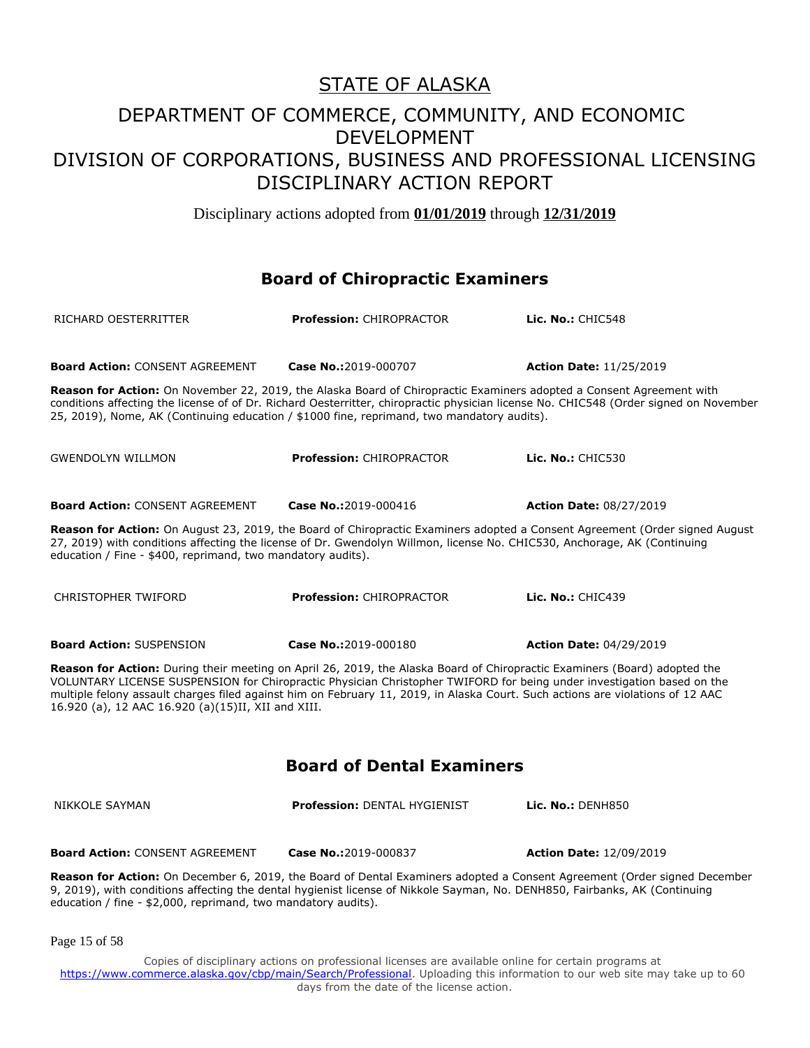Disciplinary actions adopted from **01/01/2019** through **12/31/2019**

#### **Board of Chiropractic Examiners**

| RICHARD OESTERRITTER                                                                                                                                                                                                                                                                                                                                                                                                                        | <b>Profession: CHIROPRACTOR</b>                                                                                                                                                                                    | Lic. $No.:$ CHIC548                                                                                                                   |  |
|---------------------------------------------------------------------------------------------------------------------------------------------------------------------------------------------------------------------------------------------------------------------------------------------------------------------------------------------------------------------------------------------------------------------------------------------|--------------------------------------------------------------------------------------------------------------------------------------------------------------------------------------------------------------------|---------------------------------------------------------------------------------------------------------------------------------------|--|
| <b>Board Action: CONSENT AGREEMENT</b>                                                                                                                                                                                                                                                                                                                                                                                                      | Case No.:2019-000707                                                                                                                                                                                               | <b>Action Date: 11/25/2019</b>                                                                                                        |  |
|                                                                                                                                                                                                                                                                                                                                                                                                                                             | Reason for Action: On November 22, 2019, the Alaska Board of Chiropractic Examiners adopted a Consent Agreement with<br>25, 2019), Nome, AK (Continuing education / \$1000 fine, reprimand, two mandatory audits). | conditions affecting the license of of Dr. Richard Oesterritter, chiropractic physician license No. CHIC548 (Order signed on November |  |
| <b>GWENDOLYN WILLMON</b>                                                                                                                                                                                                                                                                                                                                                                                                                    | Profession: CHIROPRACTOR                                                                                                                                                                                           | Lic. No.: CHIC530                                                                                                                     |  |
| <b>Board Action: CONSENT AGREEMENT</b>                                                                                                                                                                                                                                                                                                                                                                                                      | Case No.:2019-000416                                                                                                                                                                                               | <b>Action Date: 08/27/2019</b>                                                                                                        |  |
| Reason for Action: On August 23, 2019, the Board of Chiropractic Examiners adopted a Consent Agreement (Order signed August<br>27, 2019) with conditions affecting the license of Dr. Gwendolyn Willmon, license No. CHIC530, Anchorage, AK (Continuing<br>education / Fine - \$400, reprimand, two mandatory audits).                                                                                                                      |                                                                                                                                                                                                                    |                                                                                                                                       |  |
| <b>CHRISTOPHER TWIFORD</b>                                                                                                                                                                                                                                                                                                                                                                                                                  | <b>Profession: CHIROPRACTOR</b>                                                                                                                                                                                    | Lic. No.: $CHIC439$                                                                                                                   |  |
| <b>Board Action: SUSPENSION</b>                                                                                                                                                                                                                                                                                                                                                                                                             | Case No.:2019-000180                                                                                                                                                                                               | <b>Action Date: 04/29/2019</b>                                                                                                        |  |
| Reason for Action: During their meeting on April 26, 2019, the Alaska Board of Chiropractic Examiners (Board) adopted the<br>VOLUNTARY LICENSE SUSPENSION for Chiropractic Physician Christopher TWIFORD for being under investigation based on the<br>multiple felony assault charges filed against him on February 11, 2019, in Alaska Court. Such actions are violations of 12 AAC<br>16.920 (a), 12 AAC 16.920 (a)(15)II, XII and XIII. |                                                                                                                                                                                                                    |                                                                                                                                       |  |
| <b>Board of Dental Examiners</b>                                                                                                                                                                                                                                                                                                                                                                                                            |                                                                                                                                                                                                                    |                                                                                                                                       |  |
| NIKKOLE SAYMAN                                                                                                                                                                                                                                                                                                                                                                                                                              | <b>Profession: DENTAL HYGIENIST</b>                                                                                                                                                                                | <b>Lic. No.: DENH850</b>                                                                                                              |  |
| <b>Board Action: CONSENT AGREEMENT</b>                                                                                                                                                                                                                                                                                                                                                                                                      | Case No.:2019-000837                                                                                                                                                                                               | <b>Action Date: 12/09/2019</b>                                                                                                        |  |
| Reason for Action: On December 6, 2019, the Board of Dental Examiners adopted a Consent Agreement (Order signed December<br>9, 2019), with conditions affecting the dental hygienist license of Nikkole Sayman, No. DENH850, Fairbanks, AK (Continuing<br>education / fine - \$2,000, reprimand, two mandatory audits).                                                                                                                     |                                                                                                                                                                                                                    |                                                                                                                                       |  |

Page 15 of 58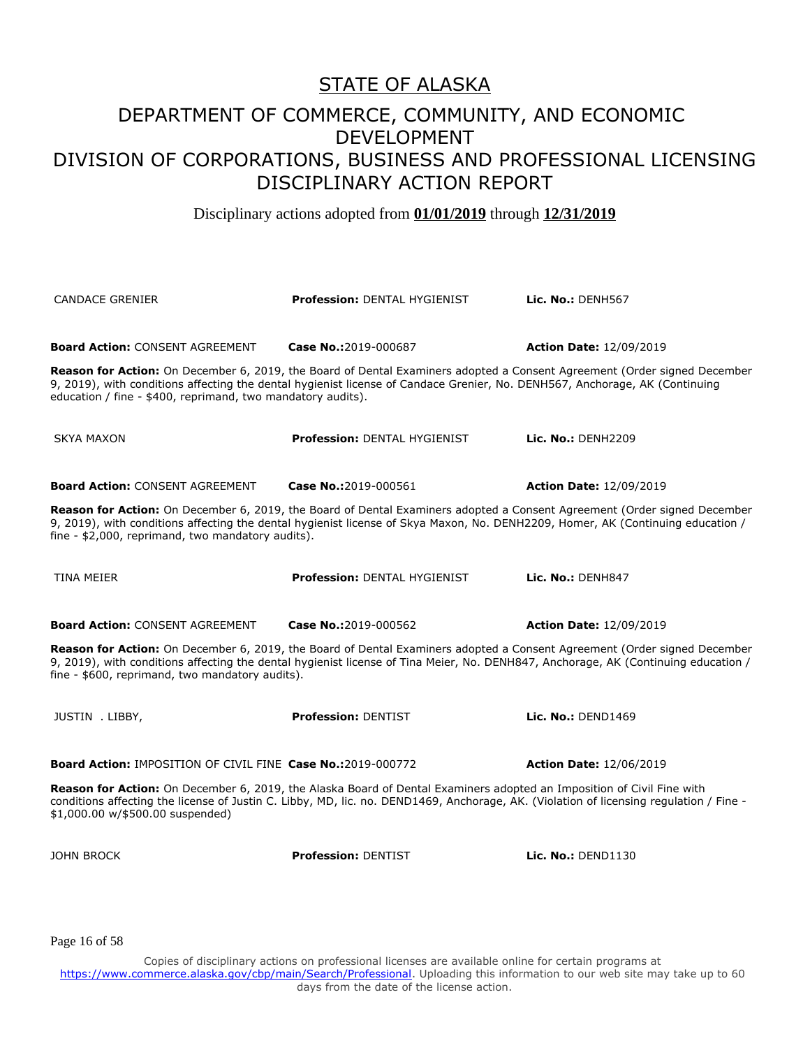Disciplinary actions adopted from **01/01/2019** through **12/31/2019**

CANDACE GRENIER **Profession:** DENTAL HYGIENIST **Lic. No.:** DENH567 **Board Action:** CONSENT AGREEMENT **Case No.:**2019-000687 **Action Date:** 12/09/2019 **Reason for Action:** On December 6, 2019, the Board of Dental Examiners adopted a Consent Agreement (Order signed December 9, 2019), with conditions affecting the dental hygienist license of Candace Grenier, No. DENH567, Anchorage, AK (Continuing education / fine - \$400, reprimand, two mandatory audits). SKYA MAXON **Profession:** DENTAL HYGIENIST **Lic. No.:** DENH2209 **Board Action:** CONSENT AGREEMENT **Case No.:**2019-000561 **Action Date:** 12/09/2019 **Reason for Action:** On December 6, 2019, the Board of Dental Examiners adopted a Consent Agreement (Order signed December 9, 2019), with conditions affecting the dental hygienist license of Skya Maxon, No. DENH2209, Homer, AK (Continuing education / fine - \$2,000, reprimand, two mandatory audits). TINA MEIER **Profession:** DENTAL HYGIENIST **Lic. No.:** DENH847 **Board Action:** CONSENT AGREEMENT **Case No.:**2019-000562 **Action Date:** 12/09/2019 **Reason for Action:** On December 6, 2019, the Board of Dental Examiners adopted a Consent Agreement (Order signed December 9, 2019), with conditions affecting the dental hygienist license of Tina Meier, No. DENH847, Anchorage, AK (Continuing education / fine - \$600, reprimand, two mandatory audits). JUSTIN . LIBBY, **Profession:** DENTIST **Lic. No.:** DEND1469 **Board Action:** IMPOSITION OF CIVIL FINE **Case No.:**2019-000772 **Action Date:** 12/06/2019 **Reason for Action:** On December 6, 2019, the Alaska Board of Dental Examiners adopted an Imposition of Civil Fine with conditions affecting the license of Justin C. Libby, MD, lic. no. DEND1469, Anchorage, AK. (Violation of licensing regulation / Fine - \$1,000.00 w/\$500.00 suspended) JOHN BROCK **Profession:** DENTIST **Lic. No.:** DEND1130

Page 16 of 58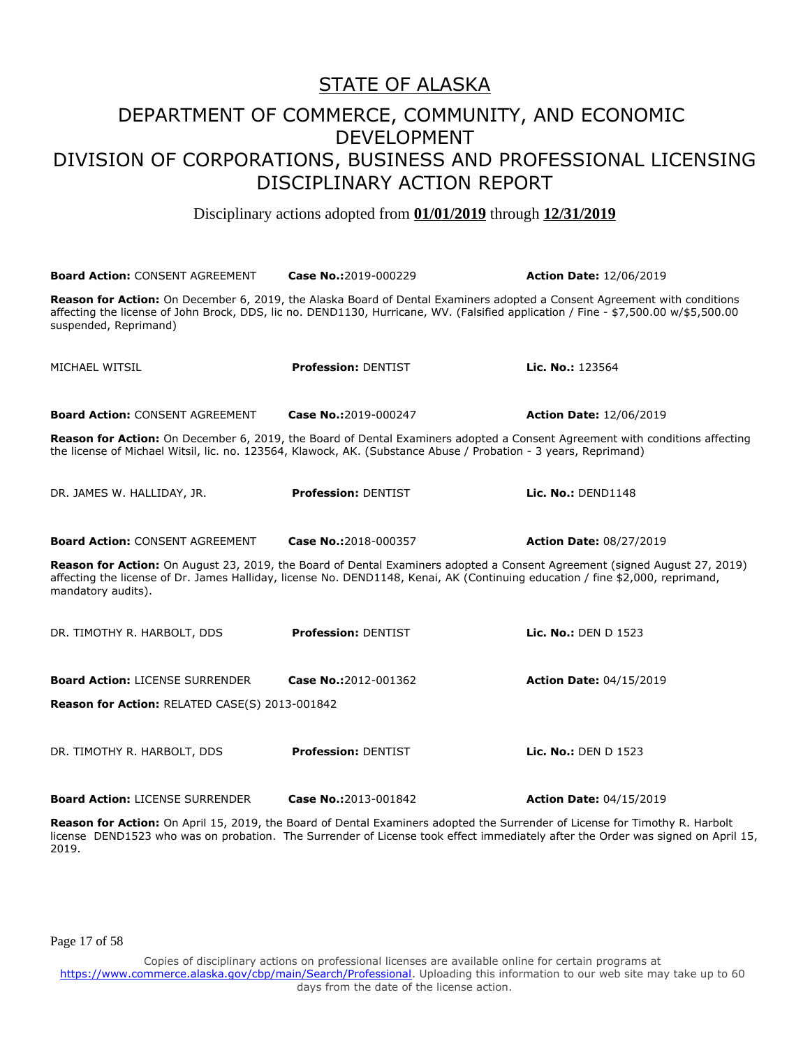#### DEPARTMENT OF COMMERCE, COMMUNITY, AND ECONOMIC DEVELOPMENT DIVISION OF CORPORATIONS, BUSINESS AND PROFESSIONAL LICENSING DISCIPLINARY ACTION REPORT

Disciplinary actions adopted from **01/01/2019** through **12/31/2019**

| <b>Board Action: CONSENT AGREEMENT</b>                                                                                                                                                                                                                                                  | Case No.:2019-000229       | <b>Action Date: 12/06/2019</b> |
|-----------------------------------------------------------------------------------------------------------------------------------------------------------------------------------------------------------------------------------------------------------------------------------------|----------------------------|--------------------------------|
| Reason for Action: On December 6, 2019, the Alaska Board of Dental Examiners adopted a Consent Agreement with conditions<br>affecting the license of John Brock, DDS, lic no. DEND1130, Hurricane, WV. (Falsified application / Fine - \$7,500.00 w/\$5,500.00<br>suspended, Reprimand) |                            |                                |
| MICHAEL WITSIL                                                                                                                                                                                                                                                                          | <b>Profession: DENTIST</b> | <b>Lic. No.:</b> $123564$      |
| <b>Board Action: CONSENT AGREEMENT</b>                                                                                                                                                                                                                                                  | Case No.:2019-000247       | <b>Action Date: 12/06/2019</b> |
| Reason for Action: On December 6, 2019, the Board of Dental Examiners adopted a Consent Agreement with conditions affecting<br>the license of Michael Witsil, lic. no. 123564, Klawock, AK. (Substance Abuse / Probation - 3 years, Reprimand)                                          |                            |                                |
| DR. JAMES W. HALLIDAY, JR.                                                                                                                                                                                                                                                              | <b>Profession: DENTIST</b> | Lic. No.: DEND1148             |
| <b>Board Action: CONSENT AGREEMENT</b>                                                                                                                                                                                                                                                  | Case No.:2018-000357       | <b>Action Date: 08/27/2019</b> |
| Reason for Action: On August 23, 2019, the Board of Dental Examiners adopted a Consent Agreement (signed August 27, 2019)<br>affecting the license of Dr. James Halliday, license No. DEND1148, Kenai, AK (Continuing education / fine \$2,000, reprimand,<br>mandatory audits).        |                            |                                |
| DR. TIMOTHY R. HARBOLT, DDS                                                                                                                                                                                                                                                             | <b>Profession: DENTIST</b> | Lic. No.: DEN D 1523           |
| <b>Board Action: LICENSE SURRENDER</b>                                                                                                                                                                                                                                                  | Case No.:2012-001362       | <b>Action Date: 04/15/2019</b> |
| Reason for Action: RELATED CASE(S) 2013-001842                                                                                                                                                                                                                                          |                            |                                |
| DR. TIMOTHY R. HARBOLT, DDS                                                                                                                                                                                                                                                             | <b>Profession: DENTIST</b> | Lic. No.: DEN D $1523$         |
| <b>Board Action: LICENSE SURRENDER</b>                                                                                                                                                                                                                                                  | Case No.:2013-001842       | <b>Action Date: 04/15/2019</b> |

**Reason for Action:** On April 15, 2019, the Board of Dental Examiners adopted the Surrender of License for Timothy R. Harbolt license DEND1523 who was on probation. The Surrender of License took effect immediately after the Order was signed on April 15, 2019.

Page 17 of 58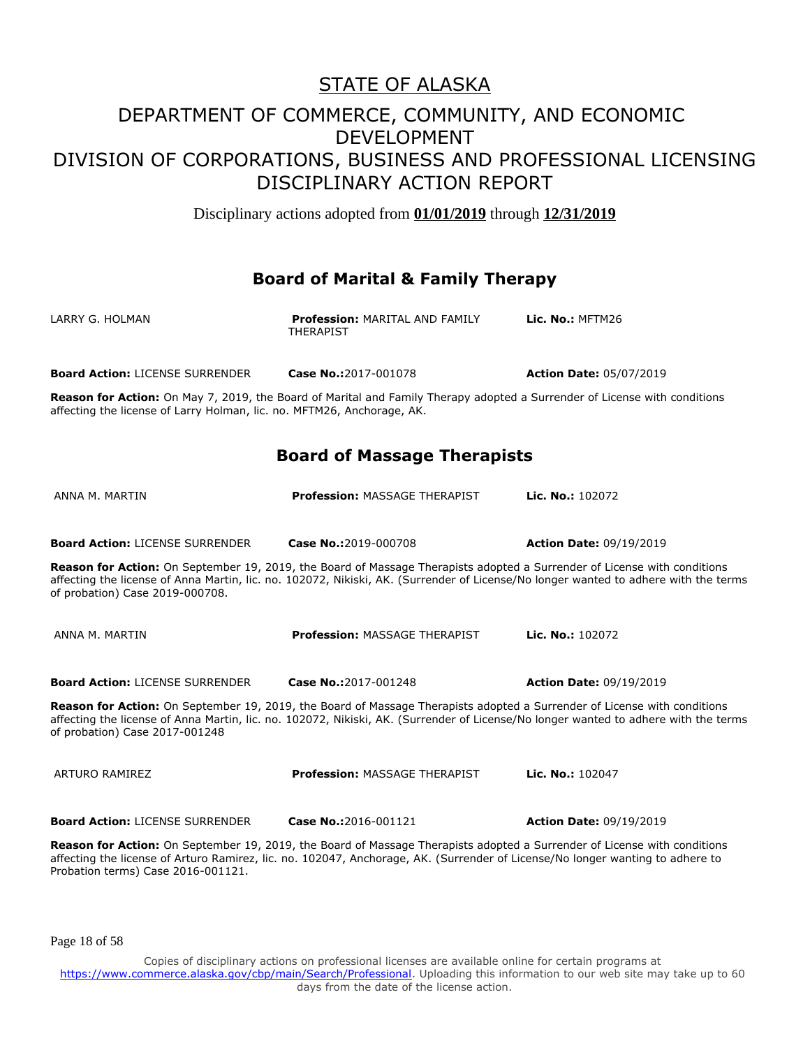Disciplinary actions adopted from **01/01/2019** through **12/31/2019**

#### **Board of Marital & Family Therapy**

| LARRY G. HOLMAN                                                        | <b>Profession: MARITAL AND FAMILY</b><br>THERAPIST                                                                               | Lic. $No.:$ MFTM26             |
|------------------------------------------------------------------------|----------------------------------------------------------------------------------------------------------------------------------|--------------------------------|
| <b>Board Action: LICENSE SURRENDER</b>                                 | <b>Case No.:2017-001078</b>                                                                                                      | <b>Action Date: 05/07/2019</b> |
| affecting the license of Larry Holman, lic. no. MFTM26, Anchorage, AK. | <b>Reason for Action:</b> On May 7, 2019, the Board of Marital and Family Therapy adopted a Surrender of License with conditions |                                |

#### **Board of Massage Therapists**

| ANNA M. MARTIN                                                                                                                                                                                                                                                                                                                                                       | <b>Profession: MASSAGE THERAPIST</b> | Lic. No.: 102072               |
|----------------------------------------------------------------------------------------------------------------------------------------------------------------------------------------------------------------------------------------------------------------------------------------------------------------------------------------------------------------------|--------------------------------------|--------------------------------|
|                                                                                                                                                                                                                                                                                                                                                                      |                                      |                                |
| <b>Board Action: LICENSE SURRENDER</b>                                                                                                                                                                                                                                                                                                                               | Case No.:2019-000708                 | <b>Action Date: 09/19/2019</b> |
| <b>Reason for Action:</b> On September 19, 2019, the Board of Massage Therapists adopted a Surrender of License with conditions<br>affecting the license of Anna Martin, lic. no. 102072, Nikiski, AK. (Surrender of License/No longer wanted to adhere with the terms<br>of probation) Case 2019-000708.                                                            |                                      |                                |
| ANNA M. MARTIN                                                                                                                                                                                                                                                                                                                                                       | <b>Profession: MASSAGE THERAPIST</b> | Lic. No.: 102072               |
| <b>Board Action: LICENSE SURRENDER</b>                                                                                                                                                                                                                                                                                                                               | Case No.:2017-001248                 | <b>Action Date: 09/19/2019</b> |
| Reason for Action: On September 19, 2019, the Board of Massage Therapists adopted a Surrender of License with conditions<br>affecting the license of Anna Martin, lic. no. 102072, Nikiski, AK. (Surrender of License/No longer wanted to adhere with the terms<br>of probation) Case 2017-001248                                                                    |                                      |                                |
| ARTURO RAMIREZ                                                                                                                                                                                                                                                                                                                                                       | <b>Profession: MASSAGE THERAPIST</b> | Lic. No.: 102047               |
| <b>Board Action: LICENSE SURRENDER</b>                                                                                                                                                                                                                                                                                                                               | Case No.:2016-001121                 | <b>Action Date: 09/19/2019</b> |
| <b>Reason for Action:</b> On September 19, 2019, the Board of Massage Therapists adopted a Surrender of License with conditions<br>$\mathbb{R}$ . The case of the contract of the contract of the contract of the contract of the contract of the contract of the contract of the contract of the contract of the contract of the contract of the contract of the co |                                      |                                |

affecting the license of Arturo Ramirez, lic. no. 102047, Anchorage, AK. (Surrender of License/No longer wanting to adhere to Probation terms) Case 2016-001121.

Page 18 of 58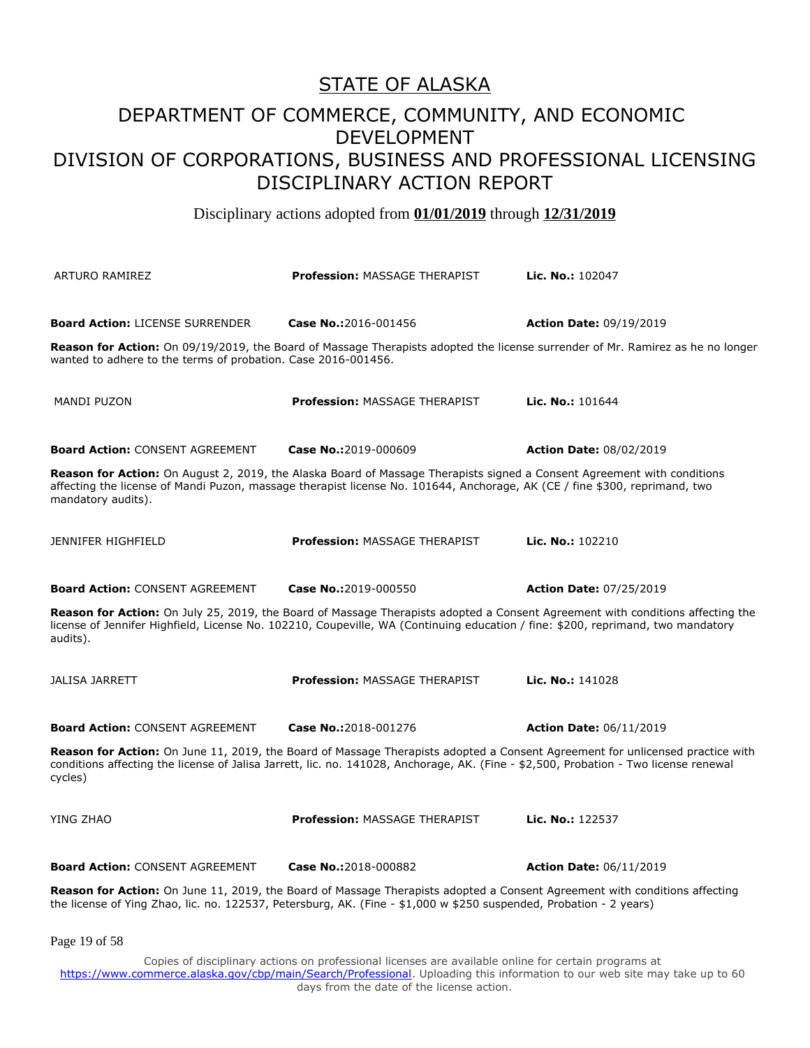Disciplinary actions adopted from **01/01/2019** through **12/31/2019**

| <b>ARTURO RAMIREZ</b>                                                                                                                                                                                                                                                            | <b>Profession: MASSAGE THERAPIST</b> | Lic. No.: 102047               |
|----------------------------------------------------------------------------------------------------------------------------------------------------------------------------------------------------------------------------------------------------------------------------------|--------------------------------------|--------------------------------|
| <b>Board Action: LICENSE SURRENDER</b><br>Reason for Action: On 09/19/2019, the Board of Massage Therapists adopted the license surrender of Mr. Ramirez as he no longer<br>wanted to adhere to the terms of probation. Case 2016-001456.                                        | Case No.:2016-001456                 | <b>Action Date: 09/19/2019</b> |
| <b>MANDI PUZON</b>                                                                                                                                                                                                                                                               | <b>Profession: MASSAGE THERAPIST</b> | Lic. No.: 101644               |
| <b>Board Action: CONSENT AGREEMENT</b>                                                                                                                                                                                                                                           | Case No.:2019-000609                 | <b>Action Date: 08/02/2019</b> |
| Reason for Action: On August 2, 2019, the Alaska Board of Massage Therapists signed a Consent Agreement with conditions<br>affecting the license of Mandi Puzon, massage therapist license No. 101644, Anchorage, AK (CE / fine \$300, reprimand, two<br>mandatory audits).      |                                      |                                |
| <b>JENNIFER HIGHFIELD</b>                                                                                                                                                                                                                                                        | <b>Profession: MASSAGE THERAPIST</b> | Lic. No.: 102210               |
| <b>Board Action: CONSENT AGREEMENT</b>                                                                                                                                                                                                                                           | Case No.:2019-000550                 | <b>Action Date: 07/25/2019</b> |
| Reason for Action: On July 25, 2019, the Board of Massage Therapists adopted a Consent Agreement with conditions affecting the<br>license of Jennifer Highfield, License No. 102210, Coupeville, WA (Continuing education / fine: \$200, reprimand, two mandatory<br>audits).    |                                      |                                |
| <b>JALISA JARRETT</b>                                                                                                                                                                                                                                                            | <b>Profession: MASSAGE THERAPIST</b> | Lic. No.: 141028               |
| <b>Board Action: CONSENT AGREEMENT</b>                                                                                                                                                                                                                                           | Case No.:2018-001276                 | <b>Action Date: 06/11/2019</b> |
| Reason for Action: On June 11, 2019, the Board of Massage Therapists adopted a Consent Agreement for unlicensed practice with<br>conditions affecting the license of Jalisa Jarrett, lic. no. 141028, Anchorage, AK. (Fine - \$2,500, Probation - Two license renewal<br>cycles) |                                      |                                |
| YING ZHAO                                                                                                                                                                                                                                                                        | <b>Profession: MASSAGE THERAPIST</b> | Lic. No.: 122537               |
| <b>Board Action: CONSENT AGREEMENT</b>                                                                                                                                                                                                                                           | Case No.:2018-000882                 | <b>Action Date: 06/11/2019</b> |
| <b>Reason for Action:</b> On June 11, 2019, the Board of Massage Therapists adopted a Consent Agreement with conditions affecting<br>the license of Ying Zhao, lic. no. 122537, Petersburg, AK. (Fine - \$1,000 w \$250 suspended, Probation - 2 years)                          |                                      |                                |

Page 19 of 58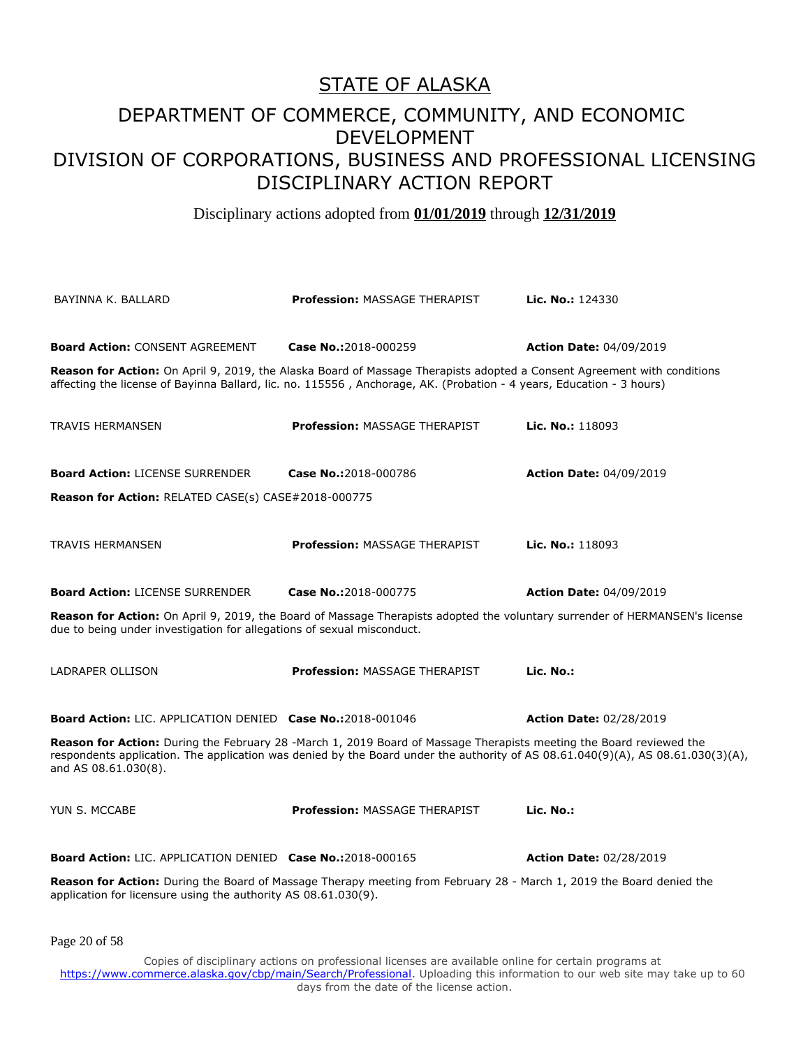Disciplinary actions adopted from **01/01/2019** through **12/31/2019**

| BAYINNA K. BALLARD                                                                                                                                                                                                                                                             | <b>Profession: MASSAGE THERAPIST</b>                                                                                                                                                                                                                   | Lic. No.: 124330               |
|--------------------------------------------------------------------------------------------------------------------------------------------------------------------------------------------------------------------------------------------------------------------------------|--------------------------------------------------------------------------------------------------------------------------------------------------------------------------------------------------------------------------------------------------------|--------------------------------|
| <b>Board Action: CONSENT AGREEMENT</b>                                                                                                                                                                                                                                         | Case No.:2018-000259                                                                                                                                                                                                                                   |                                |
|                                                                                                                                                                                                                                                                                |                                                                                                                                                                                                                                                        | <b>Action Date: 04/09/2019</b> |
|                                                                                                                                                                                                                                                                                | <b>Reason for Action:</b> On April 9, 2019, the Alaska Board of Massage Therapists adopted a Consent Agreement with conditions<br>affecting the license of Bayinna Ballard, lic. no. 115556, Anchorage, AK. (Probation - 4 years, Education - 3 hours) |                                |
| <b>TRAVIS HERMANSEN</b>                                                                                                                                                                                                                                                        | <b>Profession: MASSAGE THERAPIST</b>                                                                                                                                                                                                                   | Lic. No.: 118093               |
| <b>Board Action: LICENSE SURRENDER</b>                                                                                                                                                                                                                                         | Case No.:2018-000786                                                                                                                                                                                                                                   | <b>Action Date: 04/09/2019</b> |
| <b>Reason for Action: RELATED CASE(s) CASE#2018-000775</b>                                                                                                                                                                                                                     |                                                                                                                                                                                                                                                        |                                |
| <b>TRAVIS HERMANSEN</b>                                                                                                                                                                                                                                                        | <b>Profession: MASSAGE THERAPIST</b>                                                                                                                                                                                                                   | Lic. No.: 118093               |
|                                                                                                                                                                                                                                                                                |                                                                                                                                                                                                                                                        |                                |
| <b>Board Action: LICENSE SURRENDER</b>                                                                                                                                                                                                                                         | Case No.:2018-000775                                                                                                                                                                                                                                   | <b>Action Date: 04/09/2019</b> |
| due to being under investigation for allegations of sexual misconduct.                                                                                                                                                                                                         | Reason for Action: On April 9, 2019, the Board of Massage Therapists adopted the voluntary surrender of HERMANSEN's license                                                                                                                            |                                |
| LADRAPER OLLISON                                                                                                                                                                                                                                                               | <b>Profession: MASSAGE THERAPIST</b>                                                                                                                                                                                                                   | Lic. No.:                      |
| <b>Board Action: LIC. APPLICATION DENIED Case No.:2018-001046</b>                                                                                                                                                                                                              |                                                                                                                                                                                                                                                        | <b>Action Date: 02/28/2019</b> |
| Reason for Action: During the February 28 -March 1, 2019 Board of Massage Therapists meeting the Board reviewed the<br>respondents application. The application was denied by the Board under the authority of AS 08.61.040(9)(A), AS 08.61.030(3)(A),<br>and AS 08.61.030(8). |                                                                                                                                                                                                                                                        |                                |
| YUN S. MCCABE                                                                                                                                                                                                                                                                  | <b>Profession: MASSAGE THERAPIST</b>                                                                                                                                                                                                                   | Lic. No.:                      |
| <b>Board Action: LIC. APPLICATION DENIED Case No.:2018-000165</b>                                                                                                                                                                                                              |                                                                                                                                                                                                                                                        | <b>Action Date: 02/28/2019</b> |
| application for licensure using the authority AS 08.61.030(9).                                                                                                                                                                                                                 | <b>Reason for Action:</b> During the Board of Massage Therapy meeting from February 28 - March 1, 2019 the Board denied the                                                                                                                            |                                |
| Page 20 of 58                                                                                                                                                                                                                                                                  |                                                                                                                                                                                                                                                        |                                |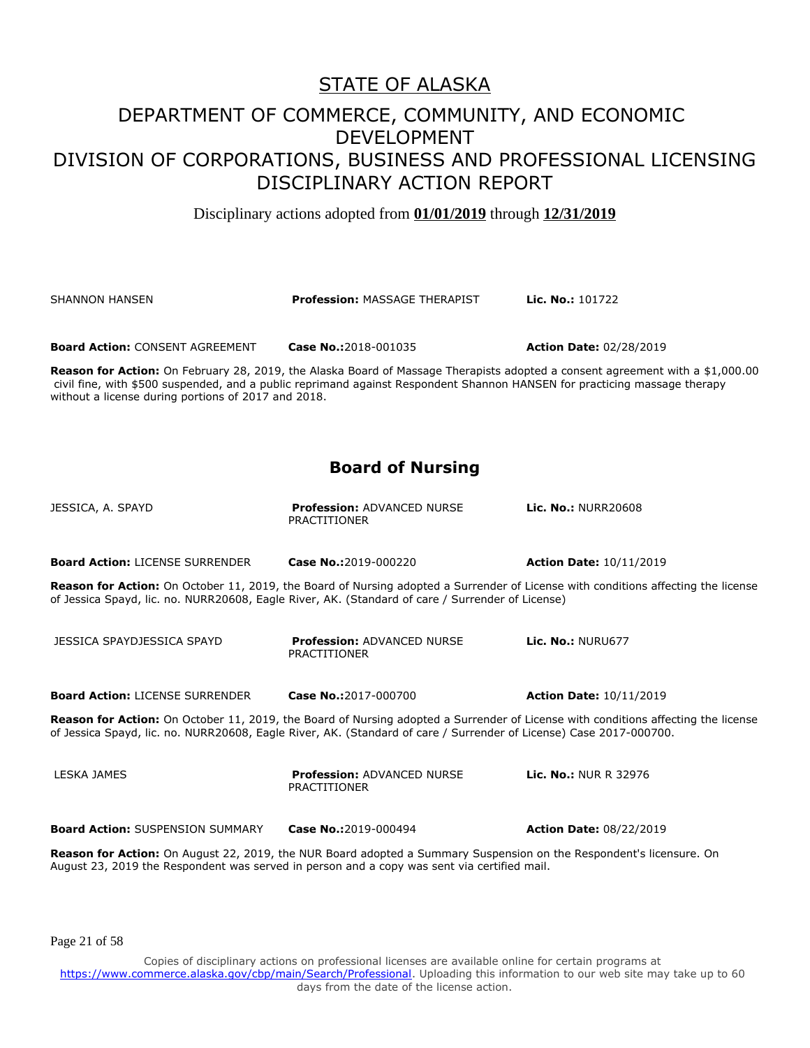Disciplinary actions adopted from **01/01/2019** through **12/31/2019**

SHANNON HANSEN **Profession:** MASSAGE THERAPIST **Lic. No.:** 101722

**Board Action:** CONSENT AGREEMENT **Case No.:**2018-001035 **Action Date:** 02/28/2019

**Reason for Action:** On February 28, 2019, the Alaska Board of Massage Therapists adopted a consent agreement with a \$1,000.00 civil fine, with \$500 suspended, and a public reprimand against Respondent Shannon HANSEN for practicing massage therapy without a license during portions of 2017 and 2018.

#### **Board of Nursing**

| JESSICA, A. SPAYD                       | <b>Profession: ADVANCED NURSE</b><br><b>PRACTITIONER</b>                                                                  | <b>Lic. No.: NURR20608</b>                                                                                                        |
|-----------------------------------------|---------------------------------------------------------------------------------------------------------------------------|-----------------------------------------------------------------------------------------------------------------------------------|
| <b>Board Action: LICENSE SURRENDER</b>  | Case No.:2019-000220                                                                                                      | <b>Action Date: 10/11/2019</b>                                                                                                    |
|                                         | of Jessica Spayd, lic. no. NURR20608, Eagle River, AK. (Standard of care / Surrender of License)                          | Reason for Action: On October 11, 2019, the Board of Nursing adopted a Surrender of License with conditions affecting the license |
| JESSICA SPAYDJESSICA SPAYD              | <b>Profession: ADVANCED NURSE</b><br><b>PRACTITIONER</b>                                                                  | <b>Lic. No.: NURU677</b>                                                                                                          |
| <b>Board Action: LICENSE SURRENDER</b>  | Case No.:2017-000700                                                                                                      | <b>Action Date: 10/11/2019</b>                                                                                                    |
|                                         | of Jessica Spayd, lic. no. NURR20608, Eagle River, AK. (Standard of care / Surrender of License) Case 2017-000700.        | Reason for Action: On October 11, 2019, the Board of Nursing adopted a Surrender of License with conditions affecting the license |
| LESKA JAMES                             | <b>Profession: ADVANCED NURSE</b><br>PRACTITIONER                                                                         | <b>Lic. No.: NUR R 32976</b>                                                                                                      |
| <b>Board Action: SUSPENSION SUMMARY</b> | Case No.:2019-000494                                                                                                      | <b>Action Date: 08/22/2019</b>                                                                                                    |
|                                         | <b>Reason for Action:</b> On August 22, 2019, the NUR Board adopted a Summary Suspension on the Respondent's licensure On |                                                                                                                                   |

n the Respondent's licensure. On August 23, 2019 the Respondent was served in person and a copy was sent via certified mail.

Page 21 of 58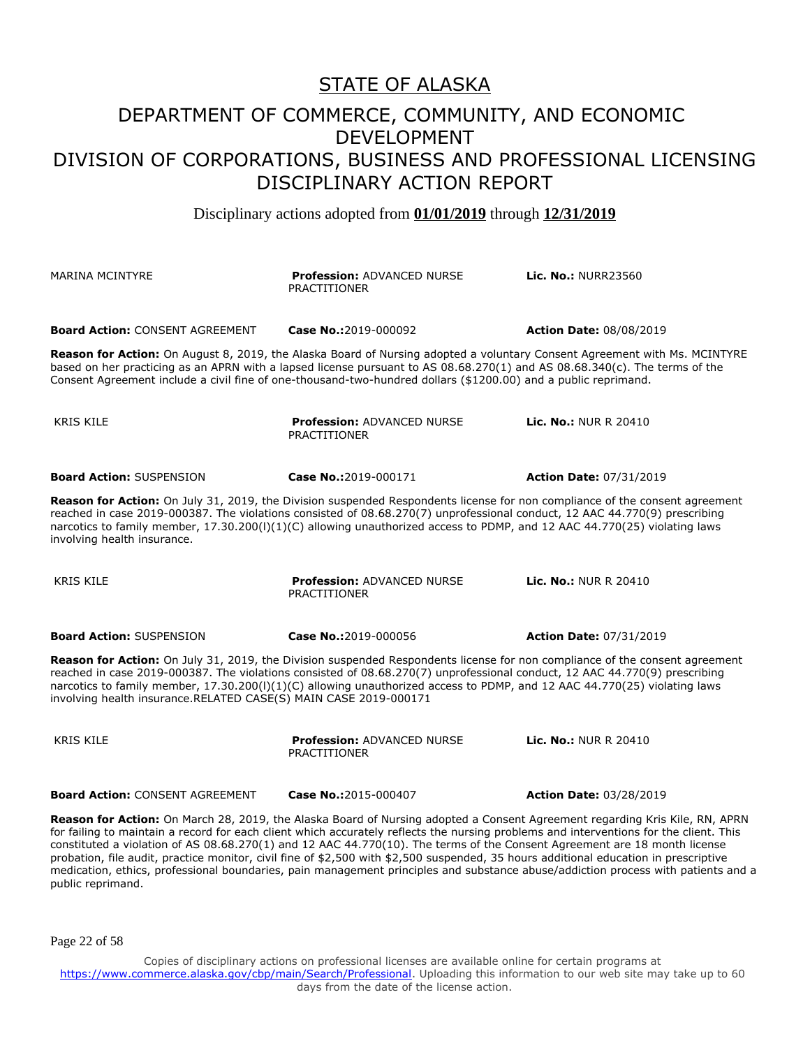Disciplinary actions adopted from **01/01/2019** through **12/31/2019**

| <b>MARINA MCINTYRE</b>                                                                                                                                                                                                                                                                                                                                                                                                                                                                                                                     | <b>Profession: ADVANCED NURSE</b><br><b>PRACTITIONER</b> | <b>Lic. No.: NURR23560</b>     |
|--------------------------------------------------------------------------------------------------------------------------------------------------------------------------------------------------------------------------------------------------------------------------------------------------------------------------------------------------------------------------------------------------------------------------------------------------------------------------------------------------------------------------------------------|----------------------------------------------------------|--------------------------------|
| <b>Board Action: CONSENT AGREEMENT</b>                                                                                                                                                                                                                                                                                                                                                                                                                                                                                                     | Case No.:2019-000092                                     | <b>Action Date: 08/08/2019</b> |
| Reason for Action: On August 8, 2019, the Alaska Board of Nursing adopted a voluntary Consent Agreement with Ms. MCINTYRE<br>based on her practicing as an APRN with a lapsed license pursuant to AS 08.68.270(1) and AS 08.68.340(c). The terms of the<br>Consent Agreement include a civil fine of one-thousand-two-hundred dollars (\$1200.00) and a public reprimand.                                                                                                                                                                  |                                                          |                                |
| <b>KRIS KILE</b>                                                                                                                                                                                                                                                                                                                                                                                                                                                                                                                           | <b>Profession: ADVANCED NURSE</b><br><b>PRACTITIONER</b> | <b>Lic. No.: NUR R 20410</b>   |
| <b>Board Action: SUSPENSION</b>                                                                                                                                                                                                                                                                                                                                                                                                                                                                                                            | Case No.:2019-000171                                     | <b>Action Date: 07/31/2019</b> |
| Reason for Action: On July 31, 2019, the Division suspended Respondents license for non compliance of the consent agreement<br>reached in case 2019-000387. The violations consisted of 08.68.270(7) unprofessional conduct, 12 AAC 44.770(9) prescribing<br>narcotics to family member, 17.30.200(I)(1)(C) allowing unauthorized access to PDMP, and 12 AAC 44.770(25) violating laws<br>involving health insurance.                                                                                                                      |                                                          |                                |
| <b>KRIS KILE</b>                                                                                                                                                                                                                                                                                                                                                                                                                                                                                                                           | <b>Profession: ADVANCED NURSE</b><br>PRACTITIONER        | <b>Lic. No.: NUR R 20410</b>   |
| <b>Board Action: SUSPENSION</b>                                                                                                                                                                                                                                                                                                                                                                                                                                                                                                            | Case No.:2019-000056                                     | <b>Action Date: 07/31/2019</b> |
| Reason for Action: On July 31, 2019, the Division suspended Respondents license for non compliance of the consent agreement<br>reached in case 2019-000387. The violations consisted of 08.68.270(7) unprofessional conduct, 12 AAC 44.770(9) prescribing<br>narcotics to family member, 17.30.200(I)(1)(C) allowing unauthorized access to PDMP, and 12 AAC 44.770(25) violating laws<br>involving health insurance.RELATED CASE(S) MAIN CASE 2019-000171                                                                                 |                                                          |                                |
| <b>KRIS KILE</b>                                                                                                                                                                                                                                                                                                                                                                                                                                                                                                                           | <b>Profession: ADVANCED NURSE</b><br><b>PRACTITIONER</b> | <b>Lic. No.: NUR R 20410</b>   |
| <b>Board Action: CONSENT AGREEMENT</b>                                                                                                                                                                                                                                                                                                                                                                                                                                                                                                     | Case No.:2015-000407                                     | <b>Action Date: 03/28/2019</b> |
| Reason for Action: On March 28, 2019, the Alaska Board of Nursing adopted a Consent Agreement regarding Kris Kile, RN, APRN<br>for failing to maintain a record for each client which accurately reflects the nursing problems and interventions for the client. This<br>constituted a violation of AS 08.68.270(1) and 12 AAC 44.770(10). The terms of the Consent Agreement are 18 month license<br>probation, file audit, practice monitor, civil fine of \$2,500 with \$2,500 suspended, 35 hours additional education in prescriptive |                                                          |                                |

probation, file audit, practice monitor, civil fine of \$2,500 with \$2,500 suspended, 35 hours additional education in prescriptive medication, ethics, professional boundaries, pain management principles and substance abuse/addiction process with patients and a public reprimand.

Page 22 of 58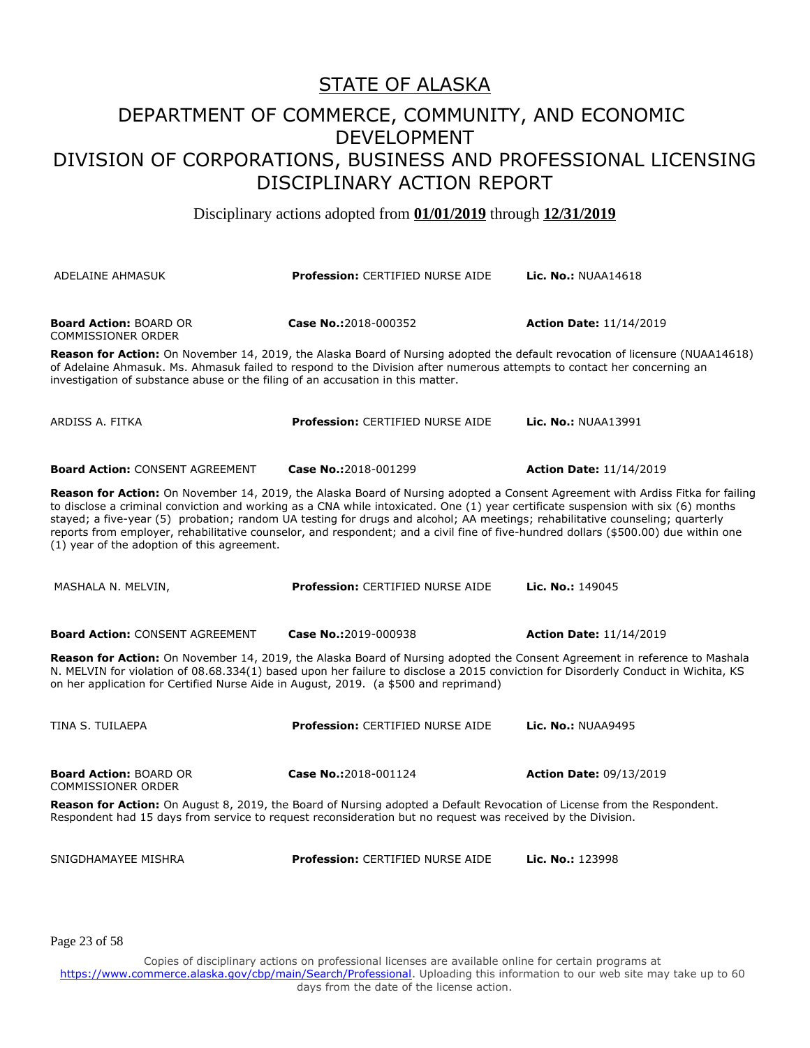Disciplinary actions adopted from **01/01/2019** through **12/31/2019**

| ADELAINE AHMASUK                                                                                                                                                                                                                                                                                                                                         | <b>Profession: CERTIFIED NURSE AIDE</b>                                                                                                                                                                                                                              | <b>Lic. No.: NUAA14618</b>                                                                                                     |
|----------------------------------------------------------------------------------------------------------------------------------------------------------------------------------------------------------------------------------------------------------------------------------------------------------------------------------------------------------|----------------------------------------------------------------------------------------------------------------------------------------------------------------------------------------------------------------------------------------------------------------------|--------------------------------------------------------------------------------------------------------------------------------|
| <b>Board Action: BOARD OR</b><br><b>COMMISSIONER ORDER</b>                                                                                                                                                                                                                                                                                               | Case No.:2018-000352                                                                                                                                                                                                                                                 | <b>Action Date: 11/14/2019</b>                                                                                                 |
| investigation of substance abuse or the filing of an accusation in this matter.                                                                                                                                                                                                                                                                          | Reason for Action: On November 14, 2019, the Alaska Board of Nursing adopted the default revocation of licensure (NUAA14618)<br>of Adelaine Ahmasuk. Ms. Ahmasuk failed to respond to the Division after numerous attempts to contact her concerning an              |                                                                                                                                |
| ARDISS A. FITKA                                                                                                                                                                                                                                                                                                                                          | <b>Profession: CERTIFIED NURSE AIDE</b>                                                                                                                                                                                                                              | <b>Lic. No.: NUAA13991</b>                                                                                                     |
| <b>Board Action: CONSENT AGREEMENT</b>                                                                                                                                                                                                                                                                                                                   | Case No.:2018-001299                                                                                                                                                                                                                                                 | <b>Action Date: 11/14/2019</b>                                                                                                 |
| to disclose a criminal conviction and working as a CNA while intoxicated. One (1) year certificate suspension with six (6) months<br>(1) year of the adoption of this agreement.                                                                                                                                                                         | stayed; a five-year (5) probation; random UA testing for drugs and alcohol; AA meetings; rehabilitative counseling; quarterly<br>reports from employer, rehabilitative counselor, and respondent; and a civil fine of five-hundred dollars (\$500.00) due within one | Reason for Action: On November 14, 2019, the Alaska Board of Nursing adopted a Consent Agreement with Ardiss Fitka for failing |
| MASHALA N. MELVIN,                                                                                                                                                                                                                                                                                                                                       | Profession: CERTIFIED NURSE AIDE                                                                                                                                                                                                                                     | Lic. No.: 149045                                                                                                               |
| <b>Board Action: CONSENT AGREEMENT</b>                                                                                                                                                                                                                                                                                                                   | Case No.:2019-000938                                                                                                                                                                                                                                                 | <b>Action Date: 11/14/2019</b>                                                                                                 |
| Reason for Action: On November 14, 2019, the Alaska Board of Nursing adopted the Consent Agreement in reference to Mashala<br>N. MELVIN for violation of 08.68.334(1) based upon her failure to disclose a 2015 conviction for Disorderly Conduct in Wichita, KS<br>on her application for Certified Nurse Aide in August, 2019. (a \$500 and reprimand) |                                                                                                                                                                                                                                                                      |                                                                                                                                |
| TINA S. TUILAEPA                                                                                                                                                                                                                                                                                                                                         | Profession: CERTIFIED NURSE AIDE                                                                                                                                                                                                                                     | <b>Lic. No.: NUAA9495</b>                                                                                                      |
| <b>Board Action: BOARD OR</b><br>COMMISSIONER ORDER                                                                                                                                                                                                                                                                                                      | Case No.:2018-001124                                                                                                                                                                                                                                                 | <b>Action Date: 09/13/2019</b>                                                                                                 |
| Reason for Action: On August 8, 2019, the Board of Nursing adopted a Default Revocation of License from the Respondent.<br>Respondent had 15 days from service to request reconsideration but no request was received by the Division.                                                                                                                   |                                                                                                                                                                                                                                                                      |                                                                                                                                |
| SNIGDHAMAYEE MISHRA                                                                                                                                                                                                                                                                                                                                      | <b>Profession: CERTIFIED NURSE AIDE</b>                                                                                                                                                                                                                              | Lic. No.: 123998                                                                                                               |

Page 23 of 58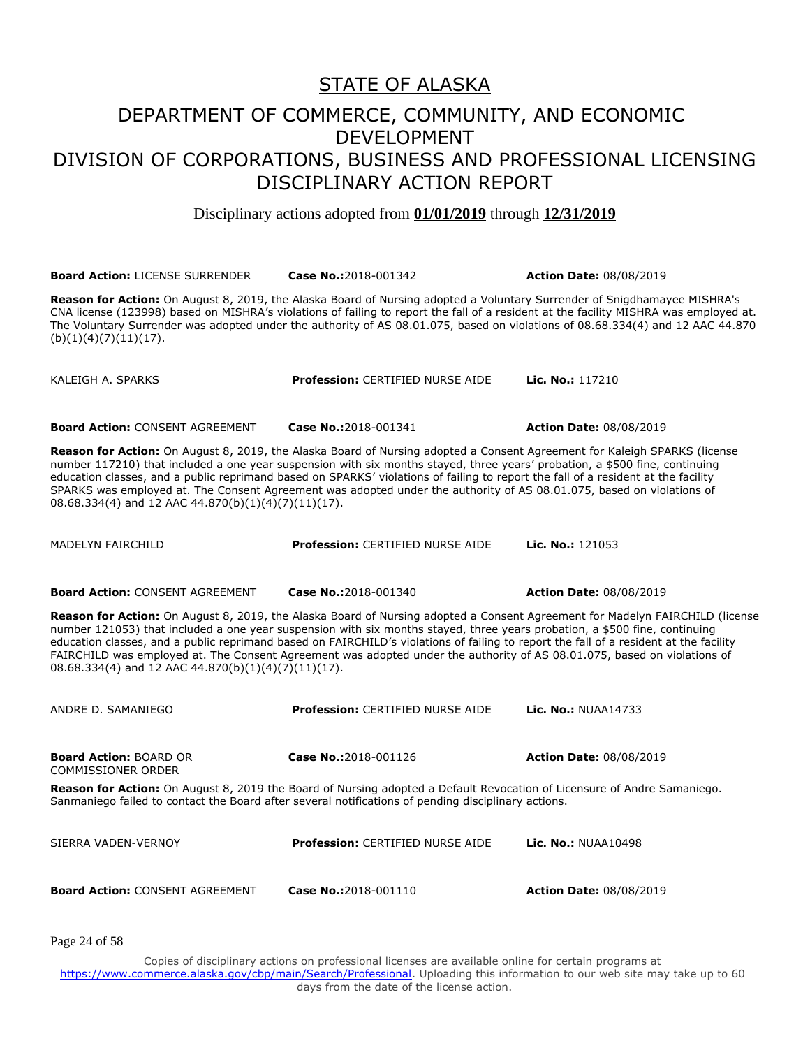Disciplinary actions adopted from **01/01/2019** through **12/31/2019**

**Board Action:** LICENSE SURRENDER **Case No.:**2018-001342 **Action Date:** 08/08/2019

**Reason for Action:** On August 8, 2019, the Alaska Board of Nursing adopted a Voluntary Surrender of Snigdhamayee MISHRA's CNA license (123998) based on MISHRA's violations of failing to report the fall of a resident at the facility MISHRA was employed at. The Voluntary Surrender was adopted under the authority of AS 08.01.075, based on violations of 08.68.334(4) and 12 AAC 44.870  $(b)(1)(4)(7)(11)(17).$ 

KALEIGH A. SPARKS **Profession:** CERTIFIED NURSE AIDE **Lic. No.:** 117210

**Board Action:** CONSENT AGREEMENT **Case No.:**2018-001341 **Action Date:** 08/08/2019

**Reason for Action:** On August 8, 2019, the Alaska Board of Nursing adopted a Consent Agreement for Kaleigh SPARKS (license number 117210) that included a one year suspension with six months stayed, three years' probation, a \$500 fine, continuing education classes, and a public reprimand based on SPARKS' violations of failing to report the fall of a resident at the facility SPARKS was employed at. The Consent Agreement was adopted under the authority of AS 08.01.075, based on violations of 08.68.334(4) and 12 AAC 44.870(b)(1)(4)(7)(11)(17).

MADELYN FAIRCHILD **Profession:** CERTIFIED NURSE AIDE **Lic. No.:** 121053

**Board Action:** CONSENT AGREEMENT **Case No.:**2018-001340 **Action Date:** 08/08/2019

**Reason for Action:** On August 8, 2019, the Alaska Board of Nursing adopted a Consent Agreement for Madelyn FAIRCHILD (license number 121053) that included a one year suspension with six months stayed, three years probation, a \$500 fine, continuing education classes, and a public reprimand based on FAIRCHILD's violations of failing to report the fall of a resident at the facility FAIRCHILD was employed at. The Consent Agreement was adopted under the authority of AS 08.01.075, based on violations of 08.68.334(4) and 12 AAC 44.870(b)(1)(4)(7)(11)(17).

ANDRE D. SAMANIEGO **Profession:** CERTIFIED NURSE AIDE **Lic. No.:** NUAA14733 **Board Action:** BOARD OR COMMISSIONER ORDER **Case No.:**2018-001126 **Action Date:** 08/08/2019 **Reason for Action:** On August 8, 2019 the Board of Nursing adopted a Default Revocation of Licensure of Andre Samaniego. Sanmaniego failed to contact the Board after several notifications of pending disciplinary actions. SIERRA VADEN-VERNOY **Profession:** CERTIFIED NURSE AIDE **Lic. No.:** NUAA10498

**Board Action:** CONSENT AGREEMENT **Case No.:**2018-001110 **Action Date:** 08/08/2019

Page 24 of 58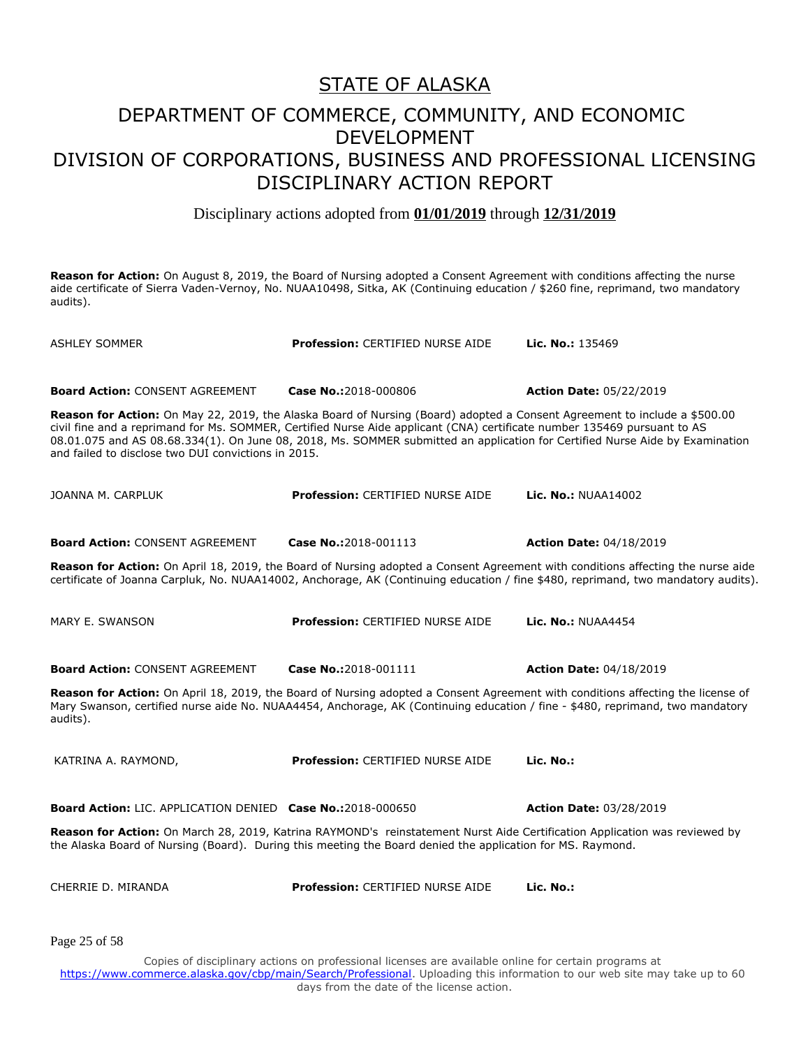#### DEPARTMENT OF COMMERCE, COMMUNITY, AND ECONOMIC DEVELOPMENT DIVISION OF CORPORATIONS, BUSINESS AND PROFESSIONAL LICENSING DISCIPLINARY ACTION REPORT

Disciplinary actions adopted from **01/01/2019** through **12/31/2019**

**Reason for Action:** On August 8, 2019, the Board of Nursing adopted a Consent Agreement with conditions affecting the nurse aide certificate of Sierra Vaden-Vernoy, No. NUAA10498, Sitka, AK (Continuing education / \$260 fine, reprimand, two mandatory audits).

ASHLEY SOMMER **Profession:** CERTIFIED NURSE AIDE **Lic. No.:** 135469 **Board Action:** CONSENT AGREEMENT **Case No.:**2018-000806 **Action Date:** 05/22/2019 **Reason for Action:** On May 22, 2019, the Alaska Board of Nursing (Board) adopted a Consent Agreement to include a \$500.00 civil fine and a reprimand for Ms. SOMMER, Certified Nurse Aide applicant (CNA) certificate number 135469 pursuant to AS 08.01.075 and AS 08.68.334(1). On June 08, 2018, Ms. SOMMER submitted an application for Certified Nurse Aide by Examination and failed to disclose two DUI convictions in 2015. JOANNA M. CARPLUK **Profession:** CERTIFIED NURSE AIDE **Lic. No.:** NUAA14002 **Board Action:** CONSENT AGREEMENT **Case No.:**2018-001113 **Action Date:** 04/18/2019 **Reason for Action:** On April 18, 2019, the Board of Nursing adopted a Consent Agreement with conditions affecting the nurse aide certificate of Joanna Carpluk, No. NUAA14002, Anchorage, AK (Continuing education / fine \$480, reprimand, two mandatory audits). MARY E. SWANSON **Profession:** CERTIFIED NURSE AIDE **Lic. No.:** NUAA4454 **Board Action:** CONSENT AGREEMENT **Case No.:**2018-001111 **Action Date:** 04/18/2019 **Reason for Action:** On April 18, 2019, the Board of Nursing adopted a Consent Agreement with conditions affecting the license of Mary Swanson, certified nurse aide No. NUAA4454, Anchorage, AK (Continuing education / fine - \$480, reprimand, two mandatory audits). KATRINA A. RAYMOND, **Profession:** CERTIFIED NURSE AIDE **Lic. No.: Board Action:** LIC. APPLICATION DENIED **Case No.:**2018-000650 **Action Date:** 03/28/2019 **Reason for Action:** On March 28, 2019, Katrina RAYMOND's reinstatement Nurst Aide Certification Application was reviewed by the Alaska Board of Nursing (Board). During this meeting the Board denied the application for MS. Raymond. CHERRIE D. MIRANDA **Profession:** CERTIFIED NURSE AIDE **Lic. No.:**  Copies of disciplinary actions on professional licenses are available online for certain programs at Page 25 of 58

https://www.commerce.alaska.gov/cbp/main/Search/Professional</u>. Uploading this information to our web site may take up to 60 days from the date of the license action.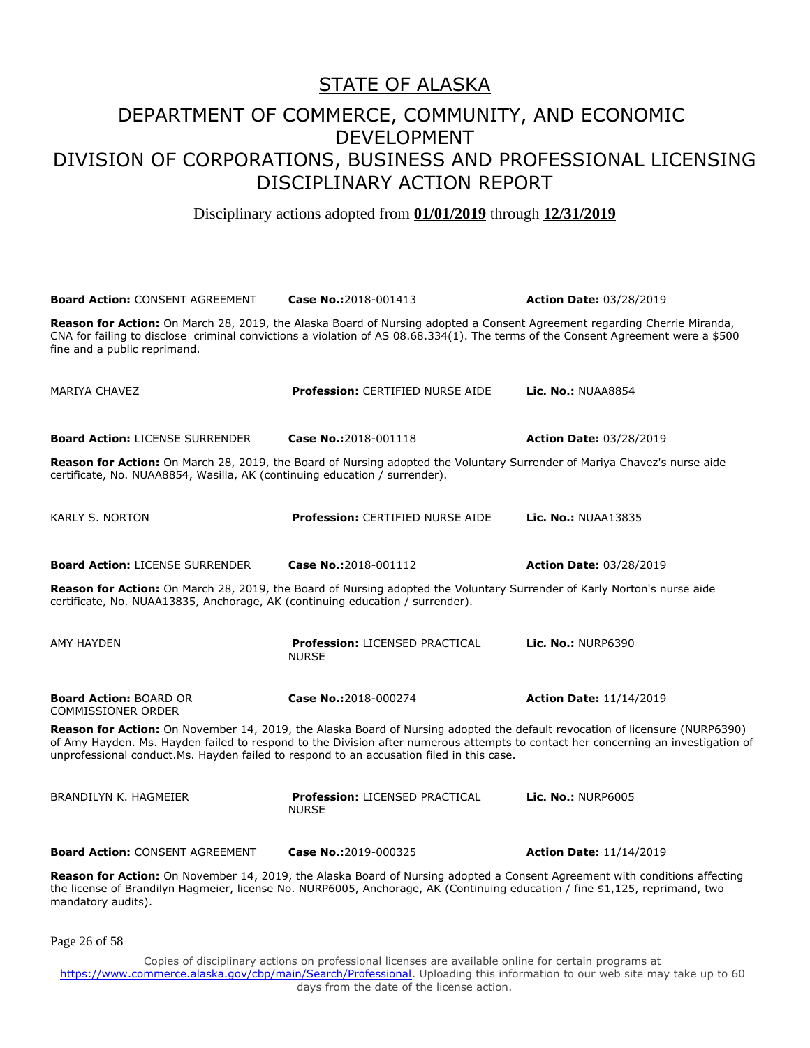Disciplinary actions adopted from **01/01/2019** through **12/31/2019**

| <b>Board Action: CONSENT AGREEMENT</b>                                                   | Case No.:2018-001413                                                                                                                                                                                                                                             | <b>Action Date: 03/28/2019</b> |
|------------------------------------------------------------------------------------------|------------------------------------------------------------------------------------------------------------------------------------------------------------------------------------------------------------------------------------------------------------------|--------------------------------|
| fine and a public reprimand.                                                             | Reason for Action: On March 28, 2019, the Alaska Board of Nursing adopted a Consent Agreement regarding Cherrie Miranda,<br>CNA for failing to disclose criminal convictions a violation of AS 08.68.334(1). The terms of the Consent Agreement were a \$500     |                                |
| <b>MARIYA CHAVEZ</b>                                                                     | <b>Profession: CERTIFIED NURSE AIDE</b>                                                                                                                                                                                                                          | <b>Lic. No.: NUAA8854</b>      |
| <b>Board Action: LICENSE SURRENDER</b>                                                   | Case No.:2018-001118                                                                                                                                                                                                                                             | <b>Action Date: 03/28/2019</b> |
| certificate, No. NUAA8854, Wasilla, AK (continuing education / surrender).               | Reason for Action: On March 28, 2019, the Board of Nursing adopted the Voluntary Surrender of Mariya Chavez's nurse aide                                                                                                                                         |                                |
| <b>KARLY S. NORTON</b>                                                                   | <b>Profession: CERTIFIED NURSE AIDE</b>                                                                                                                                                                                                                          | <b>Lic. No.: NUAA13835</b>     |
| <b>Board Action: LICENSE SURRENDER</b>                                                   | Case No.:2018-001112                                                                                                                                                                                                                                             | <b>Action Date: 03/28/2019</b> |
| certificate, No. NUAA13835, Anchorage, AK (continuing education / surrender).            | Reason for Action: On March 28, 2019, the Board of Nursing adopted the Voluntary Surrender of Karly Norton's nurse aide                                                                                                                                          |                                |
| AMY HAYDEN                                                                               | <b>Profession: LICENSED PRACTICAL</b><br><b>NURSE</b>                                                                                                                                                                                                            | <b>Lic. No.: NURP6390</b>      |
| <b>Board Action: BOARD OR</b><br><b>COMMISSIONER ORDER</b>                               | Case No.:2018-000274                                                                                                                                                                                                                                             | <b>Action Date: 11/14/2019</b> |
| unprofessional conduct.Ms. Hayden failed to respond to an accusation filed in this case. | Reason for Action: On November 14, 2019, the Alaska Board of Nursing adopted the default revocation of licensure (NURP6390)<br>of Amy Hayden. Ms. Hayden failed to respond to the Division after numerous attempts to contact her concerning an investigation of |                                |
| BRANDILYN K. HAGMEIER                                                                    | Profession: LICENSED PRACTICAL<br><b>NURSE</b>                                                                                                                                                                                                                   | <b>Lic. No.: NURP6005</b>      |
| <b>Board Action: CONSENT AGREEMENT</b>                                                   | Case No.:2019-000325                                                                                                                                                                                                                                             | <b>Action Date: 11/14/2019</b> |
| mandatory audits).                                                                       | Reason for Action: On November 14, 2019, the Alaska Board of Nursing adopted a Consent Agreement with conditions affecting<br>the license of Brandilyn Hagmeier, license No. NURP6005, Anchorage, AK (Continuing education / fine \$1,125, reprimand, two        |                                |

Page 26 of 58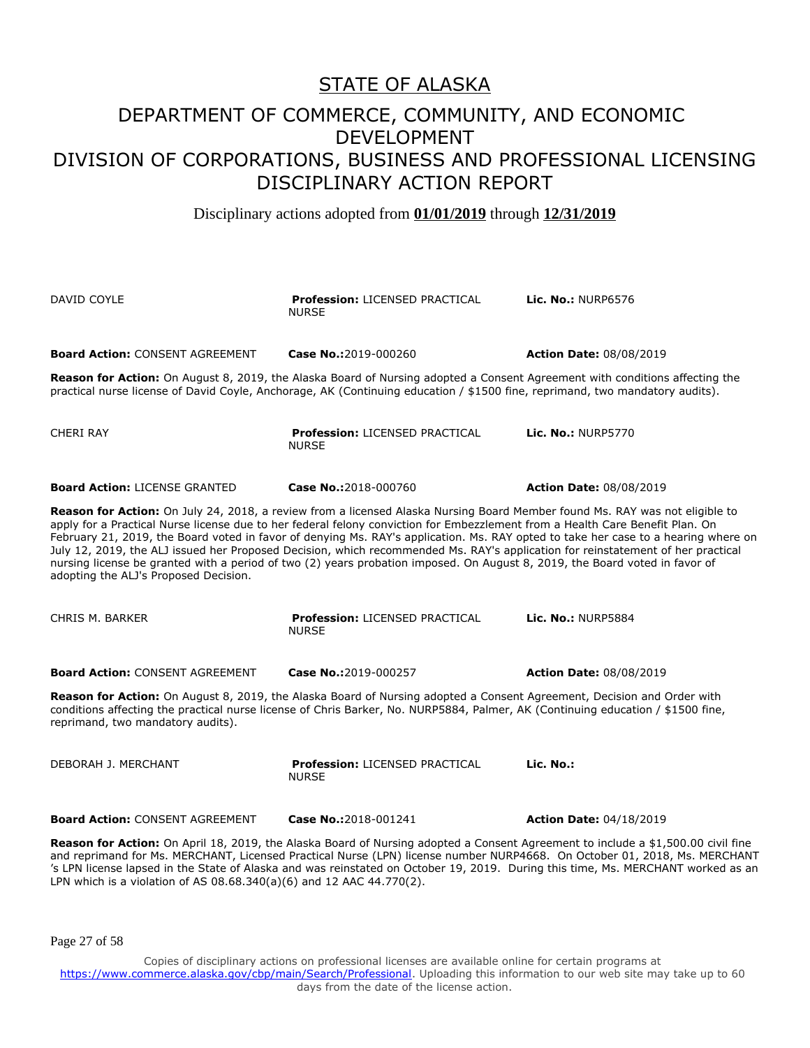Disciplinary actions adopted from **01/01/2019** through **12/31/2019**

| DAVID COYLE                                                                                                                                                                                                                                                                                                                                                                                                                                                                                                                                                                                                                                                                                                   | <b>Profession: LICENSED PRACTICAL</b><br><b>NURSE</b>                                                                                                                                                                                                       | <b>Lic. No.: NURP6576</b>      |
|---------------------------------------------------------------------------------------------------------------------------------------------------------------------------------------------------------------------------------------------------------------------------------------------------------------------------------------------------------------------------------------------------------------------------------------------------------------------------------------------------------------------------------------------------------------------------------------------------------------------------------------------------------------------------------------------------------------|-------------------------------------------------------------------------------------------------------------------------------------------------------------------------------------------------------------------------------------------------------------|--------------------------------|
| <b>Board Action: CONSENT AGREEMENT</b>                                                                                                                                                                                                                                                                                                                                                                                                                                                                                                                                                                                                                                                                        | Case No.:2019-000260                                                                                                                                                                                                                                        | <b>Action Date: 08/08/2019</b> |
|                                                                                                                                                                                                                                                                                                                                                                                                                                                                                                                                                                                                                                                                                                               | Reason for Action: On August 8, 2019, the Alaska Board of Nursing adopted a Consent Agreement with conditions affecting the<br>practical nurse license of David Coyle, Anchorage, AK (Continuing education / \$1500 fine, reprimand, two mandatory audits). |                                |
| <b>CHERI RAY</b>                                                                                                                                                                                                                                                                                                                                                                                                                                                                                                                                                                                                                                                                                              | <b>Profession: LICENSED PRACTICAL</b><br><b>NURSE</b>                                                                                                                                                                                                       | <b>Lic. No.: NURP5770</b>      |
| <b>Board Action: LICENSE GRANTED</b>                                                                                                                                                                                                                                                                                                                                                                                                                                                                                                                                                                                                                                                                          | Case No.:2018-000760                                                                                                                                                                                                                                        | <b>Action Date: 08/08/2019</b> |
| Reason for Action: On July 24, 2018, a review from a licensed Alaska Nursing Board Member found Ms. RAY was not eligible to<br>apply for a Practical Nurse license due to her federal felony conviction for Embezzlement from a Health Care Benefit Plan. On<br>February 21, 2019, the Board voted in favor of denying Ms. RAY's application. Ms. RAY opted to take her case to a hearing where on<br>July 12, 2019, the ALJ issued her Proposed Decision, which recommended Ms. RAY's application for reinstatement of her practical<br>nursing license be granted with a period of two (2) years probation imposed. On August 8, 2019, the Board voted in favor of<br>adopting the ALJ's Proposed Decision. |                                                                                                                                                                                                                                                             |                                |
| CHRIS M. BARKER                                                                                                                                                                                                                                                                                                                                                                                                                                                                                                                                                                                                                                                                                               | <b>Profession: LICENSED PRACTICAL</b><br><b>NURSE</b>                                                                                                                                                                                                       | <b>Lic. No.: NURP5884</b>      |
| <b>Board Action: CONSENT AGREEMENT</b>                                                                                                                                                                                                                                                                                                                                                                                                                                                                                                                                                                                                                                                                        | Case No.:2019-000257                                                                                                                                                                                                                                        | <b>Action Date: 08/08/2019</b> |
| Reason for Action: On August 8, 2019, the Alaska Board of Nursing adopted a Consent Agreement, Decision and Order with<br>conditions affecting the practical nurse license of Chris Barker, No. NURP5884, Palmer, AK (Continuing education / \$1500 fine,<br>reprimand, two mandatory audits).                                                                                                                                                                                                                                                                                                                                                                                                                |                                                                                                                                                                                                                                                             |                                |
| DEBORAH J. MERCHANT                                                                                                                                                                                                                                                                                                                                                                                                                                                                                                                                                                                                                                                                                           | <b>Profession: LICENSED PRACTICAL</b><br><b>NURSE</b>                                                                                                                                                                                                       | Lic. No.:                      |
| <b>Board Action: CONSENT AGREEMENT</b>                                                                                                                                                                                                                                                                                                                                                                                                                                                                                                                                                                                                                                                                        | Case No.:2018-001241                                                                                                                                                                                                                                        | <b>Action Date: 04/18/2019</b> |
| Reason for Action: On April 18, 2019, the Alaska Board of Nursing adopted a Consent Agreement to include a \$1,500.00 civil fine<br>and reprimand for Ms. MERCHANT, Licensed Practical Nurse (LPN) license number NURP4668. On October 01, 2018, Ms. MERCHANT<br>'s LPN license lapsed in the State of Alaska and was reinstated on October 19, 2019. During this time, Ms. MERCHANT worked as an                                                                                                                                                                                                                                                                                                             |                                                                                                                                                                                                                                                             |                                |

Page 27 of 58

LPN which is a violation of AS 08.68.340(a)(6) and 12 AAC 44.770(2).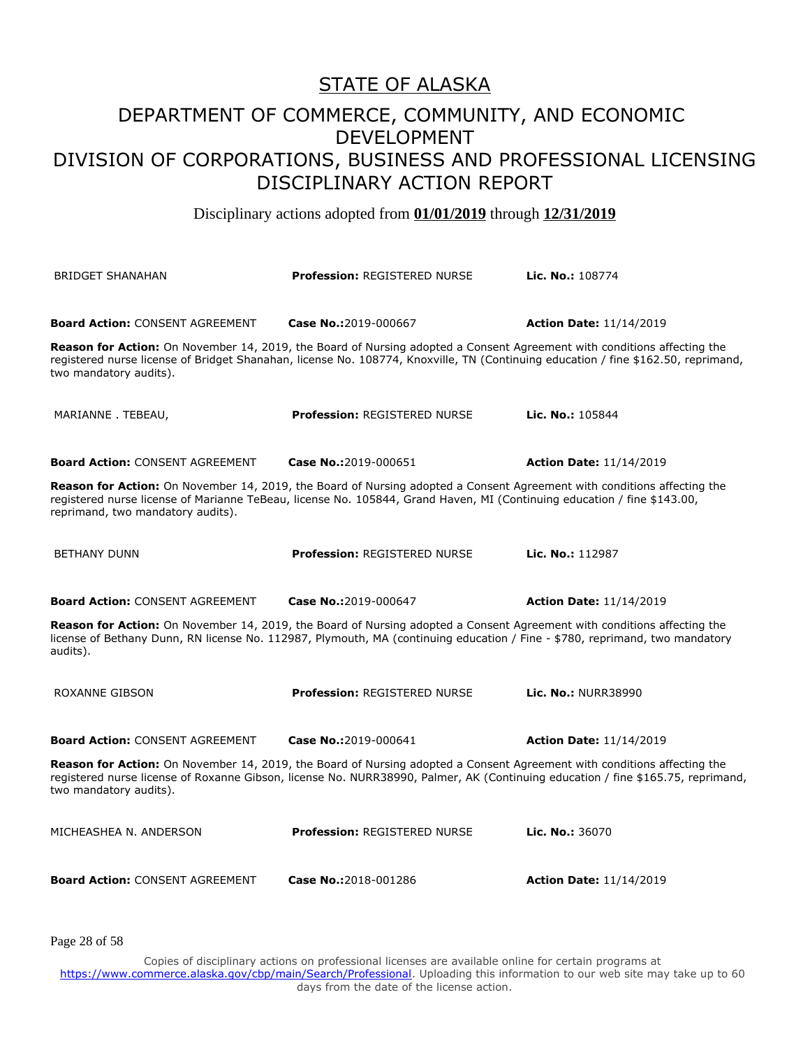Disciplinary actions adopted from **01/01/2019** through **12/31/2019**

| <b>BRIDGET SHANAHAN</b>                                       | <b>Profession: REGISTERED NURSE</b>                                                                                                                                                                                                                                                  | Lic. No.: 108774                                   |
|---------------------------------------------------------------|--------------------------------------------------------------------------------------------------------------------------------------------------------------------------------------------------------------------------------------------------------------------------------------|----------------------------------------------------|
| <b>Board Action: CONSENT AGREEMENT</b>                        | Case No.:2019-000667<br>Reason for Action: On November 14, 2019, the Board of Nursing adopted a Consent Agreement with conditions affecting the<br>registered nurse license of Bridget Shanahan, license No. 108774, Knoxville, TN (Continuing education / fine \$162.50, reprimand, | <b>Action Date: 11/14/2019</b>                     |
| two mandatory audits).<br>MARIANNE. TEBEAU,                   | <b>Profession: REGISTERED NURSE</b>                                                                                                                                                                                                                                                  | Lic. No.: 105844                                   |
| <b>Board Action: CONSENT AGREEMENT</b>                        | Case No.:2019-000651<br>Reason for Action: On November 14, 2019, the Board of Nursing adopted a Consent Agreement with conditions affecting the                                                                                                                                      | <b>Action Date: 11/14/2019</b>                     |
| reprimand, two mandatory audits).                             | registered nurse license of Marianne TeBeau, license No. 105844, Grand Haven, MI (Continuing education / fine \$143.00,                                                                                                                                                              |                                                    |
| <b>BETHANY DUNN</b><br><b>Board Action: CONSENT AGREEMENT</b> | <b>Profession: REGISTERED NURSE</b><br>Case No.:2019-000647                                                                                                                                                                                                                          | Lic. No.: 112987<br><b>Action Date: 11/14/2019</b> |
| audits).                                                      | Reason for Action: On November 14, 2019, the Board of Nursing adopted a Consent Agreement with conditions affecting the<br>license of Bethany Dunn, RN license No. 112987, Plymouth, MA (continuing education / Fine - \$780, reprimand, two mandatory                               |                                                    |
| <b>ROXANNE GIBSON</b>                                         | <b>Profession: REGISTERED NURSE</b>                                                                                                                                                                                                                                                  | Lic. No.: NURR38990                                |
| <b>Board Action: CONSENT AGREEMENT</b>                        | Case No.:2019-000641                                                                                                                                                                                                                                                                 | <b>Action Date: 11/14/2019</b>                     |
| two mandatory audits).                                        | Reason for Action: On November 14, 2019, the Board of Nursing adopted a Consent Agreement with conditions affecting the<br>registered nurse license of Roxanne Gibson, license No. NURR38990, Palmer, AK (Continuing education / fine \$165.75, reprimand,                           |                                                    |
| MICHEASHEA N. ANDERSON                                        | <b>Profession: REGISTERED NURSE</b>                                                                                                                                                                                                                                                  | Lic. No.: 36070                                    |
| <b>Board Action: CONSENT AGREEMENT</b>                        | Case No.:2018-001286                                                                                                                                                                                                                                                                 | <b>Action Date: 11/14/2019</b>                     |

Page 28 of 58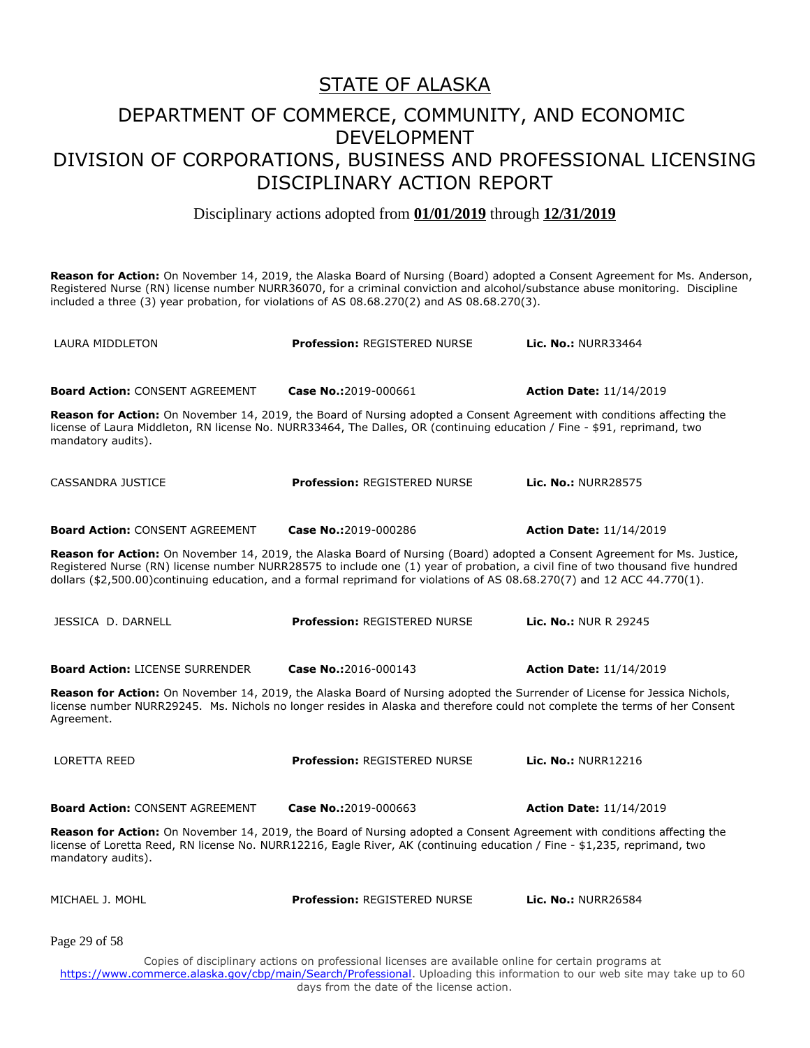Disciplinary actions adopted from **01/01/2019** through **12/31/2019**

**Reason for Action:** On November 14, 2019, the Alaska Board of Nursing (Board) adopted a Consent Agreement for Ms. Anderson, Registered Nurse (RN) license number NURR36070, for a criminal conviction and alcohol/substance abuse monitoring. Discipline included a three (3) year probation, for violations of AS 08.68.270(2) and AS 08.68.270(3).

| LAURA MIDDLETON                                                                                                                               | <b>Profession: REGISTERED NURSE</b>                                                                                                                                                                                                                                             | <b>Lic. No.: NURR33464</b>     |
|-----------------------------------------------------------------------------------------------------------------------------------------------|---------------------------------------------------------------------------------------------------------------------------------------------------------------------------------------------------------------------------------------------------------------------------------|--------------------------------|
| <b>Board Action: CONSENT AGREEMENT</b>                                                                                                        | Case No.:2019-000661                                                                                                                                                                                                                                                            | <b>Action Date: 11/14/2019</b> |
| Reason for Action: On November 14, 2019, the Board of Nursing adopted a Consent Agreement with conditions affecting the<br>mandatory audits). | license of Laura Middleton, RN license No. NURR33464, The Dalles, OR (continuing education / Fine - \$91, reprimand, two                                                                                                                                                        |                                |
| CASSANDRA JUSTICE                                                                                                                             | <b>Profession: REGISTERED NURSE</b>                                                                                                                                                                                                                                             | <b>Lic. No.: NURR28575</b>     |
| <b>Board Action: CONSENT AGREEMENT</b>                                                                                                        | Case No.:2019-000286                                                                                                                                                                                                                                                            | <b>Action Date: 11/14/2019</b> |
| Reason for Action: On November 14, 2019, the Alaska Board of Nursing (Board) adopted a Consent Agreement for Ms. Justice,                     | Registered Nurse (RN) license number NURR28575 to include one (1) year of probation, a civil fine of two thousand five hundred<br>dollars (\$2,500.00)continuing education, and a formal reprimand for violations of AS 08.68.270(7) and 12 ACC 44.770(1).                      |                                |
| JESSICA D. DARNELL                                                                                                                            | <b>Profession: REGISTERED NURSE</b>                                                                                                                                                                                                                                             | <b>Lic. No.: NUR R 29245</b>   |
| <b>Board Action: LICENSE SURRENDER</b>                                                                                                        | Case No.:2016-000143                                                                                                                                                                                                                                                            | <b>Action Date: 11/14/2019</b> |
| Agreement.                                                                                                                                    | Reason for Action: On November 14, 2019, the Alaska Board of Nursing adopted the Surrender of License for Jessica Nichols,<br>license number NURR29245. Ms. Nichols no longer resides in Alaska and therefore could not complete the terms of her Consent                       |                                |
| <b>LORETTA REED</b>                                                                                                                           | <b>Profession: REGISTERED NURSE</b>                                                                                                                                                                                                                                             | Lic. No.: NURR12216            |
| <b>Board Action: CONSENT AGREEMENT</b>                                                                                                        | Case No.:2019-000663                                                                                                                                                                                                                                                            | <b>Action Date: 11/14/2019</b> |
| mandatory audits).                                                                                                                            | Reason for Action: On November 14, 2019, the Board of Nursing adopted a Consent Agreement with conditions affecting the<br>license of Loretta Reed, RN license No. NURR12216, Eagle River, AK (continuing education / Fine - \$1,235, reprimand, two                            |                                |
| MICHAEL J. MOHL                                                                                                                               | Profession: REGISTERED NURSE                                                                                                                                                                                                                                                    | <b>Lic. No.: NURR26584</b>     |
| Page 29 of 58                                                                                                                                 |                                                                                                                                                                                                                                                                                 |                                |
|                                                                                                                                               | Copies of disciplinary actions on professional licenses are available online for certain programs at<br>https://www.commerce.alaska.gov/cbp/main/Search/Professional. Uploading this information to our web site may take up to 60<br>days from the date of the license action. |                                |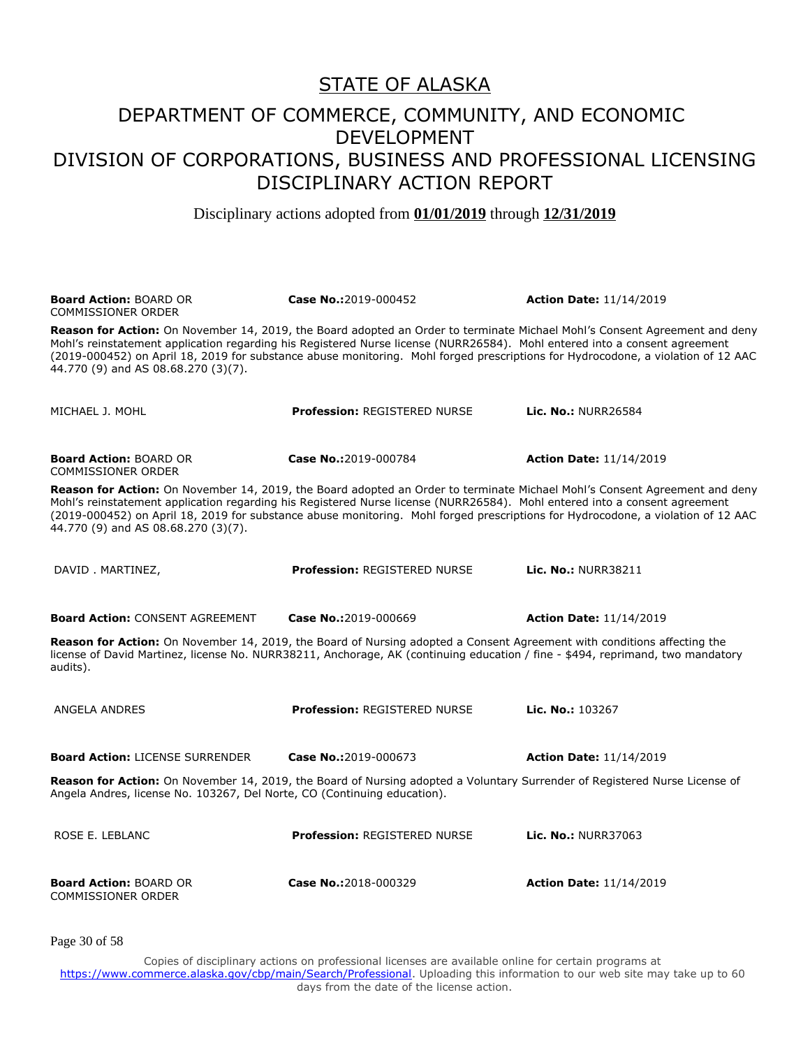Disciplinary actions adopted from **01/01/2019** through **12/31/2019**

| <b>Board Action: BOARD OR</b><br><b>COMMISSIONER ORDER</b>                                                                                                                                                                                                                                      | Case No.:2019-000452                                                                                                             | <b>Action Date: 11/14/2019</b>                                                                                                   |  |
|-------------------------------------------------------------------------------------------------------------------------------------------------------------------------------------------------------------------------------------------------------------------------------------------------|----------------------------------------------------------------------------------------------------------------------------------|----------------------------------------------------------------------------------------------------------------------------------|--|
| Reason for Action: On November 14, 2019, the Board adopted an Order to terminate Michael Mohl's Consent Agreement and deny<br>Mohl's reinstatement application regarding his Registered Nurse license (NURR26584). Mohl entered into a consent agreement<br>44.770 (9) and AS 08.68.270 (3)(7). |                                                                                                                                  | (2019-000452) on April 18, 2019 for substance abuse monitoring. Mohl forged prescriptions for Hydrocodone, a violation of 12 AAC |  |
| MICHAEL J. MOHL                                                                                                                                                                                                                                                                                 | <b>Profession: REGISTERED NURSE</b>                                                                                              | Lic. No.: NURR26584                                                                                                              |  |
| <b>Board Action: BOARD OR</b><br><b>COMMISSIONER ORDER</b>                                                                                                                                                                                                                                      | Case No.:2019-000784                                                                                                             | <b>Action Date: 11/14/2019</b>                                                                                                   |  |
| Reason for Action: On November 14, 2019, the Board adopted an Order to terminate Michael Mohl's Consent Agreement and deny<br>Mohl's reinstatement application regarding his Registered Nurse license (NURR26584). Mohl entered into a consent agreement<br>44.770 (9) and AS 08.68.270 (3)(7). | (2019-000452) on April 18, 2019 for substance abuse monitoring. Mohl forged prescriptions for Hydrocodone, a violation of 12 AAC |                                                                                                                                  |  |
| DAVID. MARTINEZ,                                                                                                                                                                                                                                                                                | <b>Profession: REGISTERED NURSE</b>                                                                                              | <b>Lic. No.: NURR38211</b>                                                                                                       |  |
| <b>Board Action: CONSENT AGREEMENT</b>                                                                                                                                                                                                                                                          | Case No.:2019-000669                                                                                                             | <b>Action Date: 11/14/2019</b>                                                                                                   |  |
| Reason for Action: On November 14, 2019, the Board of Nursing adopted a Consent Agreement with conditions affecting the<br>license of David Martinez, license No. NURR38211, Anchorage, AK (continuing education / fine - \$494, reprimand, two mandatory<br>audits).                           |                                                                                                                                  |                                                                                                                                  |  |
| ANGELA ANDRES                                                                                                                                                                                                                                                                                   | <b>Profession: REGISTERED NURSE</b>                                                                                              | Lic. No.: 103267                                                                                                                 |  |
| <b>Board Action: LICENSE SURRENDER</b>                                                                                                                                                                                                                                                          | Case No.:2019-000673                                                                                                             | <b>Action Date: 11/14/2019</b>                                                                                                   |  |
| Reason for Action: On November 14, 2019, the Board of Nursing adopted a Voluntary Surrender of Registered Nurse License of<br>Angela Andres, license No. 103267, Del Norte, CO (Continuing education).                                                                                          |                                                                                                                                  |                                                                                                                                  |  |
| ROSE E. LEBLANC                                                                                                                                                                                                                                                                                 | <b>Profession: REGISTERED NURSE</b>                                                                                              | <b>Lic. No.: NURR37063</b>                                                                                                       |  |
| <b>Board Action: BOARD OR</b><br><b>COMMISSIONER ORDER</b>                                                                                                                                                                                                                                      | Case No.:2018-000329                                                                                                             | <b>Action Date: 11/14/2019</b>                                                                                                   |  |

Page 30 of 58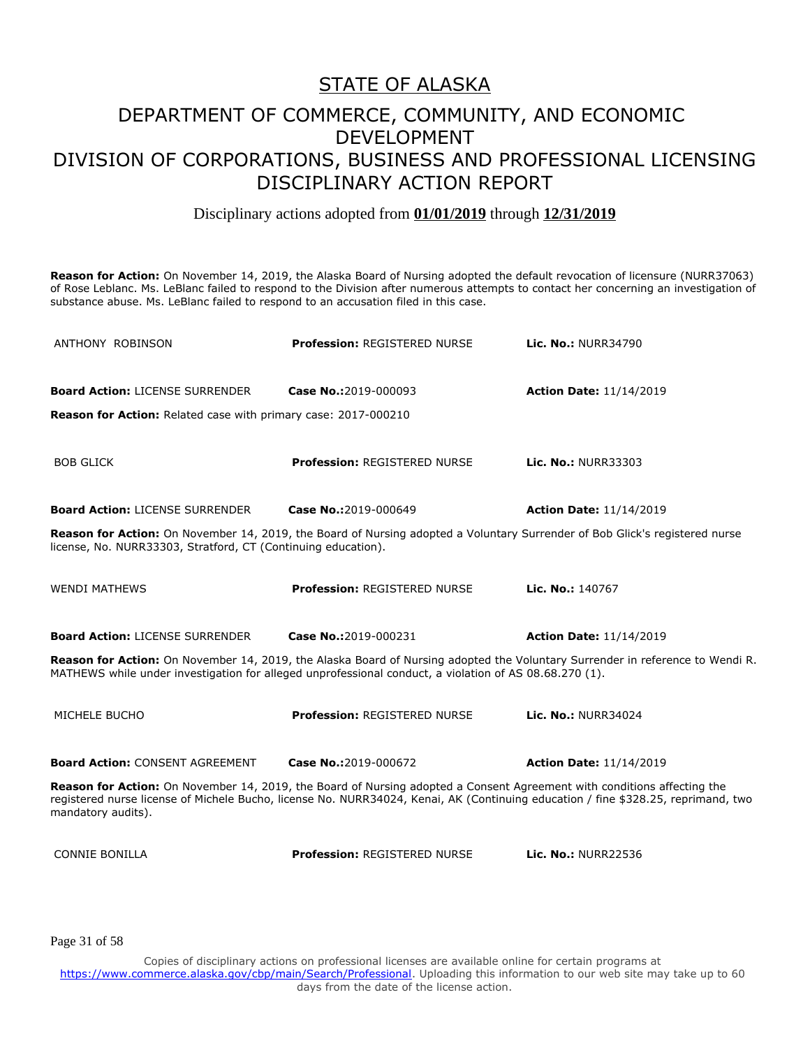Disciplinary actions adopted from **01/01/2019** through **12/31/2019**

**Reason for Action:** On November 14, 2019, the Alaska Board of Nursing adopted the default revocation of licensure (NURR37063) of Rose Leblanc. Ms. LeBlanc failed to respond to the Division after numerous attempts to contact her concerning an investigation of substance abuse. Ms. LeBlanc failed to respond to an accusation filed in this case.

| ANTHONY ROBINSON                                                      | <b>Profession: REGISTERED NURSE</b>                                                                                     | Lic. No.: NURR34790                                                                                                               |
|-----------------------------------------------------------------------|-------------------------------------------------------------------------------------------------------------------------|-----------------------------------------------------------------------------------------------------------------------------------|
| <b>Board Action: LICENSE SURRENDER</b>                                | Case No.:2019-000093                                                                                                    | <b>Action Date: 11/14/2019</b>                                                                                                    |
| <b>Reason for Action:</b> Related case with primary case: 2017-000210 |                                                                                                                         |                                                                                                                                   |
| <b>BOB GLICK</b>                                                      | <b>Profession: REGISTERED NURSE</b>                                                                                     | Lic. No.: NURR33303                                                                                                               |
| <b>Board Action: LICENSE SURRENDER</b>                                | Case No.:2019-000649                                                                                                    | <b>Action Date: 11/14/2019</b>                                                                                                    |
| license, No. NURR33303, Stratford, CT (Continuing education).         |                                                                                                                         | Reason for Action: On November 14, 2019, the Board of Nursing adopted a Voluntary Surrender of Bob Glick's registered nurse       |
| <b>WENDI MATHEWS</b>                                                  | Profession: REGISTERED NURSE                                                                                            | Lic. No.: 140767                                                                                                                  |
| <b>Board Action: LICENSE SURRENDER</b>                                | Case No.:2019-000231                                                                                                    | <b>Action Date: 11/14/2019</b>                                                                                                    |
|                                                                       | MATHEWS while under investigation for alleged unprofessional conduct, a violation of AS 08.68.270 (1).                  | Reason for Action: On November 14, 2019, the Alaska Board of Nursing adopted the Voluntary Surrender in reference to Wendi R.     |
| MICHELE BUCHO                                                         | <b>Profession: REGISTERED NURSE</b>                                                                                     | Lic. No.: NURR34024                                                                                                               |
| <b>Board Action: CONSENT AGREEMENT</b>                                | Case No.:2019-000672                                                                                                    | <b>Action Date: 11/14/2019</b>                                                                                                    |
| mandatory audits).                                                    | Reason for Action: On November 14, 2019, the Board of Nursing adopted a Consent Agreement with conditions affecting the | registered nurse license of Michele Bucho, license No. NURR34024, Kenai, AK (Continuing education / fine \$328.25, reprimand, two |
| <b>CONNIE BONILLA</b>                                                 | <b>Profession: REGISTERED NURSE</b>                                                                                     | <b>Lic. No.: NURR22536</b>                                                                                                        |

Page 31 of 58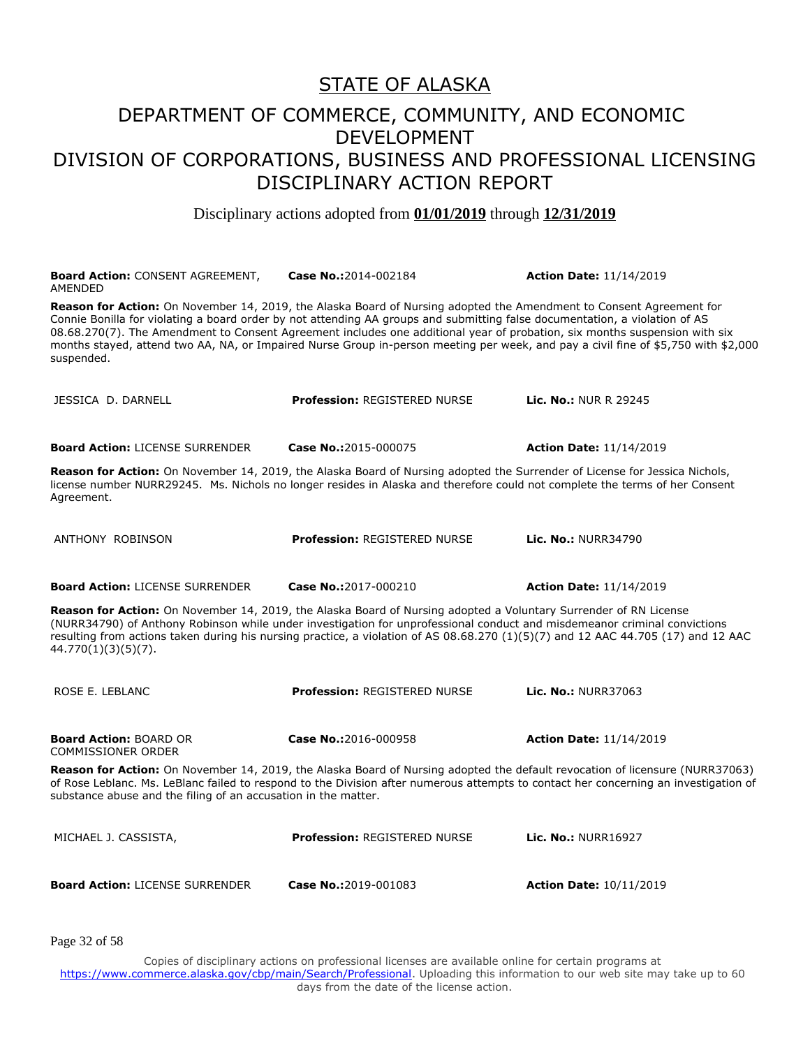#### DEPARTMENT OF COMMERCE, COMMUNITY, AND ECONOMIC DEVELOPMENT DIVISION OF CORPORATIONS, BUSINESS AND PROFESSIONAL LICENSING DISCIPLINARY ACTION REPORT

Disciplinary actions adopted from **01/01/2019** through **12/31/2019**

| <b>Board Action: CONSENT AGREEMENT,</b><br><b>AMENDED</b>                                                                                                                                                                                                                                                                                                                                                    | Case No.:2014-002184                | <b>Action Date: 11/14/2019</b>                                                                                                     |
|--------------------------------------------------------------------------------------------------------------------------------------------------------------------------------------------------------------------------------------------------------------------------------------------------------------------------------------------------------------------------------------------------------------|-------------------------------------|------------------------------------------------------------------------------------------------------------------------------------|
| Reason for Action: On November 14, 2019, the Alaska Board of Nursing adopted the Amendment to Consent Agreement for<br>Connie Bonilla for violating a board order by not attending AA groups and submitting false documentation, a violation of AS<br>08.68.270(7). The Amendment to Consent Agreement includes one additional year of probation, six months suspension with six<br>suspended.               |                                     | months stayed, attend two AA, NA, or Impaired Nurse Group in-person meeting per week, and pay a civil fine of \$5,750 with \$2,000 |
| JESSICA D. DARNELL                                                                                                                                                                                                                                                                                                                                                                                           | <b>Profession: REGISTERED NURSE</b> | <b>Lic. No.: NUR R 29245</b>                                                                                                       |
| <b>Board Action: LICENSE SURRENDER</b>                                                                                                                                                                                                                                                                                                                                                                       | Case No.:2015-000075                | <b>Action Date: 11/14/2019</b>                                                                                                     |
| Reason for Action: On November 14, 2019, the Alaska Board of Nursing adopted the Surrender of License for Jessica Nichols,<br>license number NURR29245. Ms. Nichols no longer resides in Alaska and therefore could not complete the terms of her Consent<br>Agreement.                                                                                                                                      |                                     |                                                                                                                                    |
| ANTHONY ROBINSON                                                                                                                                                                                                                                                                                                                                                                                             | <b>Profession: REGISTERED NURSE</b> | <b>Lic. No.: NURR34790</b>                                                                                                         |
| <b>Board Action: LICENSE SURRENDER</b>                                                                                                                                                                                                                                                                                                                                                                       | Case No.:2017-000210                | <b>Action Date: 11/14/2019</b>                                                                                                     |
| Reason for Action: On November 14, 2019, the Alaska Board of Nursing adopted a Voluntary Surrender of RN License<br>(NURR34790) of Anthony Robinson while under investigation for unprofessional conduct and misdemeanor criminal convictions<br>resulting from actions taken during his nursing practice, a violation of AS 08.68.270 (1)(5)(7) and 12 AAC 44.705 (17) and 12 AAC<br>$44.770(1)(3)(5)(7)$ . |                                     |                                                                                                                                    |
| ROSE E. LEBLANC                                                                                                                                                                                                                                                                                                                                                                                              | <b>Profession: REGISTERED NURSE</b> | <b>Lic. No.: NURR37063</b>                                                                                                         |
| <b>Board Action: BOARD OR</b><br><b>COMMISSIONER ORDER</b>                                                                                                                                                                                                                                                                                                                                                   | Case No.:2016-000958                | <b>Action Date: 11/14/2019</b>                                                                                                     |
| Reason for Action: On November 14, 2019, the Alaska Board of Nursing adopted the default revocation of licensure (NURR37063)<br>of Rose Leblanc. Ms. LeBlanc failed to respond to the Division after numerous attempts to contact her concerning an investigation of<br>substance abuse and the filing of an accusation in the matter.                                                                       |                                     |                                                                                                                                    |
| MICHAEL J. CASSISTA,                                                                                                                                                                                                                                                                                                                                                                                         | <b>Profession: REGISTERED NURSE</b> | <b>Lic. No.: NURR16927</b>                                                                                                         |
| <b>Board Action: LICENSE SURRENDER</b>                                                                                                                                                                                                                                                                                                                                                                       | Case No.:2019-001083                | <b>Action Date: 10/11/2019</b>                                                                                                     |

Page 32 of 58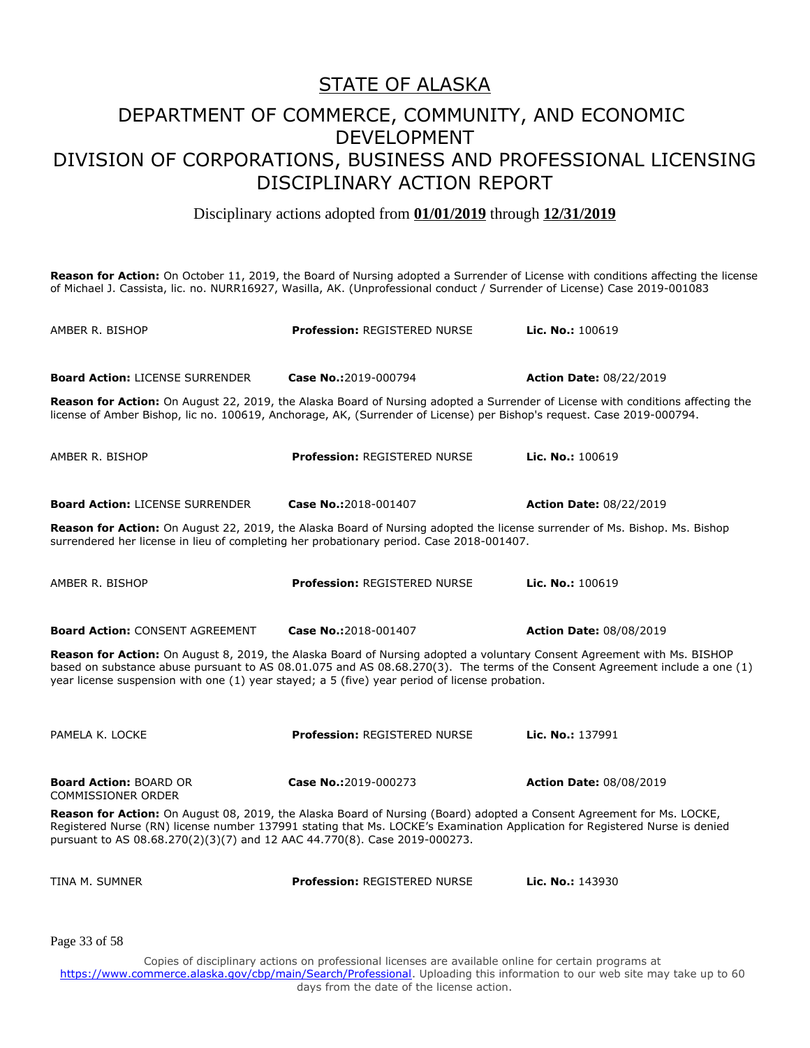Disciplinary actions adopted from **01/01/2019** through **12/31/2019**

**Reason for Action:** On October 11, 2019, the Board of Nursing adopted a Surrender of License with conditions affecting the license of Michael J. Cassista, lic. no. NURR16927, Wasilla, AK. (Unprofessional conduct / Surrender of License) Case 2019-001083

| AMBER R. BISHOP                                                                                                                                                                                                                                                                                                                                          | <b>Profession: REGISTERED NURSE</b> | Lic. No.: 100619               |  |
|----------------------------------------------------------------------------------------------------------------------------------------------------------------------------------------------------------------------------------------------------------------------------------------------------------------------------------------------------------|-------------------------------------|--------------------------------|--|
| <b>Board Action: LICENSE SURRENDER</b>                                                                                                                                                                                                                                                                                                                   | Case No.:2019-000794                | <b>Action Date: 08/22/2019</b> |  |
| <b>Reason for Action:</b> On August 22, 2019, the Alaska Board of Nursing adopted a Surrender of License with conditions affecting the<br>license of Amber Bishop, lic no. 100619, Anchorage, AK, (Surrender of License) per Bishop's request. Case 2019-000794.                                                                                         |                                     |                                |  |
| AMBER R. BISHOP                                                                                                                                                                                                                                                                                                                                          | Profession: REGISTERED NURSE        | Lic. No.: $100619$             |  |
| <b>Board Action: LICENSE SURRENDER</b>                                                                                                                                                                                                                                                                                                                   | Case No.:2018-001407                | <b>Action Date: 08/22/2019</b> |  |
| Reason for Action: On August 22, 2019, the Alaska Board of Nursing adopted the license surrender of Ms. Bishop. Ms. Bishop<br>surrendered her license in lieu of completing her probationary period. Case 2018-001407.                                                                                                                                   |                                     |                                |  |
| AMBER R. BISHOP                                                                                                                                                                                                                                                                                                                                          | <b>Profession: REGISTERED NURSE</b> | Lic. No.: 100619               |  |
| <b>Board Action: CONSENT AGREEMENT</b>                                                                                                                                                                                                                                                                                                                   | Case No.:2018-001407                | <b>Action Date: 08/08/2019</b> |  |
| Reason for Action: On August 8, 2019, the Alaska Board of Nursing adopted a voluntary Consent Agreement with Ms. BISHOP<br>based on substance abuse pursuant to AS 08.01.075 and AS 08.68.270(3). The terms of the Consent Agreement include a one (1)<br>year license suspension with one (1) year stayed; a 5 (five) year period of license probation. |                                     |                                |  |
| PAMELA K. LOCKE                                                                                                                                                                                                                                                                                                                                          | <b>Profession: REGISTERED NURSE</b> | Lic. No.: 137991               |  |
| <b>Board Action: BOARD OR</b><br><b>COMMISSIONER ORDER</b>                                                                                                                                                                                                                                                                                               | Case No.:2019-000273                | <b>Action Date: 08/08/2019</b> |  |
| Reason for Action: On August 08, 2019, the Alaska Board of Nursing (Board) adopted a Consent Agreement for Ms. LOCKE,<br>Registered Nurse (RN) license number 137991 stating that Ms. LOCKE's Examination Application for Registered Nurse is denied<br>pursuant to AS 08.68.270(2)(3)(7) and 12 AAC 44.770(8). Case 2019-000273.                        |                                     |                                |  |
| TINA M. SUMNER                                                                                                                                                                                                                                                                                                                                           | <b>Profession: REGISTERED NURSE</b> | Lic. No.: 143930               |  |
| Page 33 of 58                                                                                                                                                                                                                                                                                                                                            |                                     |                                |  |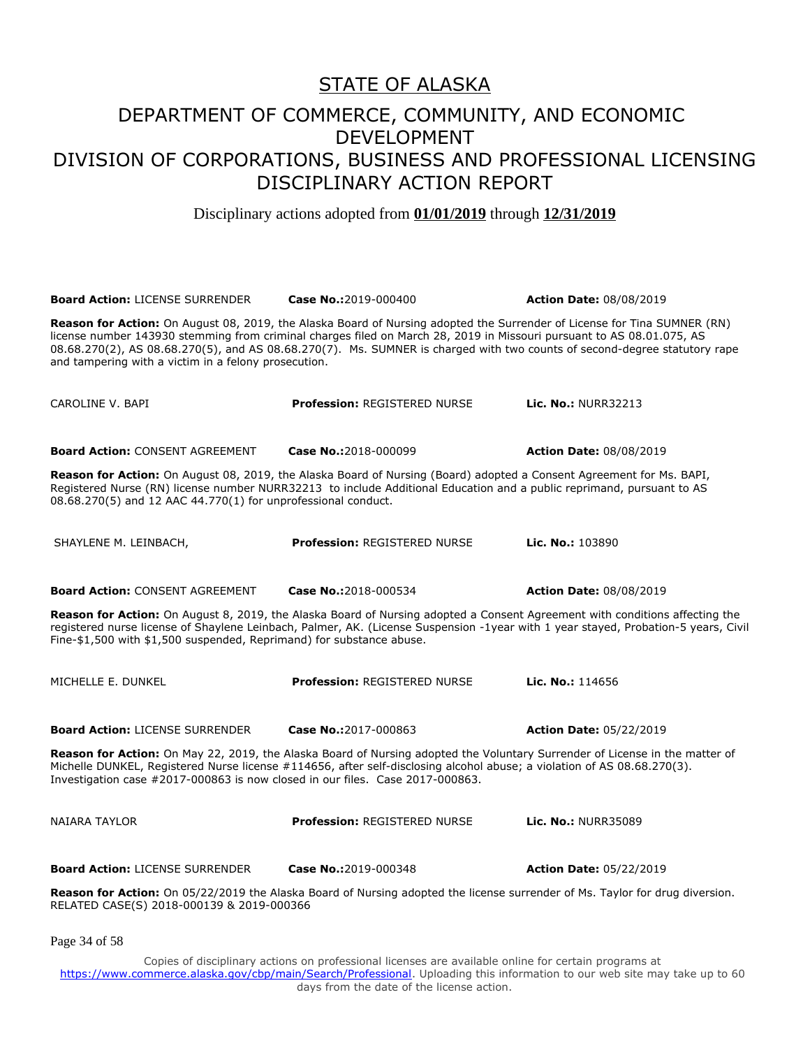Disciplinary actions adopted from **01/01/2019** through **12/31/2019**

| <b>Board Action: LICENSE SURRENDER</b>                                                                                                                                                                                                                                                                                                                                                                                                 | Case No.:2019-000400                | <b>Action Date: 08/08/2019</b> |  |
|----------------------------------------------------------------------------------------------------------------------------------------------------------------------------------------------------------------------------------------------------------------------------------------------------------------------------------------------------------------------------------------------------------------------------------------|-------------------------------------|--------------------------------|--|
| Reason for Action: On August 08, 2019, the Alaska Board of Nursing adopted the Surrender of License for Tina SUMNER (RN)<br>license number 143930 stemming from criminal charges filed on March 28, 2019 in Missouri pursuant to AS 08.01.075, AS<br>08.68.270(2), AS 08.68.270(5), and AS 08.68.270(7). Ms. SUMNER is charged with two counts of second-degree statutory rape<br>and tampering with a victim in a felony prosecution. |                                     |                                |  |
| CAROLINE V. BAPI                                                                                                                                                                                                                                                                                                                                                                                                                       | <b>Profession: REGISTERED NURSE</b> | <b>Lic. No.: NURR32213</b>     |  |
| <b>Board Action: CONSENT AGREEMENT</b>                                                                                                                                                                                                                                                                                                                                                                                                 | Case No.:2018-000099                | <b>Action Date: 08/08/2019</b> |  |
| Reason for Action: On August 08, 2019, the Alaska Board of Nursing (Board) adopted a Consent Agreement for Ms. BAPI,<br>Registered Nurse (RN) license number NURR32213 to include Additional Education and a public reprimand, pursuant to AS<br>08.68.270(5) and 12 AAC 44.770(1) for unprofessional conduct.                                                                                                                         |                                     |                                |  |
| SHAYLENE M. LEINBACH,                                                                                                                                                                                                                                                                                                                                                                                                                  | <b>Profession: REGISTERED NURSE</b> | Lic. No.: 103890               |  |
| <b>Board Action: CONSENT AGREEMENT</b>                                                                                                                                                                                                                                                                                                                                                                                                 | Case No.:2018-000534                | <b>Action Date: 08/08/2019</b> |  |
| Reason for Action: On August 8, 2019, the Alaska Board of Nursing adopted a Consent Agreement with conditions affecting the<br>registered nurse license of Shaylene Leinbach, Palmer, AK. (License Suspension -1year with 1 year stayed, Probation-5 years, Civil<br>Fine-\$1,500 with \$1,500 suspended, Reprimand) for substance abuse.                                                                                              |                                     |                                |  |
| MICHELLE E. DUNKEL                                                                                                                                                                                                                                                                                                                                                                                                                     | <b>Profession: REGISTERED NURSE</b> | Lic. No.: 114656               |  |
| <b>Board Action: LICENSE SURRENDER</b>                                                                                                                                                                                                                                                                                                                                                                                                 | Case No.:2017-000863                | <b>Action Date: 05/22/2019</b> |  |
| Reason for Action: On May 22, 2019, the Alaska Board of Nursing adopted the Voluntary Surrender of License in the matter of<br>Michelle DUNKEL, Registered Nurse license #114656, after self-disclosing alcohol abuse; a violation of AS 08.68.270(3).<br>Investigation case #2017-000863 is now closed in our files. Case 2017-000863.                                                                                                |                                     |                                |  |
| NAIARA TAYLOR                                                                                                                                                                                                                                                                                                                                                                                                                          | <b>Profession: REGISTERED NURSE</b> | <b>Lic. No.: NURR35089</b>     |  |
| <b>Board Action: LICENSE SURRENDER</b>                                                                                                                                                                                                                                                                                                                                                                                                 | Case No.:2019-000348                | <b>Action Date: 05/22/2019</b> |  |
| Reason for Action: On 05/22/2019 the Alaska Board of Nursing adopted the license surrender of Ms. Taylor for drug diversion.<br>RELATED CASE(S) 2018-000139 & 2019-000366                                                                                                                                                                                                                                                              |                                     |                                |  |

Page 34 of 58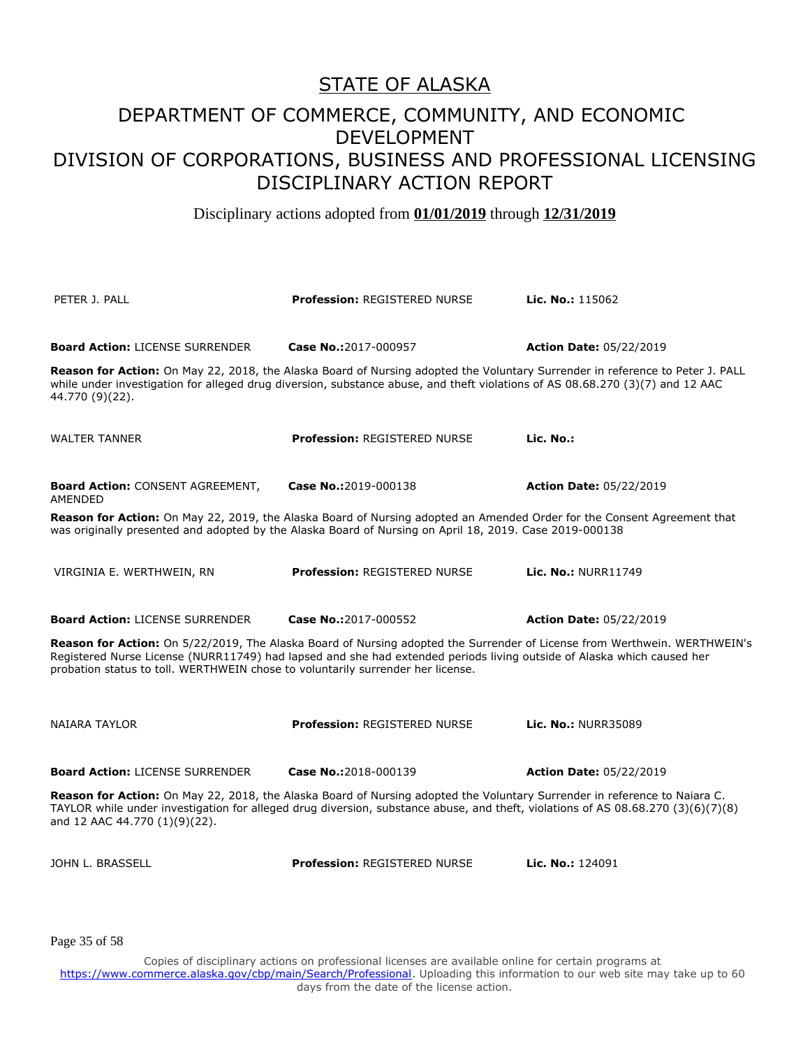Disciplinary actions adopted from **01/01/2019** through **12/31/2019**

PETER J. PALL **Profession:** REGISTERED NURSE **Lic. No.:** 115062 **Board Action:** LICENSE SURRENDER **Case No.:**2017-000957 **Action Date:** 05/22/2019 **Reason for Action:** On May 22, 2018, the Alaska Board of Nursing adopted the Voluntary Surrender in reference to Peter J. PALL while under investigation for alleged drug diversion, substance abuse, and theft violations of AS 08.68.270 (3)(7) and 12 AAC 44.770 (9)(22). WALTER TANNER **Profession:** REGISTERED NURSE **Lic. No.: Board Action:** CONSENT AGREEMENT, AMENDED **Case No.:**2019-000138 **Action Date:** 05/22/2019 **Reason for Action:** On May 22, 2019, the Alaska Board of Nursing adopted an Amended Order for the Consent Agreement that was originally presented and adopted by the Alaska Board of Nursing on April 18, 2019. Case 2019-000138 VIRGINIA E. WERTHWEIN, RN **Profession:** REGISTERED NURSE **Lic. No.:** NURR11749 **Board Action:** LICENSE SURRENDER **Case No.:**2017-000552 **Action Date:** 05/22/2019 **Reason for Action:** On 5/22/2019, The Alaska Board of Nursing adopted the Surrender of License from Werthwein. WERTHWEIN's Registered Nurse License (NURR11749) had lapsed and she had extended periods living outside of Alaska which caused her probation status to toll. WERTHWEIN chose to voluntarily surrender her license. NAIARA TAYLOR **Profession:** REGISTERED NURSE **Lic. No.:** NURR35089 **Board Action:** LICENSE SURRENDER **Case No.:**2018-000139 **Action Date:** 05/22/2019 **Reason for Action:** On May 22, 2018, the Alaska Board of Nursing adopted the Voluntary Surrender in reference to Naiara C. TAYLOR while under investigation for alleged drug diversion, substance abuse, and theft, violations of AS 08.68.270 (3)(6)(7)(8) and 12 AAC 44.770 (1)(9)(22). JOHN L. BRASSELL **Profession:** REGISTERED NURSE **Lic. No.:** 124091

Page 35 of 58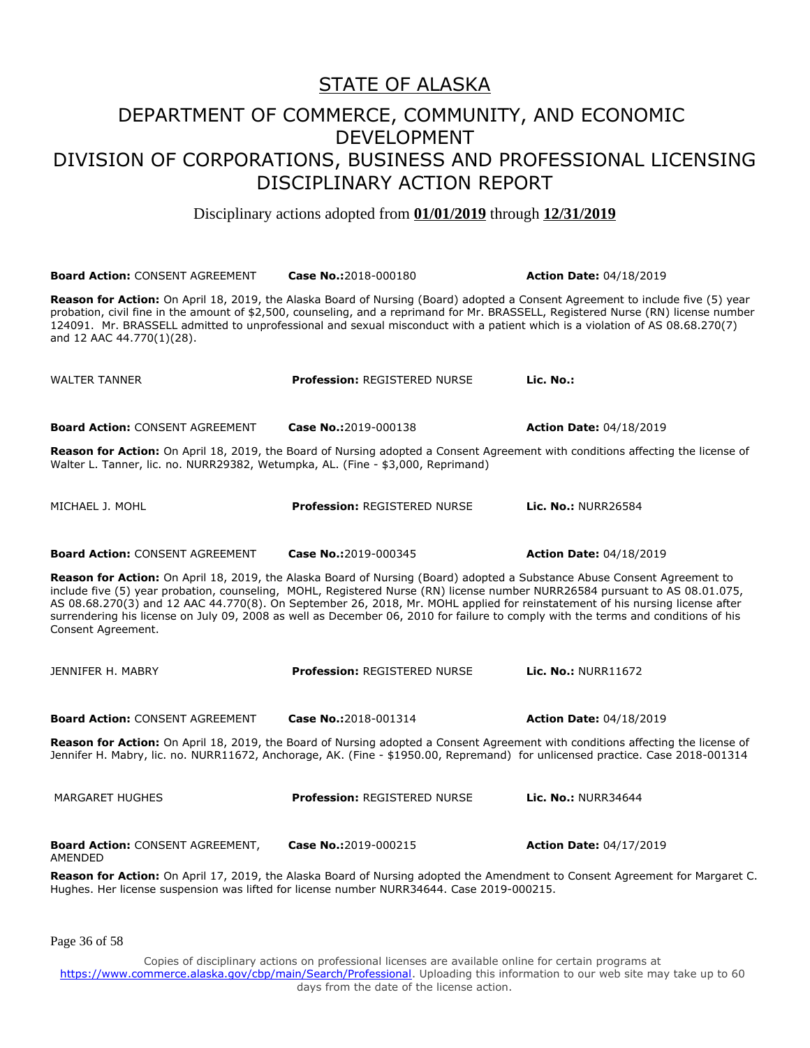Disciplinary actions adopted from **01/01/2019** through **12/31/2019**

| <b>Board Action: CONSENT AGREEMENT</b>                                          | Case No.:2018-000180                                                                                                                                                                                                                                                                                                                                                                                                                                                                                                         | <b>Action Date: 04/18/2019</b> |
|---------------------------------------------------------------------------------|------------------------------------------------------------------------------------------------------------------------------------------------------------------------------------------------------------------------------------------------------------------------------------------------------------------------------------------------------------------------------------------------------------------------------------------------------------------------------------------------------------------------------|--------------------------------|
| and 12 AAC 44.770(1)(28).                                                       | Reason for Action: On April 18, 2019, the Alaska Board of Nursing (Board) adopted a Consent Agreement to include five (5) year<br>probation, civil fine in the amount of \$2,500, counseling, and a reprimand for Mr. BRASSELL, Registered Nurse (RN) license number<br>124091. Mr. BRASSELL admitted to unprofessional and sexual misconduct with a patient which is a violation of AS 08.68.270(7)                                                                                                                         |                                |
| <b>WALTER TANNER</b>                                                            | <b>Profession: REGISTERED NURSE</b>                                                                                                                                                                                                                                                                                                                                                                                                                                                                                          | Lic. No.:                      |
| <b>Board Action: CONSENT AGREEMENT</b>                                          | Case No.:2019-000138                                                                                                                                                                                                                                                                                                                                                                                                                                                                                                         | <b>Action Date: 04/18/2019</b> |
| Walter L. Tanner, lic. no. NURR29382, Wetumpka, AL. (Fine - \$3,000, Reprimand) | Reason for Action: On April 18, 2019, the Board of Nursing adopted a Consent Agreement with conditions affecting the license of                                                                                                                                                                                                                                                                                                                                                                                              |                                |
| MICHAEL J. MOHL                                                                 | <b>Profession: REGISTERED NURSE</b>                                                                                                                                                                                                                                                                                                                                                                                                                                                                                          | <b>Lic. No.: NURR26584</b>     |
| <b>Board Action: CONSENT AGREEMENT</b>                                          | Case No.:2019-000345                                                                                                                                                                                                                                                                                                                                                                                                                                                                                                         | <b>Action Date: 04/18/2019</b> |
| Consent Agreement.                                                              | Reason for Action: On April 18, 2019, the Alaska Board of Nursing (Board) adopted a Substance Abuse Consent Agreement to<br>include five (5) year probation, counseling, MOHL, Registered Nurse (RN) license number NURR26584 pursuant to AS 08.01.075,<br>AS 08.68.270(3) and 12 AAC 44.770(8). On September 26, 2018, Mr. MOHL applied for reinstatement of his nursing license after<br>surrendering his license on July 09, 2008 as well as December 06, 2010 for failure to comply with the terms and conditions of his |                                |
| JENNIFER H. MABRY                                                               | <b>Profession: REGISTERED NURSE</b>                                                                                                                                                                                                                                                                                                                                                                                                                                                                                          | Lic. No.: NURR11672            |
| <b>Board Action: CONSENT AGREEMENT</b>                                          | Case No.:2018-001314                                                                                                                                                                                                                                                                                                                                                                                                                                                                                                         | <b>Action Date: 04/18/2019</b> |
|                                                                                 | Reason for Action: On April 18, 2019, the Board of Nursing adopted a Consent Agreement with conditions affecting the license of<br>Jennifer H. Mabry, lic. no. NURR11672, Anchorage, AK. (Fine - \$1950.00, Repremand) for unlicensed practice. Case 2018-001314                                                                                                                                                                                                                                                             |                                |
| <b>MARGARET HUGHES</b>                                                          | <b>Profession: REGISTERED NURSE</b>                                                                                                                                                                                                                                                                                                                                                                                                                                                                                          | <b>Lic. No.: NURR34644</b>     |
| <b>Board Action: CONSENT AGREEMENT,</b><br>AMENDED                              | Case No.:2019-000215                                                                                                                                                                                                                                                                                                                                                                                                                                                                                                         | <b>Action Date: 04/17/2019</b> |
|                                                                                 | Reason for Action: On April 17, 2019, the Alaska Board of Nursing adopted the Amendment to Consent Agreement for Margaret C.<br>Hughes. Her license suspension was lifted for license number NURR34644. Case 2019-000215.                                                                                                                                                                                                                                                                                                    |                                |

Page 36 of 58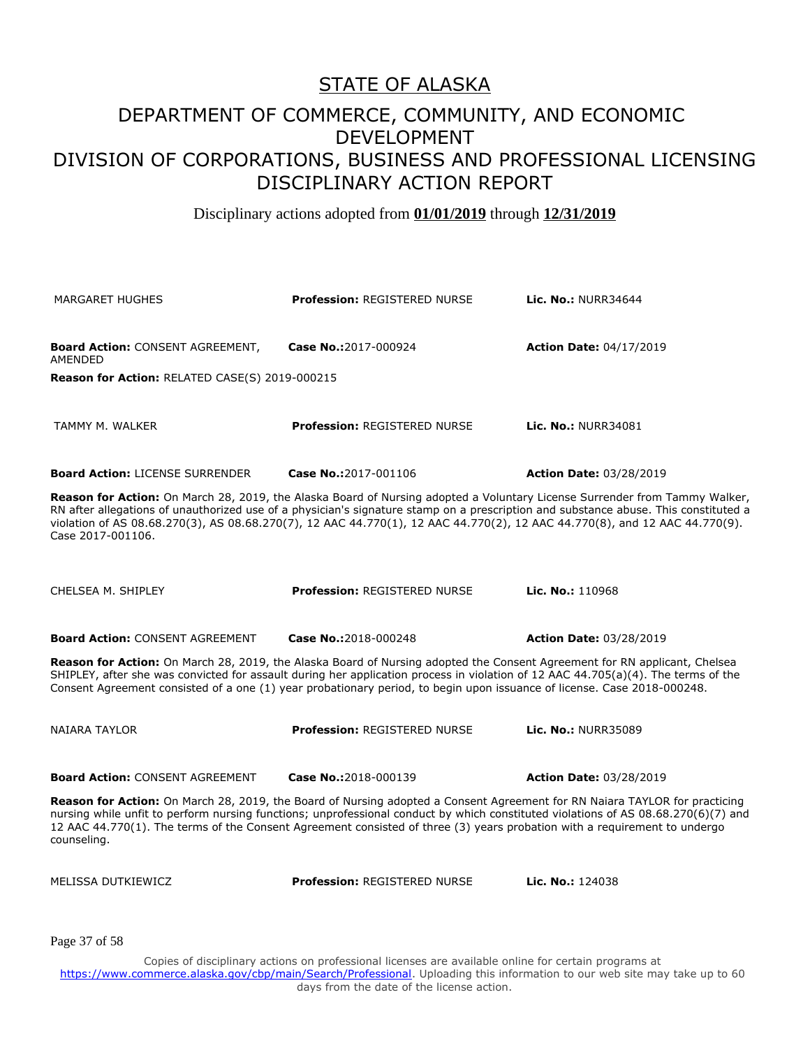#### DEPARTMENT OF COMMERCE, COMMUNITY, AND ECONOMIC DEVELOPMENT DIVISION OF CORPORATIONS, BUSINESS AND PROFESSIONAL LICENSING DISCIPLINARY ACTION REPORT

Disciplinary actions adopted from **01/01/2019** through **12/31/2019**

| <b>MARGARET HUGHES</b>                                                                                                                                                                                                                                                                                                                                                                                               | <b>Profession: REGISTERED NURSE</b> | <b>Lic. No.: NURR34644</b>     |
|----------------------------------------------------------------------------------------------------------------------------------------------------------------------------------------------------------------------------------------------------------------------------------------------------------------------------------------------------------------------------------------------------------------------|-------------------------------------|--------------------------------|
| <b>Board Action: CONSENT AGREEMENT,</b><br>AMENDED                                                                                                                                                                                                                                                                                                                                                                   | Case No.:2017-000924                | <b>Action Date: 04/17/2019</b> |
| Reason for Action: RELATED CASE(S) 2019-000215                                                                                                                                                                                                                                                                                                                                                                       |                                     |                                |
| TAMMY M. WALKER                                                                                                                                                                                                                                                                                                                                                                                                      | <b>Profession: REGISTERED NURSE</b> | <b>Lic. No.: NURR34081</b>     |
| <b>Board Action: LICENSE SURRENDER</b>                                                                                                                                                                                                                                                                                                                                                                               | Case No.:2017-001106                | <b>Action Date: 03/28/2019</b> |
| Reason for Action: On March 28, 2019, the Alaska Board of Nursing adopted a Voluntary License Surrender from Tammy Walker,<br>RN after allegations of unauthorized use of a physician's signature stamp on a prescription and substance abuse. This constituted a<br>violation of AS 08.68.270(3), AS 08.68.270(7), 12 AAC 44.770(1), 12 AAC 44.770(2), 12 AAC 44.770(8), and 12 AAC 44.770(9).<br>Case 2017-001106. |                                     |                                |
| CHELSEA M. SHIPLEY                                                                                                                                                                                                                                                                                                                                                                                                   | <b>Profession: REGISTERED NURSE</b> | Lic. No.: 110968               |
| <b>Board Action: CONSENT AGREEMENT</b>                                                                                                                                                                                                                                                                                                                                                                               | Case No.:2018-000248                | <b>Action Date: 03/28/2019</b> |
| Reason for Action: On March 28, 2019, the Alaska Board of Nursing adopted the Consent Agreement for RN applicant, Chelsea<br>SHIPLEY, after she was convicted for assault during her application process in violation of 12 AAC 44.705(a)(4). The terms of the<br>Consent Agreement consisted of a one (1) year probationary period, to begin upon issuance of license. Case 2018-000248.                            |                                     |                                |
| NAIARA TAYLOR                                                                                                                                                                                                                                                                                                                                                                                                        | <b>Profession: REGISTERED NURSE</b> | Lic. No.: NURR35089            |
| <b>Board Action: CONSENT AGREEMENT</b>                                                                                                                                                                                                                                                                                                                                                                               | Case No.:2018-000139                | <b>Action Date: 03/28/2019</b> |
| Reason for Action: On March 28, 2019, the Board of Nursing adopted a Consent Agreement for RN Naiara TAYLOR for practicing<br>nursing while unfit to perform nursing functions; unprofessional conduct by which constituted violations of AS 08.68.270(6)(7) and<br>12 AAC 44.770(1). The terms of the Consent Agreement consisted of three (3) years probation with a requirement to undergo<br>counseling.         |                                     |                                |
| MELISSA DUTKIEWICZ                                                                                                                                                                                                                                                                                                                                                                                                   | <b>Profession: REGISTERED NURSE</b> | Lic. No.: 124038               |
| Page 37 of 58                                                                                                                                                                                                                                                                                                                                                                                                        |                                     |                                |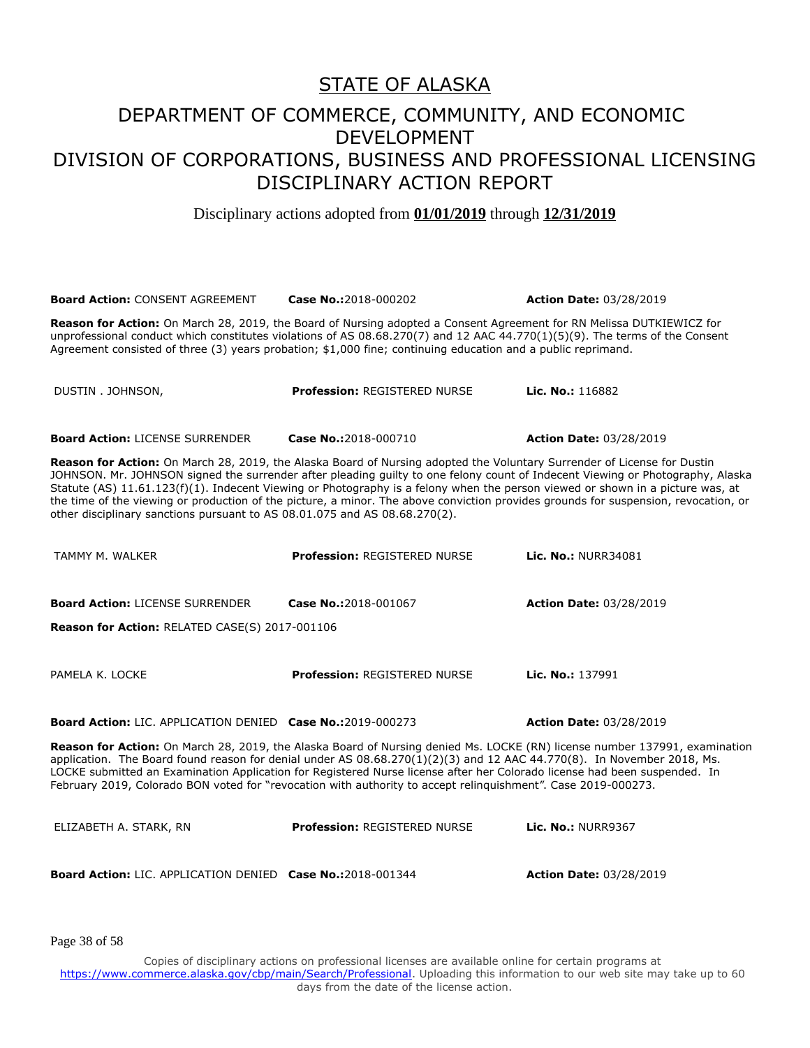Disciplinary actions adopted from **01/01/2019** through **12/31/2019**

| <b>Board Action: CONSENT AGREEMENT</b>                                                                                                                                                                                                                                                                                                                                                                                                                                                                                                                                                                           | Case No.:2018-000202                | <b>Action Date: 03/28/2019</b> |  |
|------------------------------------------------------------------------------------------------------------------------------------------------------------------------------------------------------------------------------------------------------------------------------------------------------------------------------------------------------------------------------------------------------------------------------------------------------------------------------------------------------------------------------------------------------------------------------------------------------------------|-------------------------------------|--------------------------------|--|
| Reason for Action: On March 28, 2019, the Board of Nursing adopted a Consent Agreement for RN Melissa DUTKIEWICZ for<br>unprofessional conduct which constitutes violations of AS 08.68.270(7) and 12 AAC 44.770(1)(5)(9). The terms of the Consent<br>Agreement consisted of three (3) years probation; \$1,000 fine; continuing education and a public reprimand.                                                                                                                                                                                                                                              |                                     |                                |  |
| DUSTIN . JOHNSON,                                                                                                                                                                                                                                                                                                                                                                                                                                                                                                                                                                                                | <b>Profession: REGISTERED NURSE</b> | Lic. No.: 116882               |  |
| <b>Board Action: LICENSE SURRENDER</b>                                                                                                                                                                                                                                                                                                                                                                                                                                                                                                                                                                           | Case No.:2018-000710                | <b>Action Date: 03/28/2019</b> |  |
| Reason for Action: On March 28, 2019, the Alaska Board of Nursing adopted the Voluntary Surrender of License for Dustin<br>JOHNSON. Mr. JOHNSON signed the surrender after pleading guilty to one felony count of Indecent Viewing or Photography, Alaska<br>Statute (AS) 11.61.123(f)(1). Indecent Viewing or Photography is a felony when the person viewed or shown in a picture was, at<br>the time of the viewing or production of the picture, a minor. The above conviction provides grounds for suspension, revocation, or<br>other disciplinary sanctions pursuant to AS 08.01.075 and AS 08.68.270(2). |                                     |                                |  |
| TAMMY M. WALKER                                                                                                                                                                                                                                                                                                                                                                                                                                                                                                                                                                                                  | <b>Profession: REGISTERED NURSE</b> | <b>Lic. No.: NURR34081</b>     |  |
| <b>Board Action: LICENSE SURRENDER</b>                                                                                                                                                                                                                                                                                                                                                                                                                                                                                                                                                                           | Case No.:2018-001067                | <b>Action Date: 03/28/2019</b> |  |
| Reason for Action: RELATED CASE(S) 2017-001106                                                                                                                                                                                                                                                                                                                                                                                                                                                                                                                                                                   |                                     |                                |  |
| PAMELA K. LOCKE                                                                                                                                                                                                                                                                                                                                                                                                                                                                                                                                                                                                  | <b>Profession: REGISTERED NURSE</b> | Lic. No.: 137991               |  |
| <b>Board Action: LIC. APPLICATION DENIED Case No.:2019-000273</b>                                                                                                                                                                                                                                                                                                                                                                                                                                                                                                                                                |                                     | <b>Action Date: 03/28/2019</b> |  |
| Reason for Action: On March 28, 2019, the Alaska Board of Nursing denied Ms. LOCKE (RN) license number 137991, examination<br>application. The Board found reason for denial under AS 08.68.270(1)(2)(3) and 12 AAC 44.770(8). In November 2018, Ms.<br>LOCKE submitted an Examination Application for Registered Nurse license after her Colorado license had been suspended. In<br>February 2019, Colorado BON voted for "revocation with authority to accept relinquishment". Case 2019-000273.                                                                                                               |                                     |                                |  |
| ELIZABETH A. STARK, RN                                                                                                                                                                                                                                                                                                                                                                                                                                                                                                                                                                                           | <b>Profession: REGISTERED NURSE</b> | <b>Lic. No.: NURR9367</b>      |  |
| <b>Board Action: LIC. APPLICATION DENIED Case No.:2018-001344</b>                                                                                                                                                                                                                                                                                                                                                                                                                                                                                                                                                |                                     | <b>Action Date: 03/28/2019</b> |  |

Page 38 of 58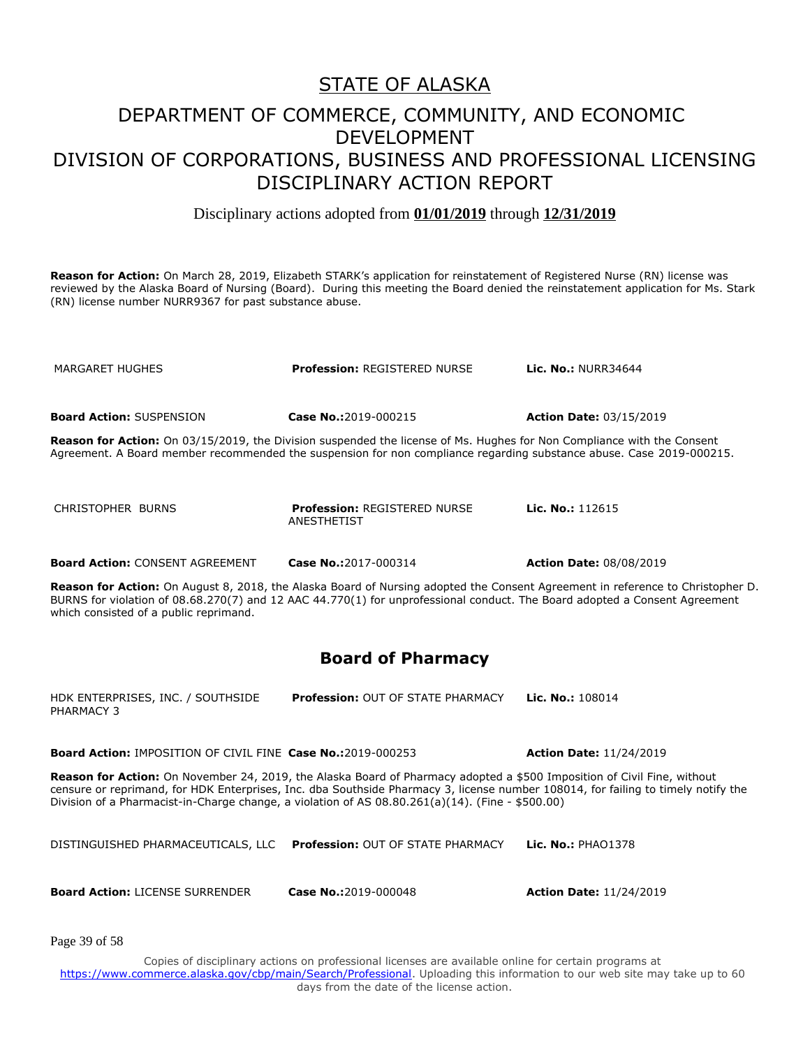Disciplinary actions adopted from **01/01/2019** through **12/31/2019**

Reason for Action: On March 28, 2019, Elizabeth STARK's application for reinstatement of Registered Nurse (RN) license was reviewed by the Alaska Board of Nursing (Board). During this meeting the Board denied the reinstatement application for Ms. Stark (RN) license number NURR9367 for past substance abuse.

MARGARET HUGHES **Profession:** REGISTERED NURSE **Lic. No.:** NURR34644 **Board Action:** SUSPENSION **Case No.:**2019-000215 **Action Date:** 03/15/2019 **Reason for Action:** On 03/15/2019, the Division suspended the license of Ms. Hughes for Non Compliance with the Consent Agreement. A Board member recommended the suspension for non compliance regarding substance abuse. Case 2019-000215. CHRISTOPHER BURNS **Profession:** REGISTERED NURSE ANESTHETIST **Lic. No.:** 112615 **Board Action:** CONSENT AGREEMENT **Case No.:**2017-000314 **Action Date:** 08/08/2019

**Reason for Action:** On August 8, 2018, the Alaska Board of Nursing adopted the Consent Agreement in reference to Christopher D. BURNS for violation of 08.68.270(7) and 12 AAC 44.770(1) for unprofessional conduct. The Board adopted a Consent Agreement which consisted of a public reprimand.

#### **Board of Pharmacy**

HDK ENTERPRISES, INC. / SOUTHSIDE PHARMACY 3 **Profession:** OUT OF STATE PHARMACY **Lic. No.:** 108014

**Board Action:** IMPOSITION OF CIVIL FINE **Case No.:**2019-000253 **Action Date:** 11/24/2019

**Reason for Action:** On November 24, 2019, the Alaska Board of Pharmacy adopted a \$500 Imposition of Civil Fine, without censure or reprimand, for HDK Enterprises, Inc. dba Southside Pharmacy 3, license number 108014, for failing to timely notify the Division of a Pharmacist-in-Charge change, a violation of AS 08.80.261(a)(14). (Fine - \$500.00)

| DISTINGUISHED PHARMACEUTICALS, LLC Profession: OUT OF STATE PHARMACY Lic. No.: PHAO1378 |  |
|-----------------------------------------------------------------------------------------|--|
|                                                                                         |  |

**Board Action:** LICENSE SURRENDER **Case No.:**2019-000048 **Action Date:** 11/24/2019

Page 39 of 58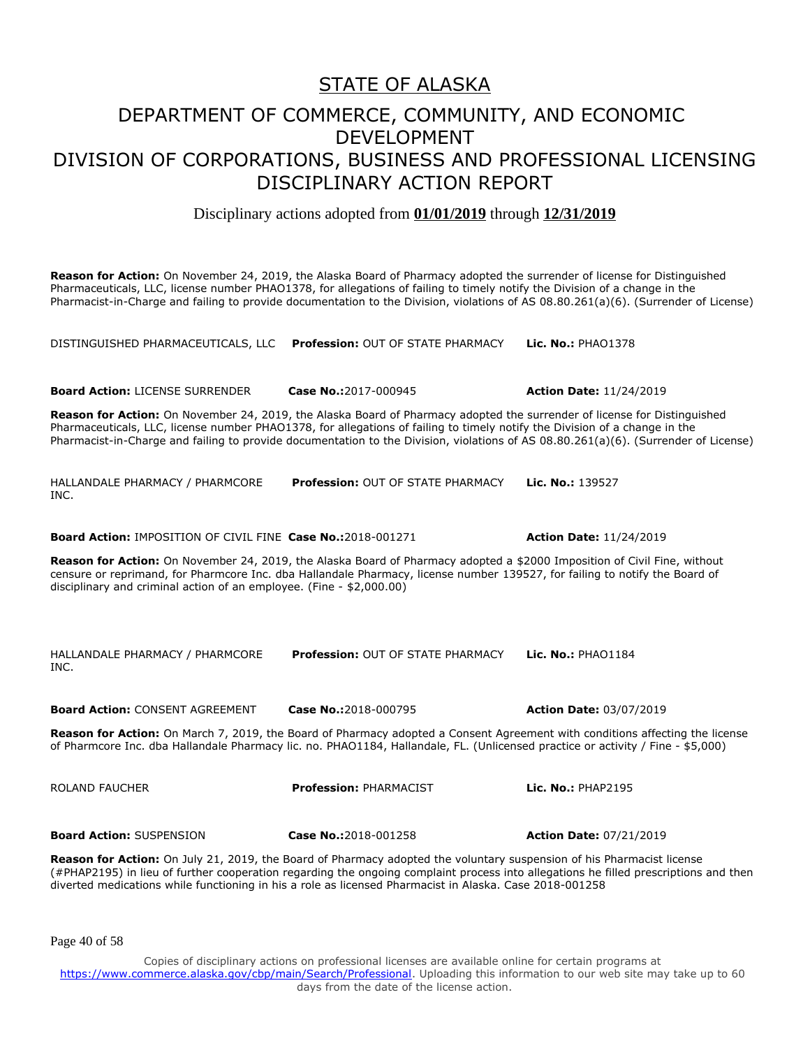Disciplinary actions adopted from **01/01/2019** through **12/31/2019**

**Reason for Action:** On November 24, 2019, the Alaska Board of Pharmacy adopted the surrender of license for Distinguished Pharmaceuticals, LLC, license number PHAO1378, for allegations of failing to timely notify the Division of a change in the Pharmacist-in-Charge and failing to provide documentation to the Division, violations of AS 08.80.261(a)(6). (Surrender of License)

DISTINGUISHED PHARMACEUTICALS, LLC **Profession:** OUT OF STATE PHARMACY **Lic. No.:** PHAO1378

**Board Action:** LICENSE SURRENDER **Case No.:**2017-000945 **Action Date:** 11/24/2019 **Reason for Action:** On November 24, 2019, the Alaska Board of Pharmacy adopted the surrender of license for Distinguished Pharmaceuticals, LLC, license number PHAO1378, for allegations of failing to timely notify the Division of a change in the Pharmacist-in-Charge and failing to provide documentation to the Division, violations of AS 08.80.261(a)(6). (Surrender of License) HALLANDALE PHARMACY / PHARMCORE INC. **Profession:** OUT OF STATE PHARMACY **Lic. No.:** 139527 **Board Action:** IMPOSITION OF CIVIL FINE **Case No.:**2018-001271 **Action Date:** 11/24/2019 **Reason for Action:** On November 24, 2019, the Alaska Board of Pharmacy adopted a \$2000 Imposition of Civil Fine, without censure or reprimand, for Pharmcore Inc. dba Hallandale Pharmacy, license number 139527, for failing to notify the Board of disciplinary and criminal action of an employee. (Fine - \$2,000.00) HALLANDALE PHARMACY / PHARMCORE INC. **Profession:** OUT OF STATE PHARMACY **Lic. No.:** PHAO1184 **Board Action:** CONSENT AGREEMENT **Case No.:**2018-000795 **Action Date:** 03/07/2019 **Reason for Action:** On March 7, 2019, the Board of Pharmacy adopted a Consent Agreement with conditions affecting the license of Pharmcore Inc. dba Hallandale Pharmacy lic. no. PHAO1184, Hallandale, FL. (Unlicensed practice or activity / Fine - \$5,000) ROLAND FAUCHER **Profession:** PHARMACIST **Lic. No.:** PHAP2195 **Board Action:** SUSPENSION **Case No.:**2018-001258 **Action Date:** 07/21/2019

**Reason for Action:** On July 21, 2019, the Board of Pharmacy adopted the voluntary suspension of his Pharmacist license (#PHAP2195) in lieu of further cooperation regarding the ongoing complaint process into allegations he filled prescriptions and then diverted medications while functioning in his a role as licensed Pharmacist in Alaska. Case 2018-001258

Page 40 of 58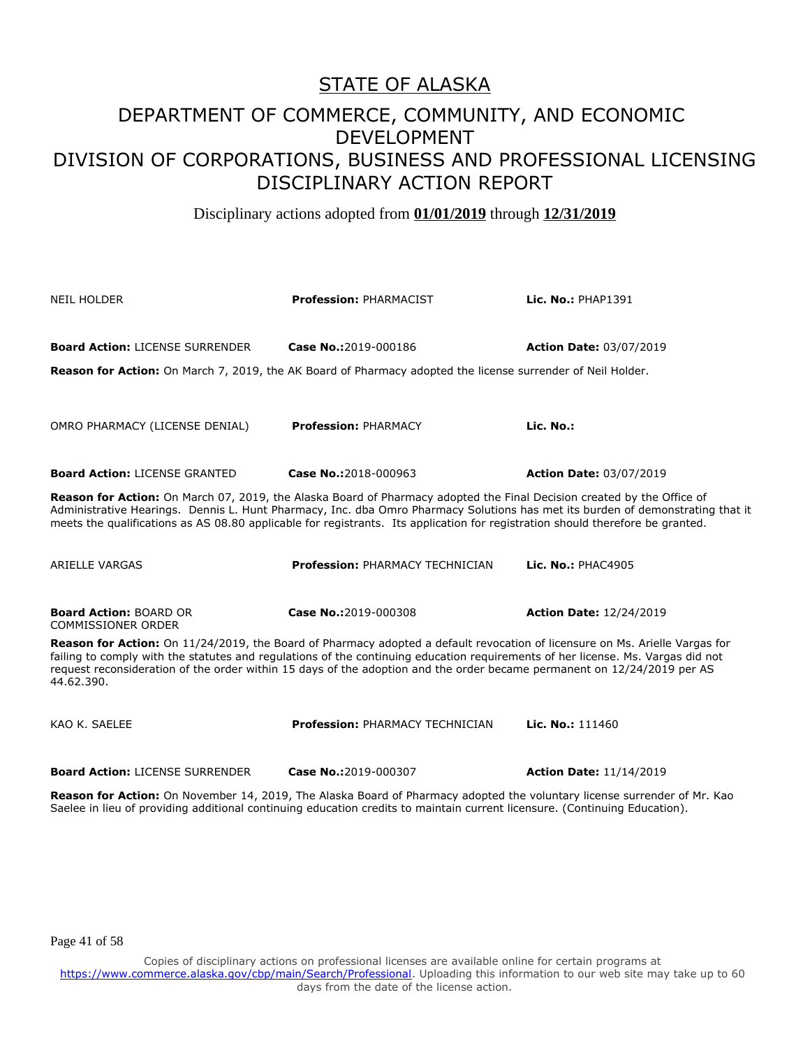Disciplinary actions adopted from **01/01/2019** through **12/31/2019**

| <b>NEIL HOLDER</b>                                                                                                                                                                                                                                                                                                                                                                                      | <b>Profession: PHARMACIST</b>                                                                                              | Lic. No.: PHAP1391             |  |
|---------------------------------------------------------------------------------------------------------------------------------------------------------------------------------------------------------------------------------------------------------------------------------------------------------------------------------------------------------------------------------------------------------|----------------------------------------------------------------------------------------------------------------------------|--------------------------------|--|
| <b>Board Action: LICENSE SURRENDER</b><br>Reason for Action: On March 7, 2019, the AK Board of Pharmacy adopted the license surrender of Neil Holder.                                                                                                                                                                                                                                                   | Case No.:2019-000186                                                                                                       | <b>Action Date: 03/07/2019</b> |  |
| OMRO PHARMACY (LICENSE DENIAL)                                                                                                                                                                                                                                                                                                                                                                          | <b>Profession: PHARMACY</b>                                                                                                | Lic. No.:                      |  |
| <b>Board Action: LICENSE GRANTED</b>                                                                                                                                                                                                                                                                                                                                                                    | Case No.:2018-000963                                                                                                       | <b>Action Date: 03/07/2019</b> |  |
| Reason for Action: On March 07, 2019, the Alaska Board of Pharmacy adopted the Final Decision created by the Office of<br>Administrative Hearings. Dennis L. Hunt Pharmacy, Inc. dba Omro Pharmacy Solutions has met its burden of demonstrating that it<br>meets the qualifications as AS 08.80 applicable for registrants. Its application for registration should therefore be granted.              |                                                                                                                            |                                |  |
| <b>ARIELLE VARGAS</b>                                                                                                                                                                                                                                                                                                                                                                                   | <b>Profession: PHARMACY TECHNICIAN</b>                                                                                     | Lic. No.: PHAC4905             |  |
| <b>Board Action: BOARD OR</b><br><b>COMMISSIONER ORDER</b>                                                                                                                                                                                                                                                                                                                                              | Case No.:2019-000308                                                                                                       | <b>Action Date: 12/24/2019</b> |  |
| Reason for Action: On 11/24/2019, the Board of Pharmacy adopted a default revocation of licensure on Ms. Arielle Vargas for<br>failing to comply with the statutes and regulations of the continuing education requirements of her license. Ms. Vargas did not<br>request reconsideration of the order within 15 days of the adoption and the order became permanent on 12/24/2019 per AS<br>44.62.390. |                                                                                                                            |                                |  |
| KAO K. SAELEE                                                                                                                                                                                                                                                                                                                                                                                           | Profession: PHARMACY TECHNICIAN                                                                                            | Lic. No.: $111460$             |  |
| <b>Board Action: LICENSE SURRENDER</b>                                                                                                                                                                                                                                                                                                                                                                  | Case No.:2019-000307                                                                                                       | <b>Action Date: 11/14/2019</b> |  |
| Reason for Action: On November 14, 2019, The Alaska Board of Pharmacy adopted the voluntary license surrender of Mr. Kao                                                                                                                                                                                                                                                                                | Saelee in lieu of providing additional continuing education credits to maintain current licensure. (Continuing Education). |                                |  |

Page 41 of 58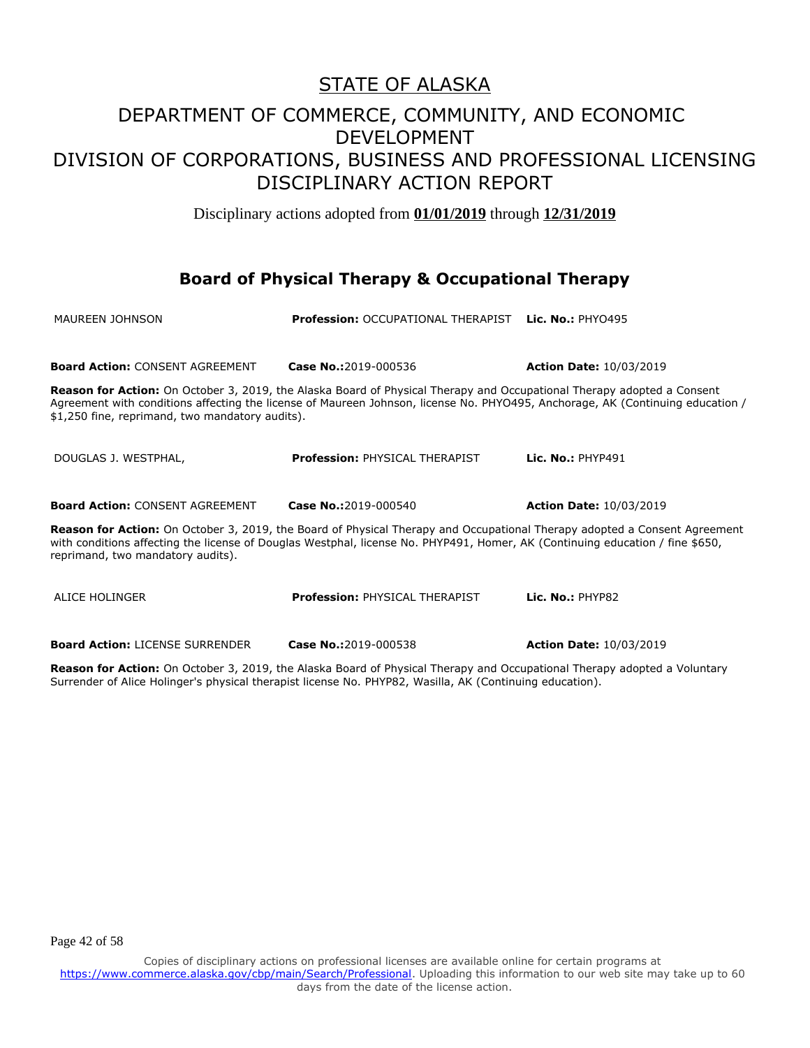Disciplinary actions adopted from **01/01/2019** through **12/31/2019**

#### **Board of Physical Therapy & Occupational Therapy**

| MAUREEN JOHNSON                                                                                                                                                                                                                                                                                        | <b>Profession: OCCUPATIONAL THERAPIST</b>                                                                                                                                                                                                                       | <b>Lic. No.: PHY0495</b>       |
|--------------------------------------------------------------------------------------------------------------------------------------------------------------------------------------------------------------------------------------------------------------------------------------------------------|-----------------------------------------------------------------------------------------------------------------------------------------------------------------------------------------------------------------------------------------------------------------|--------------------------------|
|                                                                                                                                                                                                                                                                                                        |                                                                                                                                                                                                                                                                 |                                |
| <b>Board Action: CONSENT AGREEMENT</b>                                                                                                                                                                                                                                                                 | Case No.:2019-000536                                                                                                                                                                                                                                            | <b>Action Date: 10/03/2019</b> |
| \$1,250 fine, reprimand, two mandatory audits).                                                                                                                                                                                                                                                        | <b>Reason for Action:</b> On October 3, 2019, the Alaska Board of Physical Therapy and Occupational Therapy adopted a Consent<br>Agreement with conditions affecting the license of Maureen Johnson, license No. PHYO495, Anchorage, AK (Continuing education / |                                |
| DOUGLAS J. WESTPHAL,                                                                                                                                                                                                                                                                                   | <b>Profession: PHYSICAL THERAPIST</b>                                                                                                                                                                                                                           | Lic. $No.:$ PHYP491            |
| <b>Board Action: CONSENT AGREEMENT</b>                                                                                                                                                                                                                                                                 | Case No.:2019-000540                                                                                                                                                                                                                                            | <b>Action Date: 10/03/2019</b> |
| <b>Reason for Action:</b> On October 3, 2019, the Board of Physical Therapy and Occupational Therapy adopted a Consent Agreement<br>with conditions affecting the license of Douglas Westphal, license No. PHYP491, Homer, AK (Continuing education / fine \$650,<br>reprimand, two mandatory audits). |                                                                                                                                                                                                                                                                 |                                |
| ALICE HOLINGER                                                                                                                                                                                                                                                                                         | <b>Profession: PHYSICAL THERAPIST</b>                                                                                                                                                                                                                           | Lic. No.: PHYP82               |
| <b>Board Action: LICENSE SURRENDER</b>                                                                                                                                                                                                                                                                 | Case No.:2019-000538                                                                                                                                                                                                                                            | <b>Action Date: 10/03/2019</b> |

**Reason for Action:** On October 3, 2019, the Alaska Board of Physical Therapy and Occupational Therapy adopted a Voluntary Surrender of Alice Holinger's physical therapist license No. PHYP82, Wasilla, AK (Continuing education).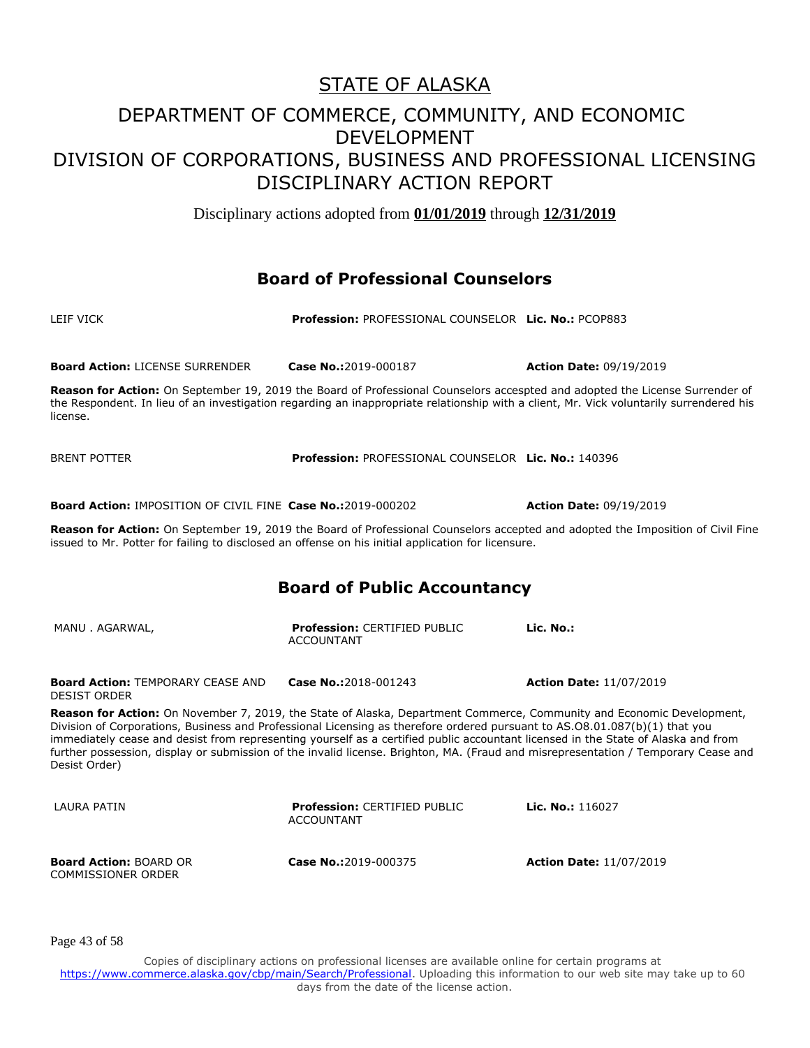Disciplinary actions adopted from **01/01/2019** through **12/31/2019**

#### **Board of Professional Counselors**

LEIF VICK **Profession:** PROFESSIONAL COUNSELOR **Lic. No.:** PCOP883

| <b>Board Action: LICENSE SURRENDER</b>                                                                                                                                                                                                                                                                                                                                                                                                                                                                                                          | Case No.:2019-000187                                     | <b>Action Date: 09/19/2019</b> |
|-------------------------------------------------------------------------------------------------------------------------------------------------------------------------------------------------------------------------------------------------------------------------------------------------------------------------------------------------------------------------------------------------------------------------------------------------------------------------------------------------------------------------------------------------|----------------------------------------------------------|--------------------------------|
| Reason for Action: On September 19, 2019 the Board of Professional Counselors accespted and adopted the License Surrender of<br>the Respondent. In lieu of an investigation regarding an inappropriate relationship with a client, Mr. Vick voluntarily surrendered his<br>license.                                                                                                                                                                                                                                                             |                                                          |                                |
| <b>BRENT POTTER</b>                                                                                                                                                                                                                                                                                                                                                                                                                                                                                                                             | Profession: PROFESSIONAL COUNSELOR Lic. No.: 140396      |                                |
| <b>Board Action: IMPOSITION OF CIVIL FINE Case No.:2019-000202</b>                                                                                                                                                                                                                                                                                                                                                                                                                                                                              |                                                          | <b>Action Date: 09/19/2019</b> |
| Reason for Action: On September 19, 2019 the Board of Professional Counselors accepted and adopted the Imposition of Civil Fine<br>issued to Mr. Potter for failing to disclosed an offense on his initial application for licensure.                                                                                                                                                                                                                                                                                                           |                                                          |                                |
| <b>Board of Public Accountancy</b>                                                                                                                                                                                                                                                                                                                                                                                                                                                                                                              |                                                          |                                |
| MANU. AGARWAL,                                                                                                                                                                                                                                                                                                                                                                                                                                                                                                                                  | <b>Profession: CERTIFIED PUBLIC</b><br><b>ACCOUNTANT</b> | Lic. No.:                      |
| <b>Board Action: TEMPORARY CEASE AND</b><br><b>DESIST ORDER</b>                                                                                                                                                                                                                                                                                                                                                                                                                                                                                 | Case No.:2018-001243                                     | <b>Action Date: 11/07/2019</b> |
| Reason for Action: On November 7, 2019, the State of Alaska, Department Commerce, Community and Economic Development,<br>Division of Corporations, Business and Professional Licensing as therefore ordered pursuant to AS.08.01.087(b)(1) that you<br>immediately cease and desist from representing yourself as a certified public accountant licensed in the State of Alaska and from<br>further possession, display or submission of the invalid license. Brighton, MA. (Fraud and misrepresentation / Temporary Cease and<br>Desist Order) |                                                          |                                |
| LAURA PATIN                                                                                                                                                                                                                                                                                                                                                                                                                                                                                                                                     | <b>Profession: CERTIFIED PUBLIC</b><br><b>ACCOUNTANT</b> | Lic. No.: 116027               |
| <b>Board Action: BOARD OR</b><br><b>COMMISSIONER ORDER</b>                                                                                                                                                                                                                                                                                                                                                                                                                                                                                      | Case No.:2019-000375                                     | <b>Action Date: 11/07/2019</b> |

Page 43 of 58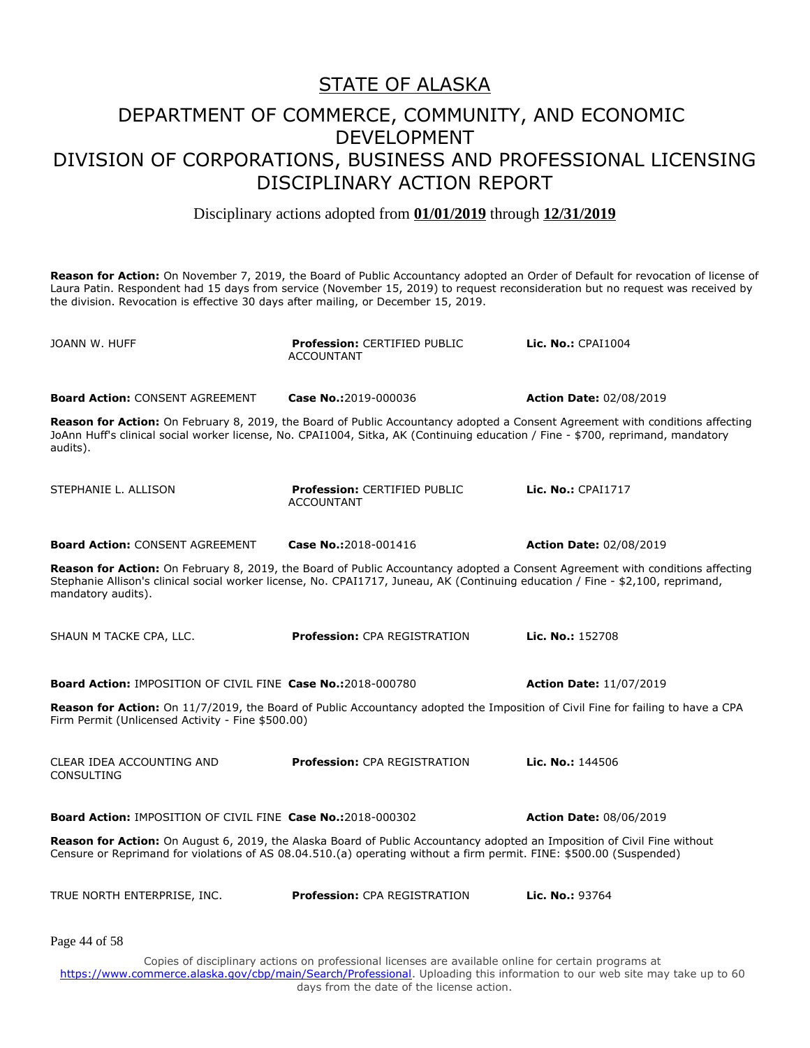Disciplinary actions adopted from **01/01/2019** through **12/31/2019**

**Reason for Action:** On November 7, 2019, the Board of Public Accountancy adopted an Order of Default for revocation of license of Laura Patin. Respondent had 15 days from service (November 15, 2019) to request reconsideration but no request was received by the division. Revocation is effective 30 days after mailing, or December 15, 2019.

| JOANN W. HUFF                                                      | <b>Profession: CERTIFIED PUBLIC</b><br><b>ACCOUNTANT</b>                                                                                                                                                                                                         | Lic. No.: CPAI1004             |
|--------------------------------------------------------------------|------------------------------------------------------------------------------------------------------------------------------------------------------------------------------------------------------------------------------------------------------------------|--------------------------------|
| <b>Board Action: CONSENT AGREEMENT</b>                             | Case No.:2019-000036                                                                                                                                                                                                                                             | <b>Action Date: 02/08/2019</b> |
| audits).                                                           | Reason for Action: On February 8, 2019, the Board of Public Accountancy adopted a Consent Agreement with conditions affecting<br>JoAnn Huff's clinical social worker license, No. CPAI1004, Sitka, AK (Continuing education / Fine - \$700, reprimand, mandatory |                                |
| STEPHANIE L. ALLISON                                               | <b>Profession: CERTIFIED PUBLIC</b><br><b>ACCOUNTANT</b>                                                                                                                                                                                                         | Lic. No.: CPAI1717             |
| <b>Board Action: CONSENT AGREEMENT</b>                             | Case No.:2018-001416                                                                                                                                                                                                                                             | <b>Action Date: 02/08/2019</b> |
| mandatory audits).                                                 | Reason for Action: On February 8, 2019, the Board of Public Accountancy adopted a Consent Agreement with conditions affecting<br>Stephanie Allison's clinical social worker license, No. CPAI1717, Juneau, AK (Continuing education / Fine - \$2,100, reprimand, |                                |
| SHAUN M TACKE CPA, LLC.                                            | <b>Profession: CPA REGISTRATION</b>                                                                                                                                                                                                                              | Lic. No.: 152708               |
| <b>Board Action: IMPOSITION OF CIVIL FINE Case No.:2018-000780</b> |                                                                                                                                                                                                                                                                  | <b>Action Date: 11/07/2019</b> |
| Firm Permit (Unlicensed Activity - Fine \$500.00)                  | Reason for Action: On 11/7/2019, the Board of Public Accountancy adopted the Imposition of Civil Fine for failing to have a CPA                                                                                                                                  |                                |
| CLEAR IDEA ACCOUNTING AND<br><b>CONSULTING</b>                     | <b>Profession: CPA REGISTRATION</b>                                                                                                                                                                                                                              | Lic. No.: 144506               |
| Board Action: IMPOSITION OF CIVIL FINE Case No.:2018-000302        |                                                                                                                                                                                                                                                                  | <b>Action Date: 08/06/2019</b> |
|                                                                    | Reason for Action: On August 6, 2019, the Alaska Board of Public Accountancy adopted an Imposition of Civil Fine without<br>Censure or Reprimand for violations of AS 08.04.510.(a) operating without a firm permit. FINE: \$500.00 (Suspended)                  |                                |
| TRUE NORTH ENTERPRISE, INC.                                        | <b>Profession: CPA REGISTRATION</b>                                                                                                                                                                                                                              | Lic. No.: 93764                |
| Page 44 of 58                                                      |                                                                                                                                                                                                                                                                  |                                |
|                                                                    | Copies of disciplinary actions on professional licenses are available online for certain programs at                                                                                                                                                             |                                |

https://www.commerce.alaska.gov/cbp/main/Search/Professional</u>. Uploading this information to our web site may take up to 60 days from the date of the license action.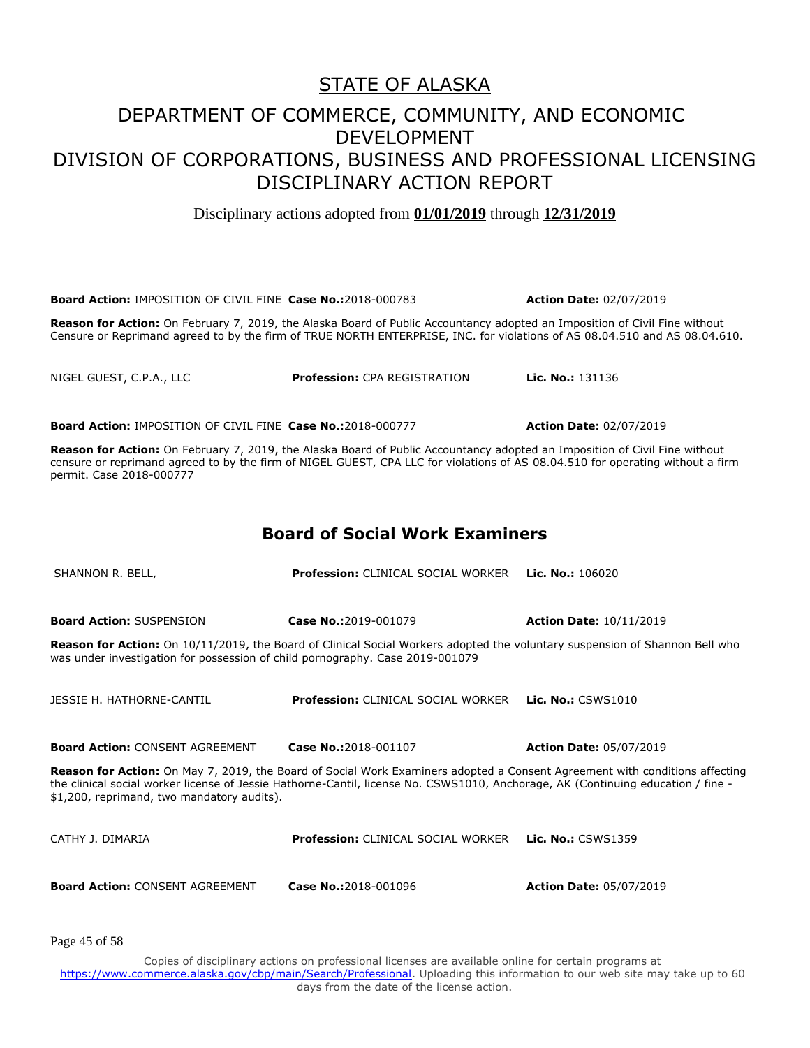Disciplinary actions adopted from **01/01/2019** through **12/31/2019**

**Board Action:** IMPOSITION OF CIVIL FINE **Case No.:**2018-000783 **Action Date:** 02/07/2019 **Reason for Action:** On February 7, 2019, the Alaska Board of Public Accountancy adopted an Imposition of Civil Fine without Censure or Reprimand agreed to by the firm of TRUE NORTH ENTERPRISE, INC. for violations of AS 08.04.510 and AS 08.04.610.

NIGEL GUEST, C.P.A., LLC **Profession:** CPA REGISTRATION **Lic. No.:** 131136

**Board Action:** IMPOSITION OF CIVIL FINE **Case No.:**2018-000777 **Action Date:** 02/07/2019

**Reason for Action:** On February 7, 2019, the Alaska Board of Public Accountancy adopted an Imposition of Civil Fine without censure or reprimand agreed to by the firm of NIGEL GUEST, CPA LLC for violations of AS 08.04.510 for operating without a firm permit. Case 2018-000777

#### **Board of Social Work Examiners**

SHANNON R. BELL, **Profession:** CLINICAL SOCIAL WORKER **Lic. No.:** 106020 **Board Action:** SUSPENSION **Case No.:**2019-001079 **Action Date:** 10/11/2019 **Reason for Action:** On 10/11/2019, the Board of Clinical Social Workers adopted the voluntary suspension of Shannon Bell who was under investigation for possession of child pornography. Case 2019-001079 JESSIE H. HATHORNE-CANTIL **Profession:** CLINICAL SOCIAL WORKER **Lic. No.:** CSWS1010 **Board Action:** CONSENT AGREEMENT **Case No.:**2018-001107 **Action Date:** 05/07/2019 **Reason for Action:** On May 7, 2019, the Board of Social Work Examiners adopted a Consent Agreement with conditions affecting the clinical social worker license of Jessie Hathorne-Cantil, license No. CSWS1010, Anchorage, AK (Continuing education / fine - \$1,200, reprimand, two mandatory audits). CATHY J. DIMARIA **Profession:** CLINICAL SOCIAL WORKER **Lic. No.:** CSWS1359 **Board Action:** CONSENT AGREEMENT **Case No.:**2018-001096 **Action Date:** 05/07/2019

Page 45 of 58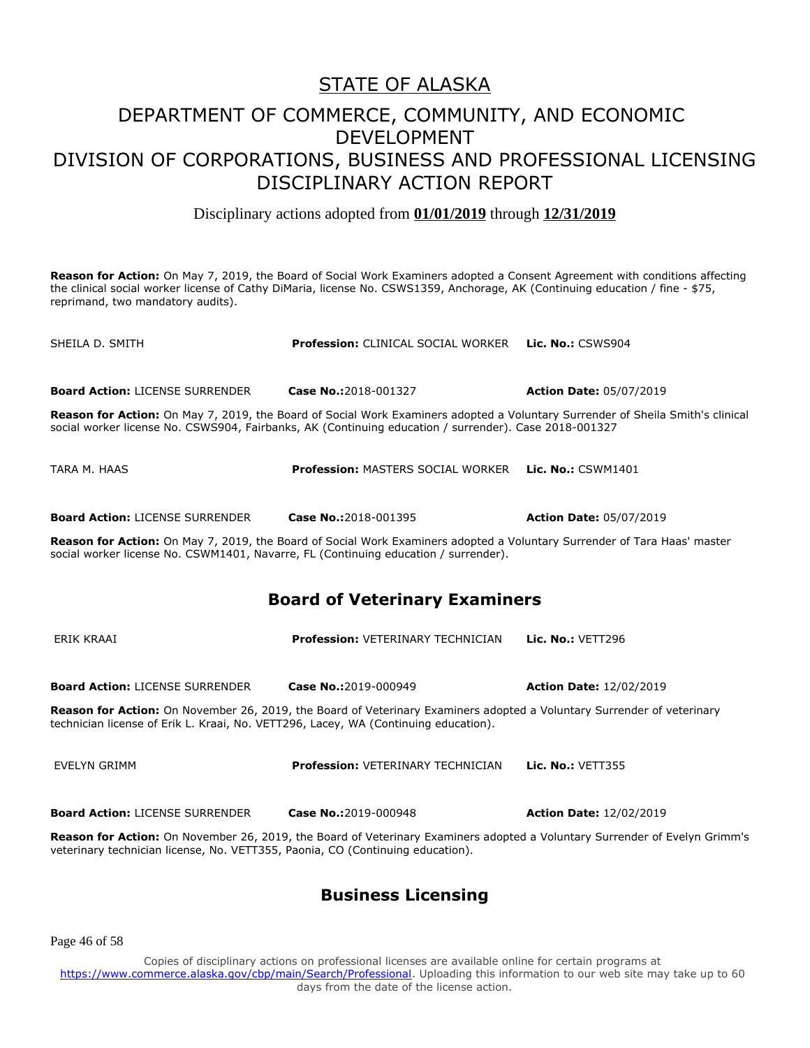#### DEPARTMENT OF COMMERCE, COMMUNITY, AND ECONOMIC DEVELOPMENT DIVISION OF CORPORATIONS, BUSINESS AND PROFESSIONAL LICENSING DISCIPLINARY ACTION REPORT

Disciplinary actions adopted from **01/01/2019** through **12/31/2019**

**Reason for Action:** On May 7, 2019, the Board of Social Work Examiners adopted a Consent Agreement with conditions affecting the clinical social worker license of Cathy DiMaria, license No. CSWS1359, Anchorage, AK (Continuing education / fine - \$75, reprimand, two mandatory audits).

| SHEILA D. SMITH                                                                                                                                                                                                 | <b>Profession: CLINICAL SOCIAL WORKER</b>                                                                                                                                                                                               | <b>Lic. No.: CSWS904</b>       |
|-----------------------------------------------------------------------------------------------------------------------------------------------------------------------------------------------------------------|-----------------------------------------------------------------------------------------------------------------------------------------------------------------------------------------------------------------------------------------|--------------------------------|
| <b>Board Action: LICENSE SURRENDER</b>                                                                                                                                                                          | Case No.:2018-001327                                                                                                                                                                                                                    | <b>Action Date: 05/07/2019</b> |
|                                                                                                                                                                                                                 | Reason for Action: On May 7, 2019, the Board of Social Work Examiners adopted a Voluntary Surrender of Sheila Smith's clinical<br>social worker license No. CSWS904, Fairbanks, AK (Continuing education / surrender). Case 2018-001327 |                                |
| TARA M. HAAS                                                                                                                                                                                                    | <b>Profession: MASTERS SOCIAL WORKER</b>                                                                                                                                                                                                | Lic. No.: CSWM1401             |
| <b>Board Action: LICENSE SURRENDER</b>                                                                                                                                                                          | Case No.:2018-001395                                                                                                                                                                                                                    | <b>Action Date: 05/07/2019</b> |
| Reason for Action: On May 7, 2019, the Board of Social Work Examiners adopted a Voluntary Surrender of Tara Haas' master<br>social worker license No. CSWM1401, Navarre, FL (Continuing education / surrender). |                                                                                                                                                                                                                                         |                                |
| <b>Board of Veterinary Examiners</b>                                                                                                                                                                            |                                                                                                                                                                                                                                         |                                |
| ERIK KRAAI                                                                                                                                                                                                      | <b>Profession: VETERINARY TECHNICIAN</b>                                                                                                                                                                                                | <b>Lic. No.: VETT296</b>       |
| <b>Board Action: LICENSE SURRENDER</b>                                                                                                                                                                          | Case No.:2019-000949                                                                                                                                                                                                                    | <b>Action Date: 12/02/2019</b> |
| Reason for Action: On November 26, 2019, the Board of Veterinary Examiners adopted a Voluntary Surrender of veterinary<br>technician license of Erik L. Kraai, No. VETT296, Lacey, WA (Continuing education).   |                                                                                                                                                                                                                                         |                                |
| <b>EVELYN GRIMM</b>                                                                                                                                                                                             | <b>Profession: VETERINARY TECHNICIAN</b>                                                                                                                                                                                                | <b>Lic. No.: VETT355</b>       |
| <b>Board Action: LICENSE SURRENDER</b>                                                                                                                                                                          | Case No.:2019-000948                                                                                                                                                                                                                    | <b>Action Date: 12/02/2019</b> |

**Reason for Action:** On November 26, 2019, the Board of Veterinary Examiners adopted a Voluntary Surrender of Evelyn Grimm's veterinary technician license, No. VETT355, Paonia, CO (Continuing education).

#### **Business Licensing**

Page 46 of 58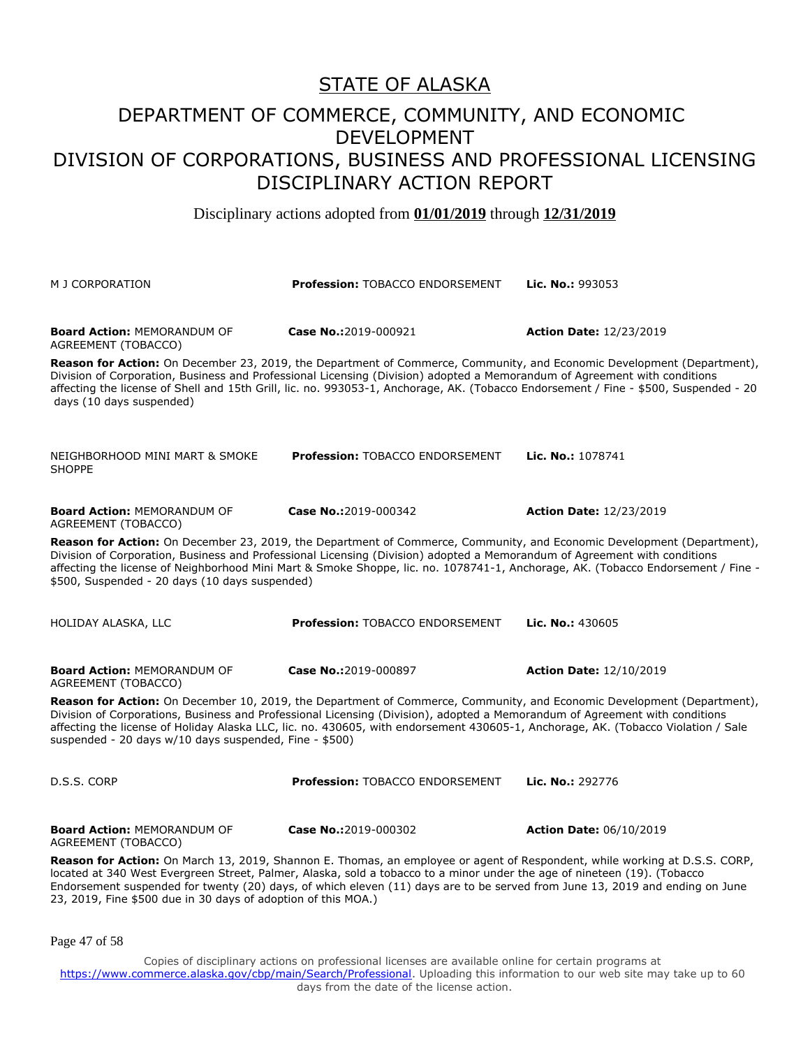#### DEPARTMENT OF COMMERCE, COMMUNITY, AND ECONOMIC DEVELOPMENT DIVISION OF CORPORATIONS, BUSINESS AND PROFESSIONAL LICENSING DISCIPLINARY ACTION REPORT

Disciplinary actions adopted from **01/01/2019** through **12/31/2019**

| M J CORPORATION                                                                                                                                                                                                                                                                                                                                                                                                                                         | <b>Profession: TOBACCO ENDORSEMENT</b>                                                                                                                                                                                                                            | Lic. No.: 993053                                                                                                       |  |
|---------------------------------------------------------------------------------------------------------------------------------------------------------------------------------------------------------------------------------------------------------------------------------------------------------------------------------------------------------------------------------------------------------------------------------------------------------|-------------------------------------------------------------------------------------------------------------------------------------------------------------------------------------------------------------------------------------------------------------------|------------------------------------------------------------------------------------------------------------------------|--|
| <b>Board Action: MEMORANDUM OF</b><br>AGREEMENT (TOBACCO)                                                                                                                                                                                                                                                                                                                                                                                               | Case No.:2019-000921                                                                                                                                                                                                                                              | <b>Action Date: 12/23/2019</b>                                                                                         |  |
| days (10 days suspended)                                                                                                                                                                                                                                                                                                                                                                                                                                | Division of Corporation, Business and Professional Licensing (Division) adopted a Memorandum of Agreement with conditions<br>affecting the license of Shell and 15th Grill, lic. no. 993053-1, Anchorage, AK. (Tobacco Endorsement / Fine - \$500, Suspended - 20 | Reason for Action: On December 23, 2019, the Department of Commerce, Community, and Economic Development (Department), |  |
| NEIGHBORHOOD MINI MART & SMOKE<br><b>SHOPPE</b>                                                                                                                                                                                                                                                                                                                                                                                                         | <b>Profession: TOBACCO ENDORSEMENT</b>                                                                                                                                                                                                                            | Lic. No.: 1078741                                                                                                      |  |
| <b>Board Action: MEMORANDUM OF</b><br>AGREEMENT (TOBACCO)                                                                                                                                                                                                                                                                                                                                                                                               | Case No.:2019-000342                                                                                                                                                                                                                                              | <b>Action Date: 12/23/2019</b>                                                                                         |  |
| Reason for Action: On December 23, 2019, the Department of Commerce, Community, and Economic Development (Department),<br>Division of Corporation, Business and Professional Licensing (Division) adopted a Memorandum of Agreement with conditions<br>affecting the license of Neighborhood Mini Mart & Smoke Shoppe, lic. no. 1078741-1, Anchorage, AK. (Tobacco Endorsement / Fine -<br>\$500, Suspended - 20 days (10 days suspended)               |                                                                                                                                                                                                                                                                   |                                                                                                                        |  |
| HOLIDAY ALASKA, LLC                                                                                                                                                                                                                                                                                                                                                                                                                                     | Profession: TOBACCO ENDORSEMENT                                                                                                                                                                                                                                   | Lic. No.: 430605                                                                                                       |  |
| <b>Board Action: MEMORANDUM OF</b><br>AGREEMENT (TOBACCO)                                                                                                                                                                                                                                                                                                                                                                                               | Case No.:2019-000897                                                                                                                                                                                                                                              | <b>Action Date: 12/10/2019</b>                                                                                         |  |
| Reason for Action: On December 10, 2019, the Department of Commerce, Community, and Economic Development (Department),<br>Division of Corporations, Business and Professional Licensing (Division), adopted a Memorandum of Agreement with conditions<br>affecting the license of Holiday Alaska LLC, lic. no. 430605, with endorsement 430605-1, Anchorage, AK. (Tobacco Violation / Sale<br>suspended - 20 days w/10 days suspended, Fine - \$500)    |                                                                                                                                                                                                                                                                   |                                                                                                                        |  |
| D.S.S. CORP                                                                                                                                                                                                                                                                                                                                                                                                                                             | Profession: TOBACCO ENDORSEMENT                                                                                                                                                                                                                                   | Lic. No.: 292776                                                                                                       |  |
| <b>Board Action: MEMORANDUM OF</b><br>AGREEMENT (TOBACCO)                                                                                                                                                                                                                                                                                                                                                                                               | Case No.:2019-000302                                                                                                                                                                                                                                              | <b>Action Date: 06/10/2019</b>                                                                                         |  |
| Reason for Action: On March 13, 2019, Shannon E. Thomas, an employee or agent of Respondent, while working at D.S.S. CORP,<br>located at 340 West Evergreen Street, Palmer, Alaska, sold a tobacco to a minor under the age of nineteen (19). (Tobacco<br>Endorsement suspended for twenty (20) days, of which eleven (11) days are to be served from June 13, 2019 and ending on June<br>23, 2019, Fine \$500 due in 30 days of adoption of this MOA.) |                                                                                                                                                                                                                                                                   |                                                                                                                        |  |
| Page 47 of 58                                                                                                                                                                                                                                                                                                                                                                                                                                           |                                                                                                                                                                                                                                                                   |                                                                                                                        |  |
|                                                                                                                                                                                                                                                                                                                                                                                                                                                         | Copies of disciplinary actions on professional licenses are available online for certain programs at<br>https://www.commerce.alaska.gov/cbp/main/Search/Professional. Uploading this information to our web site may take up to 60                                |                                                                                                                        |  |

days from the date of the license action.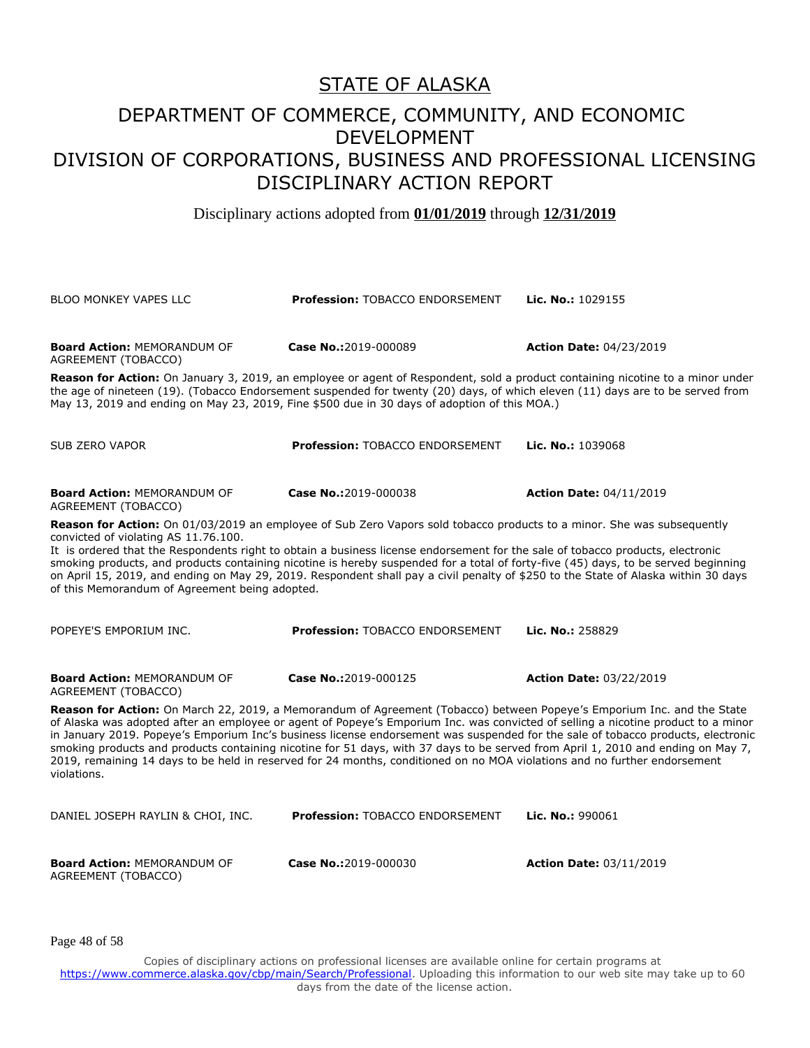#### DEPARTMENT OF COMMERCE, COMMUNITY, AND ECONOMIC DEVELOPMENT DIVISION OF CORPORATIONS, BUSINESS AND PROFESSIONAL LICENSING DISCIPLINARY ACTION REPORT

Disciplinary actions adopted from **01/01/2019** through **12/31/2019**

| <b>BLOO MONKEY VAPES LLC</b>                                                                                                                                                                                                                                                                                                                                                                                                                                                                                                                                                                                                                                                    | <b>Profession: TOBACCO ENDORSEMENT</b> | Lic. No.: 1029155              |  |
|---------------------------------------------------------------------------------------------------------------------------------------------------------------------------------------------------------------------------------------------------------------------------------------------------------------------------------------------------------------------------------------------------------------------------------------------------------------------------------------------------------------------------------------------------------------------------------------------------------------------------------------------------------------------------------|----------------------------------------|--------------------------------|--|
| <b>Board Action: MEMORANDUM OF</b><br>AGREEMENT (TOBACCO)                                                                                                                                                                                                                                                                                                                                                                                                                                                                                                                                                                                                                       | Case No.:2019-000089                   | <b>Action Date: 04/23/2019</b> |  |
| Reason for Action: On January 3, 2019, an employee or agent of Respondent, sold a product containing nicotine to a minor under<br>the age of nineteen (19). (Tobacco Endorsement suspended for twenty (20) days, of which eleven (11) days are to be served from<br>May 13, 2019 and ending on May 23, 2019, Fine \$500 due in 30 days of adoption of this MOA.)                                                                                                                                                                                                                                                                                                                |                                        |                                |  |
| <b>SUB ZERO VAPOR</b>                                                                                                                                                                                                                                                                                                                                                                                                                                                                                                                                                                                                                                                           | <b>Profession: TOBACCO ENDORSEMENT</b> | Lic. No.: 1039068              |  |
| <b>Board Action: MEMORANDUM OF</b><br>AGREEMENT (TOBACCO)                                                                                                                                                                                                                                                                                                                                                                                                                                                                                                                                                                                                                       | Case No.:2019-000038                   | <b>Action Date: 04/11/2019</b> |  |
| Reason for Action: On 01/03/2019 an employee of Sub Zero Vapors sold tobacco products to a minor. She was subsequently<br>convicted of violating AS 11.76.100.<br>It is ordered that the Respondents right to obtain a business license endorsement for the sale of tobacco products, electronic<br>smoking products, and products containing nicotine is hereby suspended for a total of forty-five (45) days, to be served beginning<br>on April 15, 2019, and ending on May 29, 2019. Respondent shall pay a civil penalty of \$250 to the State of Alaska within 30 days<br>of this Memorandum of Agreement being adopted.                                                  |                                        |                                |  |
| POPEYE'S EMPORIUM INC.                                                                                                                                                                                                                                                                                                                                                                                                                                                                                                                                                                                                                                                          | <b>Profession: TOBACCO ENDORSEMENT</b> | Lic. No.: 258829               |  |
| <b>Board Action: MEMORANDUM OF</b><br>AGREEMENT (TOBACCO)                                                                                                                                                                                                                                                                                                                                                                                                                                                                                                                                                                                                                       | Case No.:2019-000125                   | <b>Action Date: 03/22/2019</b> |  |
| Reason for Action: On March 22, 2019, a Memorandum of Agreement (Tobacco) between Popeye's Emporium Inc. and the State<br>of Alaska was adopted after an employee or agent of Popeye's Emporium Inc. was convicted of selling a nicotine product to a minor<br>in January 2019. Popeye's Emporium Inc's business license endorsement was suspended for the sale of tobacco products, electronic<br>smoking products and products containing nicotine for 51 days, with 37 days to be served from April 1, 2010 and ending on May 7,<br>2019, remaining 14 days to be held in reserved for 24 months, conditioned on no MOA violations and no further endorsement<br>violations. |                                        |                                |  |
| DANIEL JOSEPH RAYLIN & CHOI, INC.                                                                                                                                                                                                                                                                                                                                                                                                                                                                                                                                                                                                                                               | Profession: TOBACCO ENDORSEMENT        | Lic. No.: 990061               |  |
| <b>Board Action: MEMORANDUM OF</b><br>AGREEMENT (TOBACCO)                                                                                                                                                                                                                                                                                                                                                                                                                                                                                                                                                                                                                       | Case No.:2019-000030                   | <b>Action Date: 03/11/2019</b> |  |

Page 48 of 58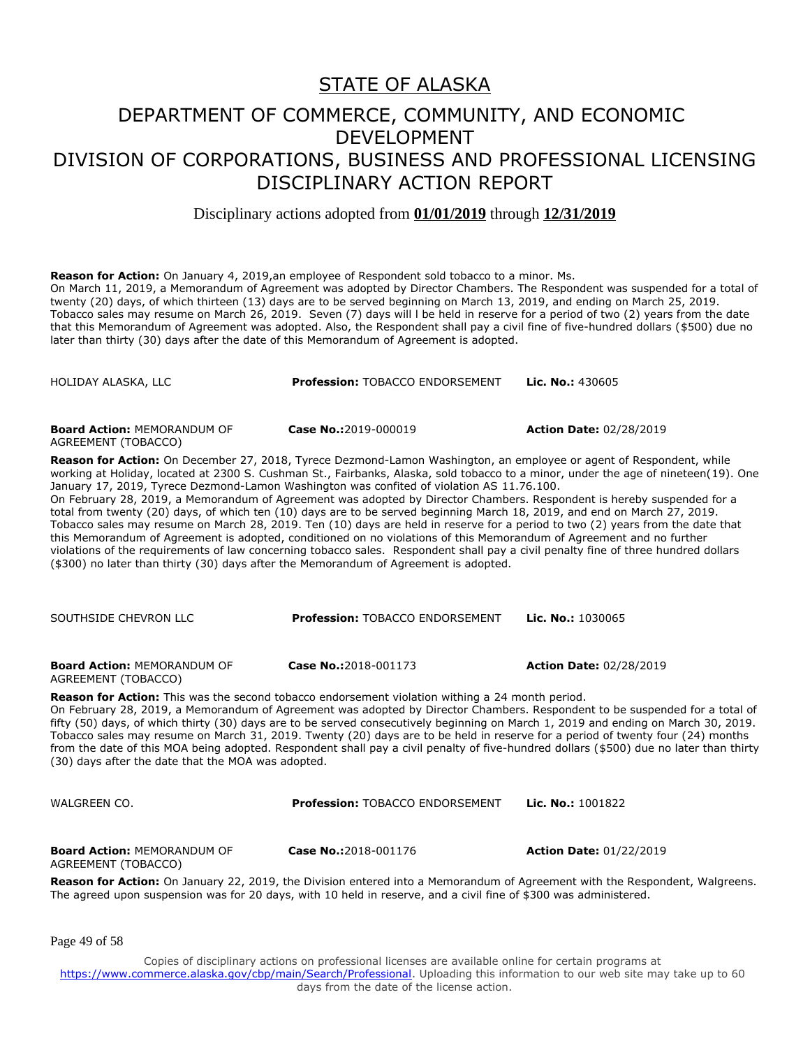Disciplinary actions adopted from **01/01/2019** through **12/31/2019**

**Reason for Action:** On January 4, 2019,an employee of Respondent sold tobacco to a minor. Ms. On March 11, 2019, a Memorandum of Agreement was adopted by Director Chambers. The Respondent was suspended for a total of twenty (20) days, of which thirteen (13) days are to be served beginning on March 13, 2019, and ending on March 25, 2019. Tobacco sales may resume on March 26, 2019. Seven (7) days will l be held in reserve for a period of two (2) years from the date that this Memorandum of Agreement was adopted. Also, the Respondent shall pay a civil fine of five-hundred dollars (\$500) due no later than thirty (30) days after the date of this Memorandum of Agreement is adopted.

| HOLIDAY ALASKA, LLC                                                                                                                                                                                                                                                                                                                                                                                                                                                                                                                                                                                                                                                                                                                                                                                                                                                                                                                                                                                                                                                                                   | Profession: TOBACCO ENDORSEMENT        | Lic. No.: 430605               |  |
|-------------------------------------------------------------------------------------------------------------------------------------------------------------------------------------------------------------------------------------------------------------------------------------------------------------------------------------------------------------------------------------------------------------------------------------------------------------------------------------------------------------------------------------------------------------------------------------------------------------------------------------------------------------------------------------------------------------------------------------------------------------------------------------------------------------------------------------------------------------------------------------------------------------------------------------------------------------------------------------------------------------------------------------------------------------------------------------------------------|----------------------------------------|--------------------------------|--|
| <b>Board Action: MEMORANDUM OF</b><br>AGREEMENT (TOBACCO)                                                                                                                                                                                                                                                                                                                                                                                                                                                                                                                                                                                                                                                                                                                                                                                                                                                                                                                                                                                                                                             | Case No.:2019-000019                   | <b>Action Date: 02/28/2019</b> |  |
| Reason for Action: On December 27, 2018, Tyrece Dezmond-Lamon Washington, an employee or agent of Respondent, while<br>working at Holiday, located at 2300 S. Cushman St., Fairbanks, Alaska, sold tobacco to a minor, under the age of nineteen(19). One<br>January 17, 2019, Tyrece Dezmond-Lamon Washington was confited of violation AS 11.76.100.<br>On February 28, 2019, a Memorandum of Agreement was adopted by Director Chambers. Respondent is hereby suspended for a<br>total from twenty (20) days, of which ten (10) days are to be served beginning March 18, 2019, and end on March 27, 2019.<br>Tobacco sales may resume on March 28, 2019. Ten (10) days are held in reserve for a period to two (2) years from the date that<br>this Memorandum of Agreement is adopted, conditioned on no violations of this Memorandum of Agreement and no further<br>violations of the requirements of law concerning tobacco sales. Respondent shall pay a civil penalty fine of three hundred dollars<br>(\$300) no later than thirty (30) days after the Memorandum of Agreement is adopted. |                                        |                                |  |
| SOUTHSIDE CHEVRON LLC                                                                                                                                                                                                                                                                                                                                                                                                                                                                                                                                                                                                                                                                                                                                                                                                                                                                                                                                                                                                                                                                                 | Profession: TOBACCO ENDORSEMENT        | Lic. No.: 1030065              |  |
| <b>Board Action: MEMORANDUM OF</b><br>AGREEMENT (TOBACCO)                                                                                                                                                                                                                                                                                                                                                                                                                                                                                                                                                                                                                                                                                                                                                                                                                                                                                                                                                                                                                                             | Case No.:2018-001173                   | <b>Action Date: 02/28/2019</b> |  |
| Reason for Action: This was the second tobacco endorsement violation withing a 24 month period.<br>On February 28, 2019, a Memorandum of Agreement was adopted by Director Chambers. Respondent to be suspended for a total of<br>fifty (50) days, of which thirty (30) days are to be served consecutively beginning on March 1, 2019 and ending on March 30, 2019.<br>Tobacco sales may resume on March 31, 2019. Twenty (20) days are to be held in reserve for a period of twenty four (24) months<br>from the date of this MOA being adopted. Respondent shall pay a civil penalty of five-hundred dollars (\$500) due no later than thirty<br>(30) days after the date that the MOA was adopted.                                                                                                                                                                                                                                                                                                                                                                                                |                                        |                                |  |
| WALGREEN CO.                                                                                                                                                                                                                                                                                                                                                                                                                                                                                                                                                                                                                                                                                                                                                                                                                                                                                                                                                                                                                                                                                          | <b>Profession: TOBACCO ENDORSEMENT</b> | Lic. No.: 1001822              |  |
| <b>Board Action: MEMORANDUM OF</b><br>AGREEMENT (TOBACCO)                                                                                                                                                                                                                                                                                                                                                                                                                                                                                                                                                                                                                                                                                                                                                                                                                                                                                                                                                                                                                                             | Case No.:2018-001176                   | <b>Action Date: 01/22/2019</b> |  |
| Reason for Action: On January 22, 2019, the Division entered into a Memorandum of Agreement with the Respondent, Walgreens.<br>The agreed upon suspension was for 20 days, with 10 held in reserve, and a civil fine of \$300 was administered.                                                                                                                                                                                                                                                                                                                                                                                                                                                                                                                                                                                                                                                                                                                                                                                                                                                       |                                        |                                |  |
| Page 49 of 58                                                                                                                                                                                                                                                                                                                                                                                                                                                                                                                                                                                                                                                                                                                                                                                                                                                                                                                                                                                                                                                                                         |                                        |                                |  |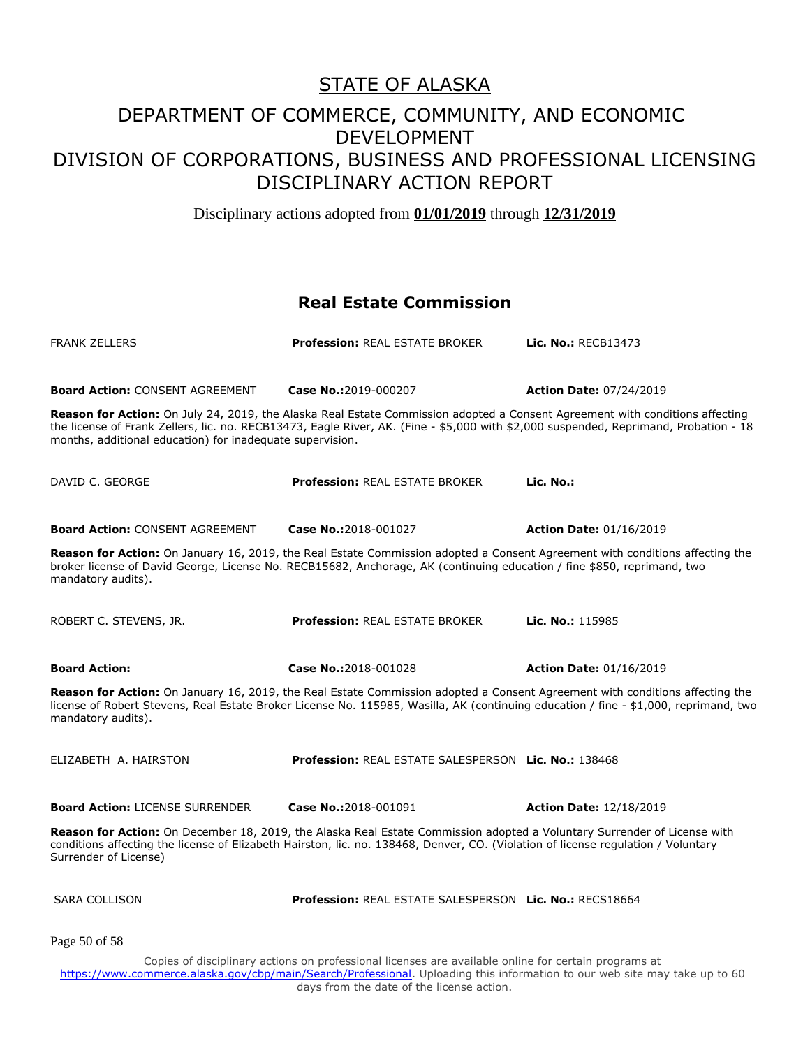Disciplinary actions adopted from **01/01/2019** through **12/31/2019**

#### **Real Estate Commission**

| <b>FRANK ZELLERS</b>                                                                                                                                                                                                                                                                                                              | <b>Profession: REAL ESTATE BROKER</b>                          | Lic. No.: RECB13473            |  |
|-----------------------------------------------------------------------------------------------------------------------------------------------------------------------------------------------------------------------------------------------------------------------------------------------------------------------------------|----------------------------------------------------------------|--------------------------------|--|
|                                                                                                                                                                                                                                                                                                                                   |                                                                |                                |  |
| <b>Board Action: CONSENT AGREEMENT</b>                                                                                                                                                                                                                                                                                            | Case No.:2019-000207                                           | <b>Action Date: 07/24/2019</b> |  |
| Reason for Action: On July 24, 2019, the Alaska Real Estate Commission adopted a Consent Agreement with conditions affecting<br>the license of Frank Zellers, lic. no. RECB13473, Eagle River, AK. (Fine - \$5,000 with \$2,000 suspended, Reprimand, Probation - 18<br>months, additional education) for inadequate supervision. |                                                                |                                |  |
| DAVID C. GEORGE                                                                                                                                                                                                                                                                                                                   | <b>Profession: REAL ESTATE BROKER</b>                          | Lic. No.:                      |  |
| <b>Board Action: CONSENT AGREEMENT</b>                                                                                                                                                                                                                                                                                            | Case No.:2018-001027                                           | <b>Action Date: 01/16/2019</b> |  |
| Reason for Action: On January 16, 2019, the Real Estate Commission adopted a Consent Agreement with conditions affecting the<br>broker license of David George, License No. RECB15682, Anchorage, AK (continuing education / fine \$850, reprimand, two<br>mandatory audits).                                                     |                                                                |                                |  |
| ROBERT C. STEVENS, JR.                                                                                                                                                                                                                                                                                                            | <b>Profession: REAL ESTATE BROKER</b>                          | Lic. No.: 115985               |  |
| <b>Board Action:</b>                                                                                                                                                                                                                                                                                                              | Case No.:2018-001028                                           | <b>Action Date: 01/16/2019</b> |  |
| Reason for Action: On January 16, 2019, the Real Estate Commission adopted a Consent Agreement with conditions affecting the<br>license of Robert Stevens, Real Estate Broker License No. 115985, Wasilla, AK (continuing education / fine - \$1,000, reprimand, two<br>mandatory audits).                                        |                                                                |                                |  |
| ELIZABETH A. HAIRSTON                                                                                                                                                                                                                                                                                                             | Profession: REAL ESTATE SALESPERSON Lic. No.: 138468           |                                |  |
| <b>Board Action: LICENSE SURRENDER</b>                                                                                                                                                                                                                                                                                            | Case No.:2018-001091                                           | <b>Action Date: 12/18/2019</b> |  |
| Reason for Action: On December 18, 2019, the Alaska Real Estate Commission adopted a Voluntary Surrender of License with<br>conditions affecting the license of Elizabeth Hairston, lic. no. 138468, Denver, CO. (Violation of license regulation / Voluntary<br>Surrender of License)                                            |                                                                |                                |  |
| <b>SARA COLLISON</b>                                                                                                                                                                                                                                                                                                              | <b>Profession: REAL ESTATE SALESPERSON Lic. No.: RECS18664</b> |                                |  |
| Page 50 of 58                                                                                                                                                                                                                                                                                                                     |                                                                |                                |  |
| Copies of disciplinary actions on professional licenses are available online for certain programs at<br>https://www.commerce.alaska.gov/cbp/main/Search/Professional. Uploading this information to our web site may take up to 60<br>days from the date of the license action.                                                   |                                                                |                                |  |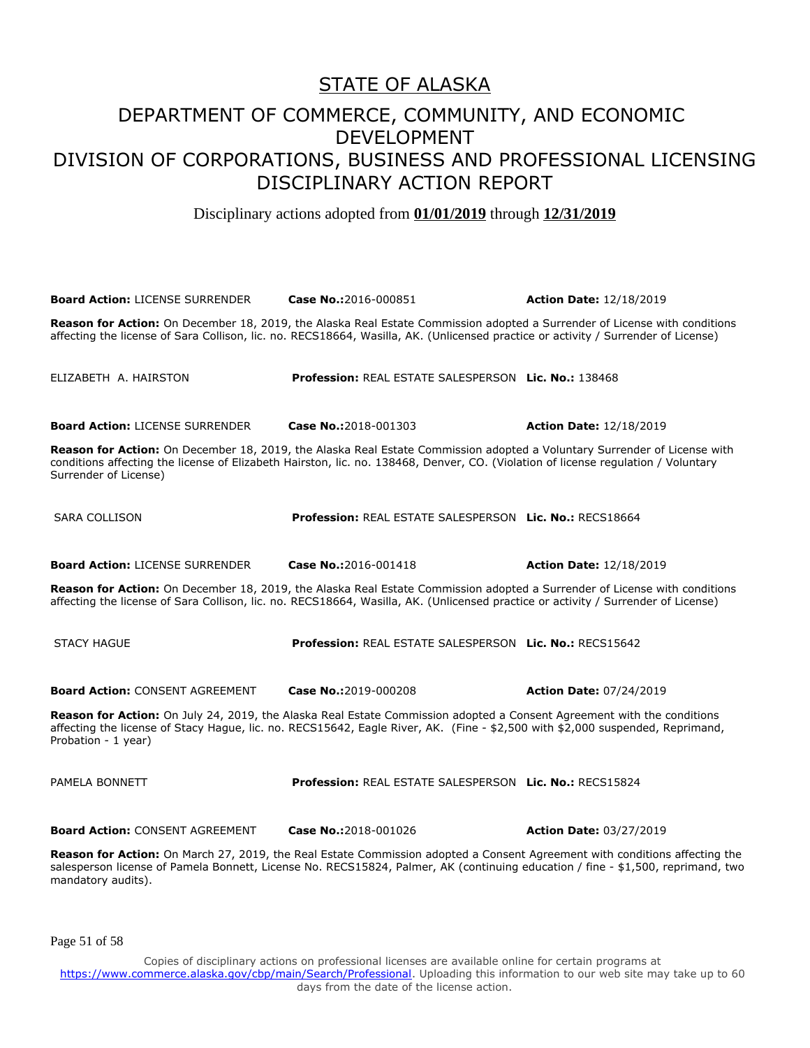Disciplinary actions adopted from **01/01/2019** through **12/31/2019**

| <b>Board Action: LICENSE SURRENDER</b>                                                                                                                                                                                                                                                 | Case No.:2016-000851                                           | <b>Action Date: 12/18/2019</b> |  |
|----------------------------------------------------------------------------------------------------------------------------------------------------------------------------------------------------------------------------------------------------------------------------------------|----------------------------------------------------------------|--------------------------------|--|
| Reason for Action: On December 18, 2019, the Alaska Real Estate Commission adopted a Surrender of License with conditions<br>affecting the license of Sara Collison, lic. no. RECS18664, Wasilla, AK. (Unlicensed practice or activity / Surrender of License)                         |                                                                |                                |  |
| ELIZABETH A. HAIRSTON                                                                                                                                                                                                                                                                  | <b>Profession: REAL ESTATE SALESPERSON Lic. No.: 138468</b>    |                                |  |
| <b>Board Action: LICENSE SURRENDER</b>                                                                                                                                                                                                                                                 | Case No.:2018-001303                                           | <b>Action Date: 12/18/2019</b> |  |
| Reason for Action: On December 18, 2019, the Alaska Real Estate Commission adopted a Voluntary Surrender of License with<br>conditions affecting the license of Elizabeth Hairston, lic. no. 138468, Denver, CO. (Violation of license regulation / Voluntary<br>Surrender of License) |                                                                |                                |  |
| <b>SARA COLLISON</b>                                                                                                                                                                                                                                                                   | Profession: REAL ESTATE SALESPERSON Lic. No.: RECS18664        |                                |  |
| <b>Board Action: LICENSE SURRENDER</b>                                                                                                                                                                                                                                                 | Case No.:2016-001418                                           | <b>Action Date: 12/18/2019</b> |  |
| Reason for Action: On December 18, 2019, the Alaska Real Estate Commission adopted a Surrender of License with conditions<br>affecting the license of Sara Collison, lic. no. RECS18664, Wasilla, AK. (Unlicensed practice or activity / Surrender of License)                         |                                                                |                                |  |
| <b>STACY HAGUE</b>                                                                                                                                                                                                                                                                     | <b>Profession: REAL ESTATE SALESPERSON Lic. No.: RECS15642</b> |                                |  |
| <b>Board Action: CONSENT AGREEMENT</b>                                                                                                                                                                                                                                                 | Case No.:2019-000208                                           | <b>Action Date: 07/24/2019</b> |  |
| Reason for Action: On July 24, 2019, the Alaska Real Estate Commission adopted a Consent Agreement with the conditions<br>affecting the license of Stacy Hague, lic. no. RECS15642, Eagle River, AK. (Fine - \$2,500 with \$2,000 suspended, Reprimand,<br>Probation - 1 year)         |                                                                |                                |  |
| PAMELA BONNETT                                                                                                                                                                                                                                                                         | Profession: REAL ESTATE SALESPERSON Lic. No.: RECS15824        |                                |  |
| <b>Board Action: CONSENT AGREEMENT</b>                                                                                                                                                                                                                                                 | Case No.:2018-001026                                           | <b>Action Date: 03/27/2019</b> |  |
| Reason for Action: On March 27, 2019, the Real Estate Commission adopted a Consent Agreement with conditions affecting the<br>salesperson license of Pamela Bonnett, License No. RECS15824, Palmer, AK (continuing education / fine - \$1,500, reprimand, two<br>mandatory audits).    |                                                                |                                |  |

Page 51 of 58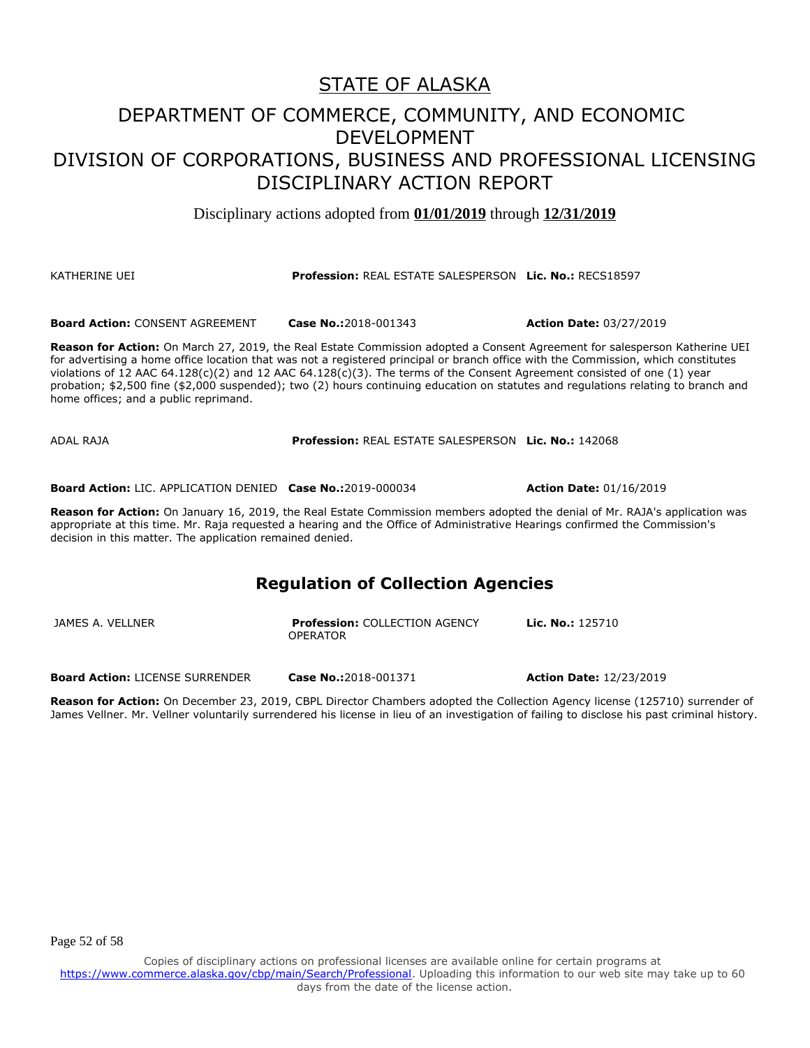Disciplinary actions adopted from **01/01/2019** through **12/31/2019**

#### KATHERINE UEI **Profession:** REAL ESTATE SALESPERSON **Lic. No.:** RECS18597

**Board Action:** CONSENT AGREEMENT **Case No.:**2018-001343 **Action Date:** 03/27/2019

**Reason for Action:** On March 27, 2019, the Real Estate Commission adopted a Consent Agreement for salesperson Katherine UEI for advertising a home office location that was not a registered principal or branch office with the Commission, which constitutes violations of 12 AAC  $64.128(c)(2)$  and 12 AAC  $64.128(c)(3)$ . The terms of the Consent Agreement consisted of one (1) year probation; \$2,500 fine (\$2,000 suspended); two (2) hours continuing education on statutes and regulations relating to branch and home offices; and a public reprimand.

ADAL RAJA **Profession:** REAL ESTATE SALESPERSON **Lic. No.:** 142068

**Board Action:** LIC. APPLICATION DENIED **Case No.:**2019-000034 **Action Date:** 01/16/2019

**Reason for Action:** On January 16, 2019, the Real Estate Commission members adopted the denial of Mr. RAJA's application was appropriate at this time. Mr. Raja requested a hearing and the Office of Administrative Hearings confirmed the Commission's decision in this matter. The application remained denied.

#### **Regulation of Collection Agencies**

| JAMES A. VELLNER | <b>Profession: COLLECTION AGENCY</b> | <b>Lic. No.:</b> 125710 |
|------------------|--------------------------------------|-------------------------|
|                  | <b>OPERATOR</b>                      |                         |
|                  |                                      |                         |
|                  |                                      |                         |

**Board Action:** LICENSE SURRENDER **Case No.:**2018-001371 **Action Date:** 12/23/2019

**Reason for Action:** On December 23, 2019, CBPL Director Chambers adopted the Collection Agency license (125710) surrender of James Vellner. Mr. Vellner voluntarily surrendered his license in lieu of an investigation of failing to disclose his past criminal history.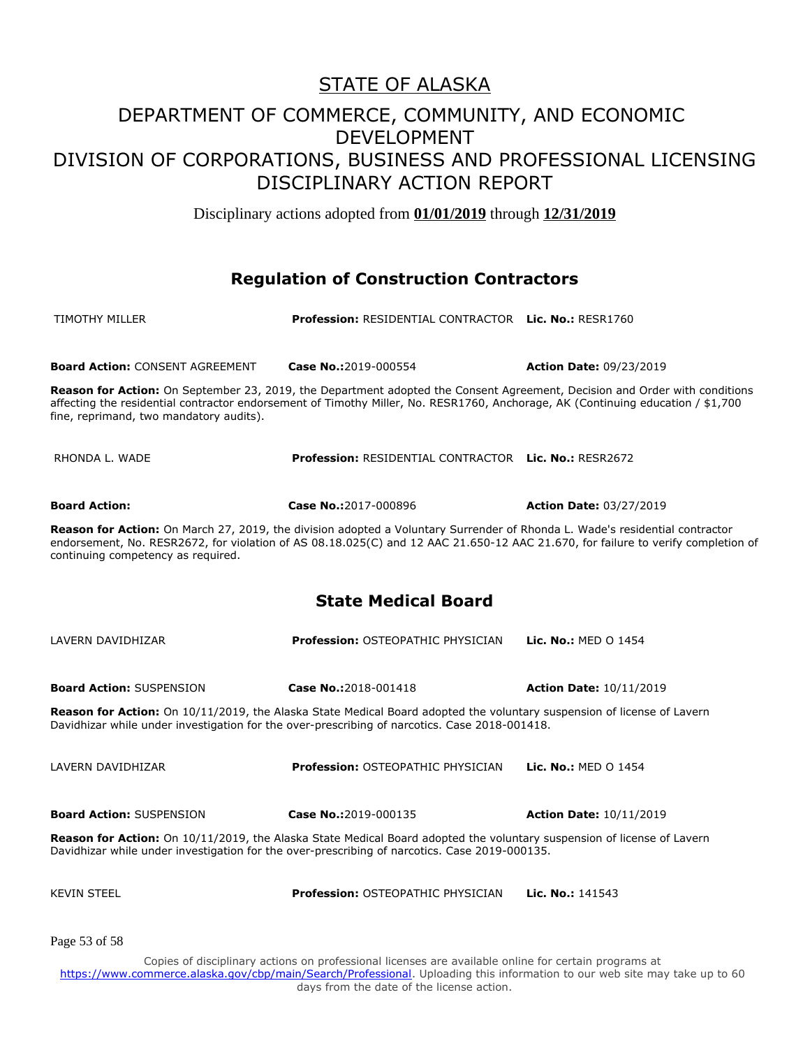Disciplinary actions adopted from **01/01/2019** through **12/31/2019**

#### **Regulation of Construction Contractors**

| <b>TIMOTHY MILLER</b>                                                                                                                                                                                                                                                                                    | <b>Profession: RESIDENTIAL CONTRACTOR Lic. No.: RESR1760</b> |                                |  |
|----------------------------------------------------------------------------------------------------------------------------------------------------------------------------------------------------------------------------------------------------------------------------------------------------------|--------------------------------------------------------------|--------------------------------|--|
|                                                                                                                                                                                                                                                                                                          |                                                              |                                |  |
| <b>Board Action: CONSENT AGREEMENT</b>                                                                                                                                                                                                                                                                   | Case No.:2019-000554                                         | <b>Action Date: 09/23/2019</b> |  |
| Reason for Action: On September 23, 2019, the Department adopted the Consent Agreement, Decision and Order with conditions<br>affecting the residential contractor endorsement of Timothy Miller, No. RESR1760, Anchorage, AK (Continuing education / \$1,700<br>fine, reprimand, two mandatory audits). |                                                              |                                |  |
| RHONDA L. WADE                                                                                                                                                                                                                                                                                           | Profession: RESIDENTIAL CONTRACTOR Lic. No.: RESR2672        |                                |  |
| <b>Board Action:</b>                                                                                                                                                                                                                                                                                     | Case No.:2017-000896                                         | <b>Action Date: 03/27/2019</b> |  |
| Reason for Action: On March 27, 2019, the division adopted a Voluntary Surrender of Rhonda L. Wade's residential contractor<br>endorsement, No. RESR2672, for violation of AS 08.18.025(C) and 12 AAC 21.650-12 AAC 21.670, for failure to verify completion of<br>continuing competency as required.    |                                                              |                                |  |
| <b>State Medical Board</b>                                                                                                                                                                                                                                                                               |                                                              |                                |  |
| LAVERN DAVIDHIZAR                                                                                                                                                                                                                                                                                        | <b>Profession: OSTEOPATHIC PHYSICIAN</b>                     | <b>Lic. No.: MED O 1454</b>    |  |
| <b>Board Action: SUSPENSION</b>                                                                                                                                                                                                                                                                          | Case No.:2018-001418                                         | <b>Action Date: 10/11/2019</b> |  |
| Reason for Action: On 10/11/2019, the Alaska State Medical Board adopted the voluntary suspension of license of Lavern<br>Davidhizar while under investigation for the over-prescribing of narcotics. Case 2018-001418.                                                                                  |                                                              |                                |  |
| LAVERN DAVIDHIZAR                                                                                                                                                                                                                                                                                        | <b>Profession: OSTEOPATHIC PHYSICIAN</b>                     | Lic. No.: MED 0 1454           |  |
| <b>Board Action: SUSPENSION</b>                                                                                                                                                                                                                                                                          | Case No.:2019-000135                                         | <b>Action Date: 10/11/2019</b> |  |
| Reason for Action: On 10/11/2019, the Alaska State Medical Board adopted the voluntary suspension of license of Lavern<br>Davidhizar while under investigation for the over-prescribing of narcotics. Case 2019-000135.                                                                                  |                                                              |                                |  |
| <b>KEVIN STEEL</b>                                                                                                                                                                                                                                                                                       | Profession: OSTEOPATHIC PHYSICIAN                            | Lic. No.: 141543               |  |
| Page 53 of 58                                                                                                                                                                                                                                                                                            |                                                              |                                |  |
| Copies of disciplinary actions on professional licenses are available online for certain programs at<br>https://www.commerce.alaska.gov/cbp/main/Search/Professional. Uploading this information to our web site may take up to 60<br>days from the date of the license action.                          |                                                              |                                |  |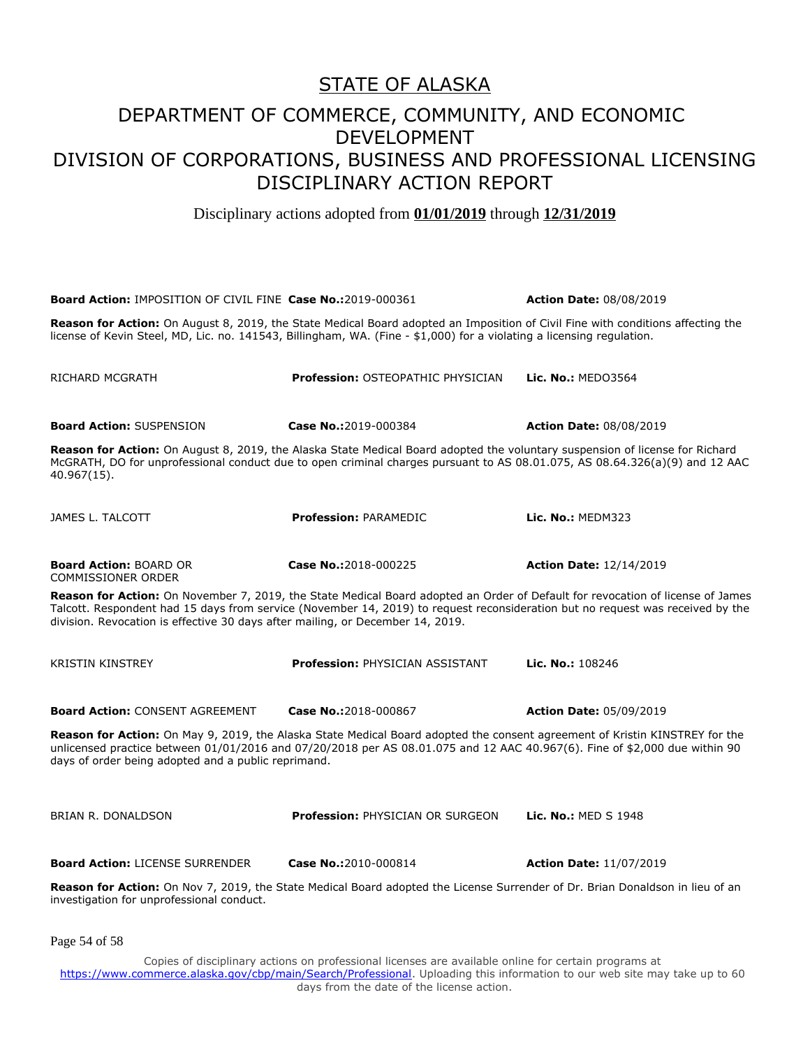Disciplinary actions adopted from **01/01/2019** through **12/31/2019**

**Board Action:** IMPOSITION OF CIVIL FINE **Case No.:**2019-000361 **Action Date:** 08/08/2019 **Reason for Action:** On August 8, 2019, the State Medical Board adopted an Imposition of Civil Fine with conditions affecting the license of Kevin Steel, MD, Lic. no. 141543, Billingham, WA. (Fine - \$1,000) for a violating a licensing regulation. RICHARD MCGRATH **Profession:** OSTEOPATHIC PHYSICIAN **Lic. No.:** MEDO3564 **Board Action:** SUSPENSION **Case No.:**2019-000384 **Action Date:** 08/08/2019 **Reason for Action:** On August 8, 2019, the Alaska State Medical Board adopted the voluntary suspension of license for Richard McGRATH, DO for unprofessional conduct due to open criminal charges pursuant to AS 08.01.075, AS 08.64.326(a)(9) and 12 AAC 40.967(15). JAMES L. TALCOTT **Profession:** PARAMEDIC **Lic. No.:** MEDM323 **Board Action:** BOARD OR COMMISSIONER ORDER **Case No.:**2018-000225 **Action Date:** 12/14/2019 **Reason for Action:** On November 7, 2019, the State Medical Board adopted an Order of Default for revocation of license of James Talcott. Respondent had 15 days from service (November 14, 2019) to request reconsideration but no request was received by the division. Revocation is effective 30 days after mailing, or December 14, 2019. KRISTIN KINSTREY **Profession:** PHYSICIAN ASSISTANT **Lic. No.:** 108246 **Board Action:** CONSENT AGREEMENT **Case No.:**2018-000867 **Action Date:** 05/09/2019 **Reason for Action:** On May 9, 2019, the Alaska State Medical Board adopted the consent agreement of Kristin KINSTREY for the unlicensed practice between 01/01/2016 and 07/20/2018 per AS 08.01.075 and 12 AAC 40.967(6). Fine of \$2,000 due within 90 days of order being adopted and a public reprimand. BRIAN R. DONALDSON **Profession:** PHYSICIAN OR SURGEON **Lic. No.:** MED S 1948 **Board Action:** LICENSE SURRENDER **Case No.:**2010-000814 **Action Date:** 11/07/2019 **Reason for Action:** On Nov 7, 2019, the State Medical Board adopted the License Surrender of Dr. Brian Donaldson in lieu of an investigation for unprofessional conduct.

Page 54 of 58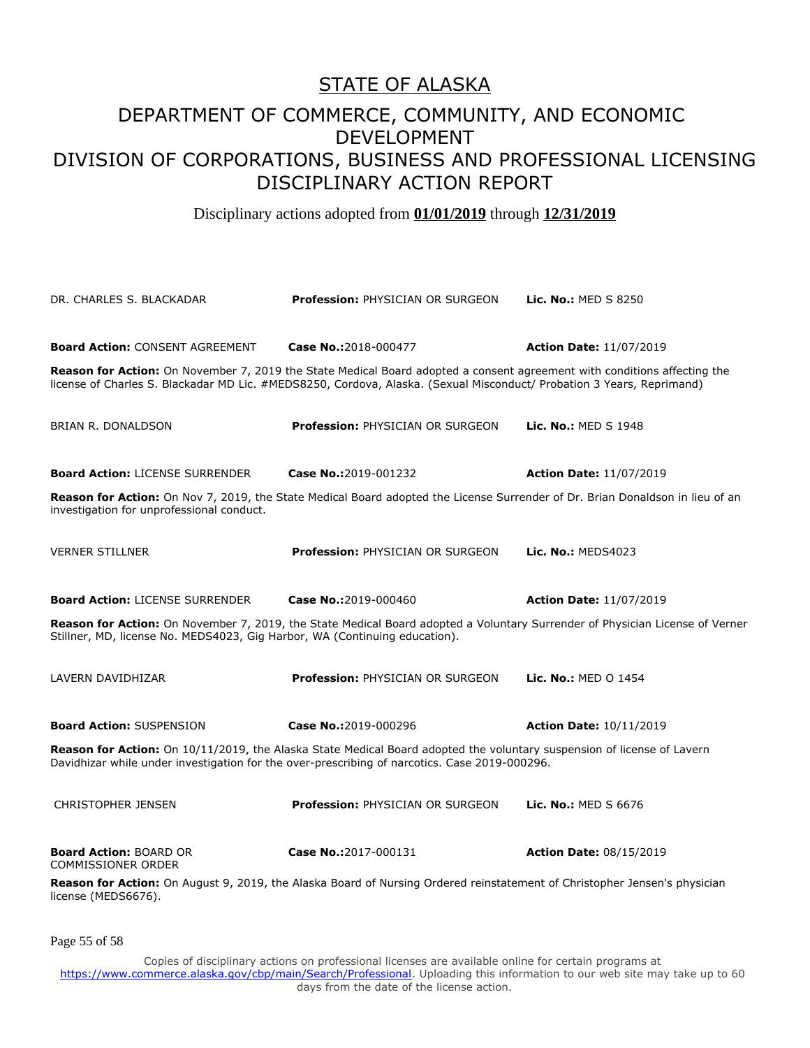#### DEPARTMENT OF COMMERCE, COMMUNITY, AND ECONOMIC DEVELOPMENT DIVISION OF CORPORATIONS, BUSINESS AND PROFESSIONAL LICENSING DISCIPLINARY ACTION REPORT

Disciplinary actions adopted from **01/01/2019** through **12/31/2019**

| DR. CHARLES S. BLACKADAR                                                                                                                                                                                   | <b>Profession: PHYSICIAN OR SURGEON</b>                                                                                                                                                                                                           | <b>Lic. No.: MED S 8250</b>    |  |
|------------------------------------------------------------------------------------------------------------------------------------------------------------------------------------------------------------|---------------------------------------------------------------------------------------------------------------------------------------------------------------------------------------------------------------------------------------------------|--------------------------------|--|
| <b>Board Action: CONSENT AGREEMENT</b>                                                                                                                                                                     | Case No.:2018-000477                                                                                                                                                                                                                              | <b>Action Date: 11/07/2019</b> |  |
|                                                                                                                                                                                                            | Reason for Action: On November 7, 2019 the State Medical Board adopted a consent agreement with conditions affecting the<br>license of Charles S. Blackadar MD Lic. #MEDS8250, Cordova, Alaska. (Sexual Misconduct/ Probation 3 Years, Reprimand) |                                |  |
| <b>BRIAN R. DONALDSON</b>                                                                                                                                                                                  | <b>Profession: PHYSICIAN OR SURGEON</b>                                                                                                                                                                                                           | Lic. No.: MED S 1948           |  |
| <b>Board Action: LICENSE SURRENDER</b>                                                                                                                                                                     | Case No.:2019-001232                                                                                                                                                                                                                              | <b>Action Date: 11/07/2019</b> |  |
| investigation for unprofessional conduct.                                                                                                                                                                  | Reason for Action: On Nov 7, 2019, the State Medical Board adopted the License Surrender of Dr. Brian Donaldson in lieu of an                                                                                                                     |                                |  |
| <b>VERNER STILLNER</b>                                                                                                                                                                                     | <b>Profession: PHYSICIAN OR SURGEON</b>                                                                                                                                                                                                           | Lic. No.: MEDS4023             |  |
| <b>Board Action: LICENSE SURRENDER</b>                                                                                                                                                                     | Case No.:2019-000460                                                                                                                                                                                                                              | <b>Action Date: 11/07/2019</b> |  |
| Reason for Action: On November 7, 2019, the State Medical Board adopted a Voluntary Surrender of Physician License of Verner<br>Stillner, MD, license No. MEDS4023, Gig Harbor, WA (Continuing education). |                                                                                                                                                                                                                                                   |                                |  |
| LAVERN DAVIDHIZAR                                                                                                                                                                                          | <b>Profession: PHYSICIAN OR SURGEON</b>                                                                                                                                                                                                           | Lic. No.: MED O 1454           |  |
| <b>Board Action: SUSPENSION</b>                                                                                                                                                                            | Case No.:2019-000296                                                                                                                                                                                                                              | <b>Action Date: 10/11/2019</b> |  |
|                                                                                                                                                                                                            | Reason for Action: On 10/11/2019, the Alaska State Medical Board adopted the voluntary suspension of license of Lavern<br>Davidhizar while under investigation for the over-prescribing of narcotics. Case 2019-000296.                           |                                |  |
| <b>CHRISTOPHER JENSEN</b>                                                                                                                                                                                  | <b>Profession: PHYSICIAN OR SURGEON</b>                                                                                                                                                                                                           | Lic. No.: MED S 6676           |  |
| <b>Board Action: BOARD OR</b><br><b>COMMISSIONER ORDER</b>                                                                                                                                                 | Case No.:2017-000131                                                                                                                                                                                                                              | <b>Action Date: 08/15/2019</b> |  |
| license (MEDS6676).                                                                                                                                                                                        | Reason for Action: On August 9, 2019, the Alaska Board of Nursing Ordered reinstatement of Christopher Jensen's physician                                                                                                                         |                                |  |

Page 55 of 58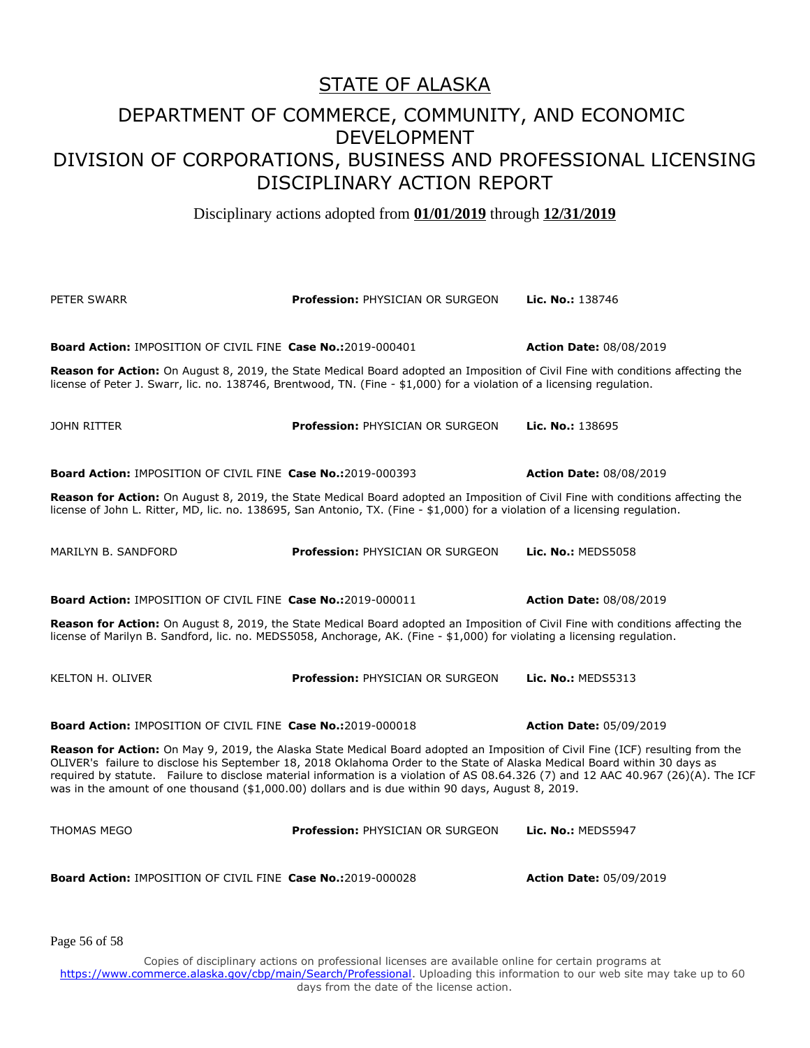Disciplinary actions adopted from **01/01/2019** through **12/31/2019**

| PETER SWARR                                                                                                                                                                                                                                                                                                                                                                                                                                                                                             | Profession: PHYSICIAN OR SURGEON        | Lic. No.: 138746               |  |
|---------------------------------------------------------------------------------------------------------------------------------------------------------------------------------------------------------------------------------------------------------------------------------------------------------------------------------------------------------------------------------------------------------------------------------------------------------------------------------------------------------|-----------------------------------------|--------------------------------|--|
| <b>Board Action: IMPOSITION OF CIVIL FINE Case No.:2019-000401</b><br><b>Reason for Action:</b> On August 8, 2019, the State Medical Board adopted an Imposition of Civil Fine with conditions affecting the<br>license of Peter J. Swarr, lic. no. 138746, Brentwood, TN. (Fine - \$1,000) for a violation of a licensing regulation.                                                                                                                                                                  |                                         | <b>Action Date: 08/08/2019</b> |  |
| JOHN RITTER                                                                                                                                                                                                                                                                                                                                                                                                                                                                                             | <b>Profession: PHYSICIAN OR SURGEON</b> | Lic. No.: 138695               |  |
| <b>Board Action: IMPOSITION OF CIVIL FINE Case No.:2019-000393</b>                                                                                                                                                                                                                                                                                                                                                                                                                                      |                                         | <b>Action Date: 08/08/2019</b> |  |
| Reason for Action: On August 8, 2019, the State Medical Board adopted an Imposition of Civil Fine with conditions affecting the<br>license of John L. Ritter, MD, lic. no. 138695, San Antonio, TX. (Fine - \$1,000) for a violation of a licensing regulation.                                                                                                                                                                                                                                         |                                         |                                |  |
| MARILYN B. SANDFORD                                                                                                                                                                                                                                                                                                                                                                                                                                                                                     | <b>Profession: PHYSICIAN OR SURGEON</b> | <b>Lic. No.: MEDS5058</b>      |  |
| <b>Board Action: IMPOSITION OF CIVIL FINE Case No.:2019-000011</b>                                                                                                                                                                                                                                                                                                                                                                                                                                      |                                         | <b>Action Date: 08/08/2019</b> |  |
| Reason for Action: On August 8, 2019, the State Medical Board adopted an Imposition of Civil Fine with conditions affecting the<br>license of Marilyn B. Sandford, lic. no. MEDS5058, Anchorage, AK. (Fine - \$1,000) for violating a licensing regulation.                                                                                                                                                                                                                                             |                                         |                                |  |
| <b>KELTON H. OLIVER</b>                                                                                                                                                                                                                                                                                                                                                                                                                                                                                 | <b>Profession: PHYSICIAN OR SURGEON</b> | Lic. No.: MEDS5313             |  |
| <b>Board Action: IMPOSITION OF CIVIL FINE Case No.:2019-000018</b>                                                                                                                                                                                                                                                                                                                                                                                                                                      |                                         | <b>Action Date: 05/09/2019</b> |  |
| Reason for Action: On May 9, 2019, the Alaska State Medical Board adopted an Imposition of Civil Fine (ICF) resulting from the<br>OLIVER's failure to disclose his September 18, 2018 Oklahoma Order to the State of Alaska Medical Board within 30 days as<br>required by statute. Failure to disclose material information is a violation of AS 08.64.326 (7) and 12 AAC 40.967 (26)(A). The ICF<br>was in the amount of one thousand (\$1,000.00) dollars and is due within 90 days, August 8, 2019. |                                         |                                |  |
| THOMAS MEGO                                                                                                                                                                                                                                                                                                                                                                                                                                                                                             | <b>Profession: PHYSICIAN OR SURGEON</b> | Lic. No.: MEDS5947             |  |
| <b>Board Action: IMPOSITION OF CIVIL FINE Case No.:2019-000028</b>                                                                                                                                                                                                                                                                                                                                                                                                                                      |                                         | <b>Action Date: 05/09/2019</b> |  |

Page 56 of 58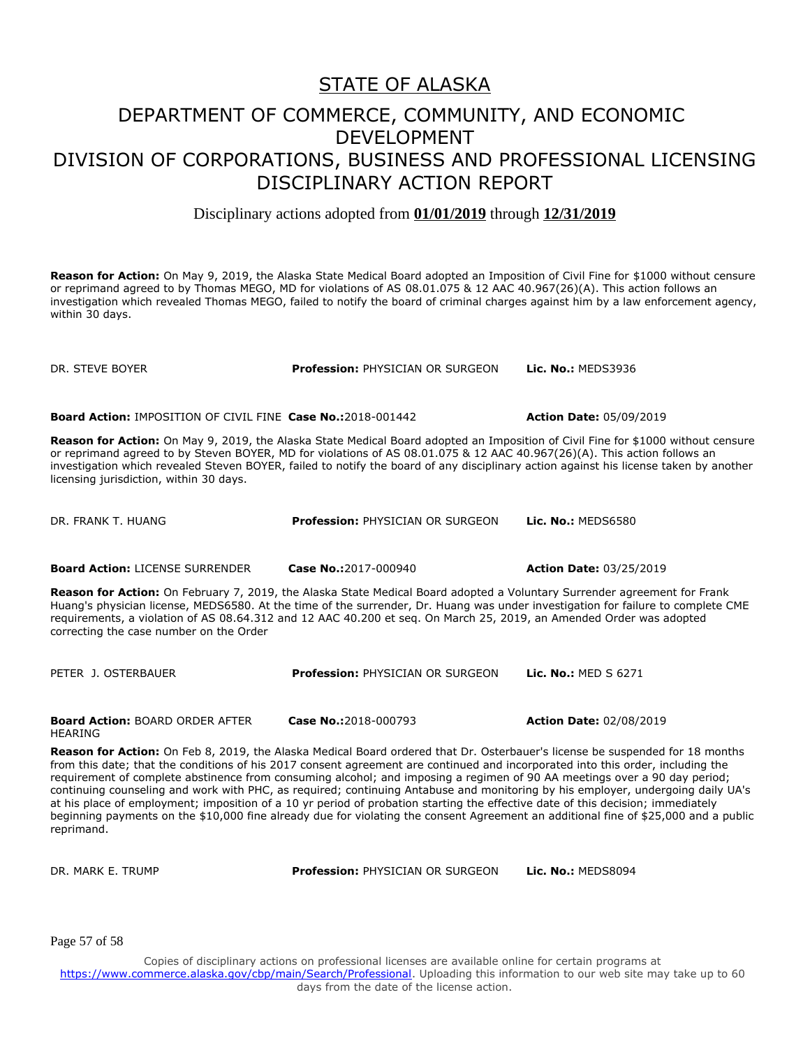Disciplinary actions adopted from **01/01/2019** through **12/31/2019**

**Reason for Action:** On May 9, 2019, the Alaska State Medical Board adopted an Imposition of Civil Fine for \$1000 without censure or reprimand agreed to by Thomas MEGO, MD for violations of AS 08.01.075 & 12 AAC 40.967(26)(A). This action follows an investigation which revealed Thomas MEGO, failed to notify the board of criminal charges against him by a law enforcement agency, within 30 days.

DR. STEVE BOYER **Profession:** PHYSICIAN OR SURGEON **Lic. No.:** MEDS3936

**Board Action:** IMPOSITION OF CIVIL FINE **Case No.:**2018-001442 **Action Date:** 05/09/2019

**Reason for Action:** On May 9, 2019, the Alaska State Medical Board adopted an Imposition of Civil Fine for \$1000 without censure or reprimand agreed to by Steven BOYER, MD for violations of AS 08.01.075 & 12 AAC 40.967(26)(A). This action follows an investigation which revealed Steven BOYER, failed to notify the board of any disciplinary action against his license taken by another licensing jurisdiction, within 30 days.

DR. FRANK T. HUANG **Profession:** PHYSICIAN OR SURGEON **Lic. No.:** MEDS6580

**Board Action:** LICENSE SURRENDER **Case No.:**2017-000940 **Action Date:** 03/25/2019

**Reason for Action:** On February 7, 2019, the Alaska State Medical Board adopted a Voluntary Surrender agreement for Frank Huang's physician license, MEDS6580. At the time of the surrender, Dr. Huang was under investigation for failure to complete CME requirements, a violation of AS 08.64.312 and 12 AAC 40.200 et seq. On March 25, 2019, an Amended Order was adopted correcting the case number on the Order

PETER J. OSTERBAUER **Profession:** PHYSICIAN OR SURGEON **Lic. No.:** MED S 6271

**Board Action:** BOARD ORDER AFTER HEARING

**Case No.:**2018-000793 **Action Date:** 02/08/2019

**Reason for Action:** On Feb 8, 2019, the Alaska Medical Board ordered that Dr. Osterbauer's license be suspended for 18 months from this date; that the conditions of his 2017 consent agreement are continued and incorporated into this order, including the requirement of complete abstinence from consuming alcohol; and imposing a regimen of 90 AA meetings over a 90 day period; continuing counseling and work with PHC, as required; continuing Antabuse and monitoring by his employer, undergoing daily UA's at his place of employment; imposition of a 10 yr period of probation starting the effective date of this decision; immediately beginning payments on the \$10,000 fine already due for violating the consent Agreement an additional fine of \$25,000 and a public reprimand.

DR. MARK E. TRUMP **Profession:** PHYSICIAN OR SURGEON **Lic. No.:** MEDS8094

Page 57 of 58